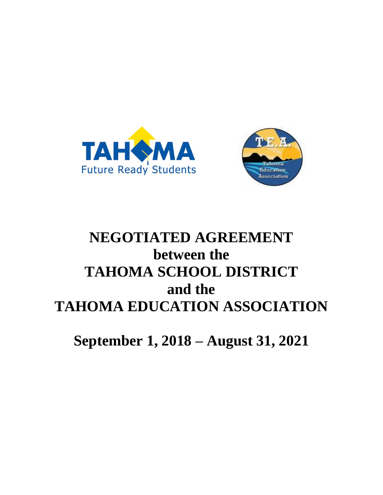



# **NEGOTIATED AGREEMENT between the TAHOMA SCHOOL DISTRICT and the TAHOMA EDUCATION ASSOCIATION**

**September 1, 2018 – August 31, 2021**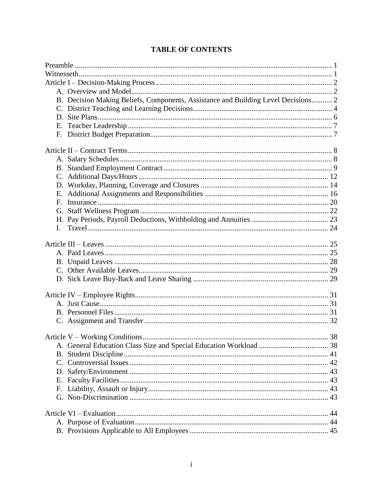| B. Decision Making Beliefs, Components, Assistance and Building Level Decisions 2 |  |
|-----------------------------------------------------------------------------------|--|
|                                                                                   |  |
|                                                                                   |  |
|                                                                                   |  |
|                                                                                   |  |
|                                                                                   |  |
|                                                                                   |  |
|                                                                                   |  |
|                                                                                   |  |
|                                                                                   |  |
|                                                                                   |  |
| F.                                                                                |  |
|                                                                                   |  |
|                                                                                   |  |
| L.                                                                                |  |
|                                                                                   |  |
|                                                                                   |  |
|                                                                                   |  |
|                                                                                   |  |
|                                                                                   |  |
|                                                                                   |  |
|                                                                                   |  |
|                                                                                   |  |
|                                                                                   |  |
|                                                                                   |  |
|                                                                                   |  |
|                                                                                   |  |
|                                                                                   |  |
|                                                                                   |  |
|                                                                                   |  |
| F.                                                                                |  |
|                                                                                   |  |
|                                                                                   |  |
|                                                                                   |  |
|                                                                                   |  |

# **TABLE OF CONTENTS**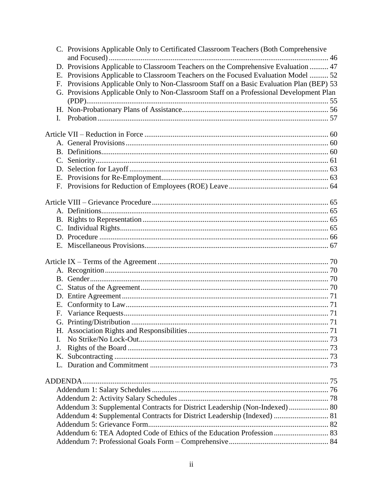|    | C. Provisions Applicable Only to Certificated Classroom Teachers (Both Comprehensive     |  |  |
|----|------------------------------------------------------------------------------------------|--|--|
|    |                                                                                          |  |  |
|    | D. Provisions Applicable to Classroom Teachers on the Comprehensive Evaluation  47       |  |  |
|    | E. Provisions Applicable to Classroom Teachers on the Focused Evaluation Model  52       |  |  |
|    | F. Provisions Applicable Only to Non-Classroom Staff on a Basic Evaluation Plan (BEP) 53 |  |  |
|    | G. Provisions Applicable Only to Non-Classroom Staff on a Professional Development Plan  |  |  |
|    |                                                                                          |  |  |
|    |                                                                                          |  |  |
| L  |                                                                                          |  |  |
|    |                                                                                          |  |  |
|    |                                                                                          |  |  |
|    |                                                                                          |  |  |
|    |                                                                                          |  |  |
|    |                                                                                          |  |  |
|    |                                                                                          |  |  |
|    |                                                                                          |  |  |
|    |                                                                                          |  |  |
|    |                                                                                          |  |  |
|    |                                                                                          |  |  |
|    |                                                                                          |  |  |
|    |                                                                                          |  |  |
|    |                                                                                          |  |  |
|    |                                                                                          |  |  |
|    |                                                                                          |  |  |
|    |                                                                                          |  |  |
|    |                                                                                          |  |  |
|    |                                                                                          |  |  |
|    |                                                                                          |  |  |
|    |                                                                                          |  |  |
|    |                                                                                          |  |  |
| F. |                                                                                          |  |  |
|    |                                                                                          |  |  |
|    |                                                                                          |  |  |
| L  |                                                                                          |  |  |
| J. |                                                                                          |  |  |
|    |                                                                                          |  |  |
| Κ. |                                                                                          |  |  |
|    |                                                                                          |  |  |
|    |                                                                                          |  |  |
|    |                                                                                          |  |  |
|    |                                                                                          |  |  |
|    | Addendum 3: Supplemental Contracts for District Leadership (Non-Indexed)  80             |  |  |
|    | Addendum 4: Supplemental Contracts for District Leadership (Indexed)  81                 |  |  |
|    |                                                                                          |  |  |
|    | Addendum 6: TEA Adopted Code of Ethics of the Education Profession  83                   |  |  |
|    |                                                                                          |  |  |
|    |                                                                                          |  |  |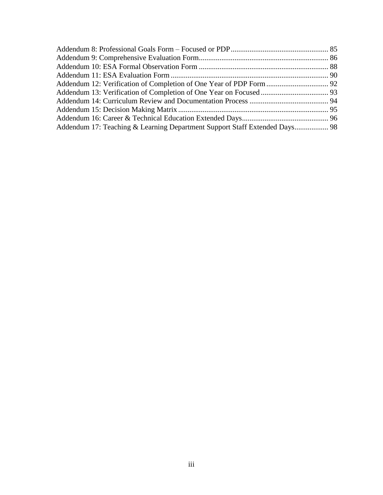| Addendum 17: Teaching & Learning Department Support Staff Extended Days 98 |  |
|----------------------------------------------------------------------------|--|
|                                                                            |  |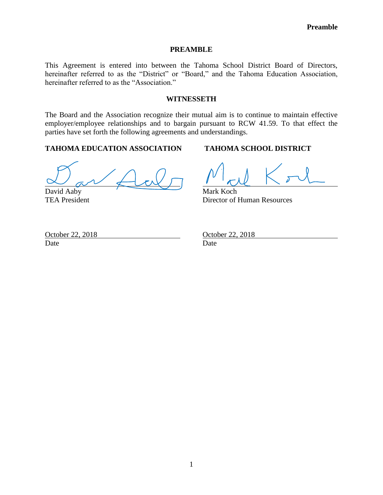#### **PREAMBLE**

<span id="page-4-0"></span>This Agreement is entered into between the Tahoma School District Board of Directors, hereinafter referred to as the "District" or "Board," and the Tahoma Education Association, hereinafter referred to as the "Association."

#### **WITNESSETH**

<span id="page-4-1"></span>The Board and the Association recognize their mutual aim is to continue to maintain effective employer/employee relationships and to bargain pursuant to RCW 41.59. To that effect the parties have set forth the following agreements and understandings.

# **TAHOMA EDUCATION ASSOCIATION TAHOMA SCHOOL DISTRICT**

David Aaby Mark Koch

TEA President Director of Human Resources

Date Date Date

October 22, 2018 **October 22, 2018**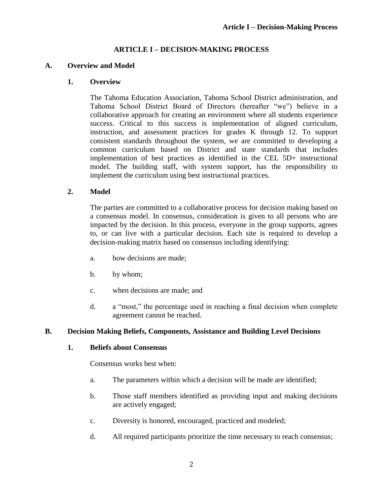#### **ARTICLE I – DECISION-MAKING PROCESS**

#### <span id="page-5-1"></span><span id="page-5-0"></span>**A. Overview and Model**

#### **1. Overview**

The Tahoma Education Association, Tahoma School District administration, and Tahoma School District Board of Directors (hereafter "we") believe in a collaborative approach for creating an environment where all students experience success. Critical to this success is implementation of aligned curriculum, instruction, and assessment practices for grades K through 12. To support consistent standards throughout the system, we are committed to developing a common curriculum based on District and state standards that includes implementation of best practices as identified in the CEL 5D+ instructional model. The building staff, with system support, has the responsibility to implement the curriculum using best instructional practices.

#### **2. Model**

The parties are committed to a collaborative process for decision making based on a consensus model. In consensus, consideration is given to all persons who are impacted by the decision. In this process, everyone in the group supports, agrees to, or can live with a particular decision. Each site is required to develop a decision-making matrix based on consensus including identifying:

- a. how decisions are made;
- b. by whom;
- c. when decisions are made; and
- d. a "most," the percentage used in reaching a final decision when complete agreement cannot be reached.

#### <span id="page-5-2"></span>**B. Decision Making Beliefs, Components, Assistance and Building Level Decisions**

#### **1. Beliefs about Consensus**

Consensus works best when:

- a. The parameters within which a decision will be made are identified;
- b. Those staff members identified as providing input and making decisions are actively engaged;
- c. Diversity is honored, encouraged, practiced and modeled;
- d. All required participants prioritize the time necessary to reach consensus;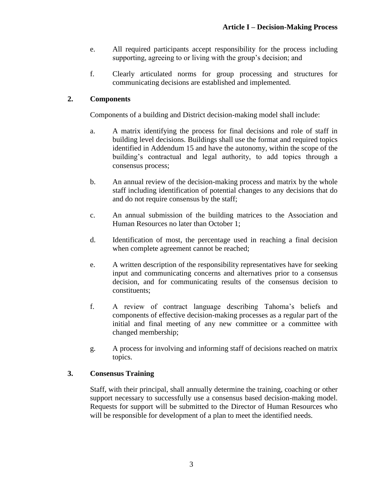- e. All required participants accept responsibility for the process including supporting, agreeing to or living with the group's decision; and
- f. Clearly articulated norms for group processing and structures for communicating decisions are established and implemented.

# **2. Components**

Components of a building and District decision-making model shall include:

- a. A matrix identifying the process for final decisions and role of staff in building level decisions. Buildings shall use the format and required topics identified in Addendum 15 and have the autonomy, within the scope of the building's contractual and legal authority, to add topics through a consensus process;
- b. An annual review of the decision-making process and matrix by the whole staff including identification of potential changes to any decisions that do and do not require consensus by the staff;
- c. An annual submission of the building matrices to the Association and Human Resources no later than October 1;
- d. Identification of most, the percentage used in reaching a final decision when complete agreement cannot be reached;
- e. A written description of the responsibility representatives have for seeking input and communicating concerns and alternatives prior to a consensus decision, and for communicating results of the consensus decision to constituents;
- f. A review of contract language describing Tahoma's beliefs and components of effective decision-making processes as a regular part of the initial and final meeting of any new committee or a committee with changed membership;
- g. A process for involving and informing staff of decisions reached on matrix topics.

# **3. Consensus Training**

Staff, with their principal, shall annually determine the training, coaching or other support necessary to successfully use a consensus based decision-making model. Requests for support will be submitted to the Director of Human Resources who will be responsible for development of a plan to meet the identified needs.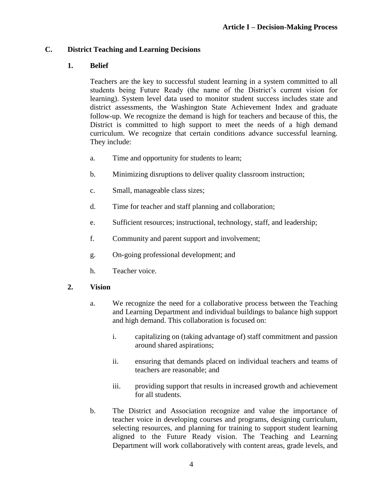# <span id="page-7-0"></span>**C. District Teaching and Learning Decisions**

# **1. Belief**

Teachers are the key to successful student learning in a system committed to all students being Future Ready (the name of the District's current vision for learning). System level data used to monitor student success includes state and district assessments, the Washington State Achievement Index and graduate follow-up. We recognize the demand is high for teachers and because of this, the District is committed to high support to meet the needs of a high demand curriculum. We recognize that certain conditions advance successful learning. They include:

- a. Time and opportunity for students to learn;
- b. Minimizing disruptions to deliver quality classroom instruction;
- c. Small, manageable class sizes;
- d. Time for teacher and staff planning and collaboration;
- e. Sufficient resources; instructional, technology, staff, and leadership;
- f. Community and parent support and involvement;
- g. On-going professional development; and
- h. Teacher voice.

# **2. Vision**

- a. We recognize the need for a collaborative process between the Teaching and Learning Department and individual buildings to balance high support and high demand. This collaboration is focused on:
	- i. capitalizing on (taking advantage of) staff commitment and passion around shared aspirations;
	- ii. ensuring that demands placed on individual teachers and teams of teachers are reasonable; and
	- iii. providing support that results in increased growth and achievement for all students.
- b. The District and Association recognize and value the importance of teacher voice in developing courses and programs, designing curriculum, selecting resources, and planning for training to support student learning aligned to the Future Ready vision. The Teaching and Learning Department will work collaboratively with content areas, grade levels, and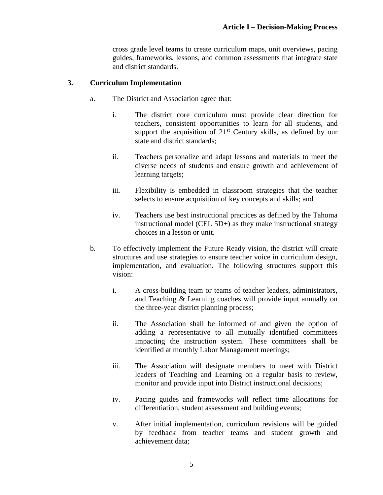cross grade level teams to create curriculum maps, unit overviews, pacing guides, frameworks, lessons, and common assessments that integrate state and district standards.

#### **3. Curriculum Implementation**

- a. The District and Association agree that:
	- i. The district core curriculum must provide clear direction for teachers, consistent opportunities to learn for all students, and support the acquisition of 21<sup>st</sup> Century skills, as defined by our state and district standards;
	- ii. Teachers personalize and adapt lessons and materials to meet the diverse needs of students and ensure growth and achievement of learning targets;
	- iii. Flexibility is embedded in classroom strategies that the teacher selects to ensure acquisition of key concepts and skills; and
	- iv. Teachers use best instructional practices as defined by the Tahoma instructional model (CEL 5D+) as they make instructional strategy choices in a lesson or unit.
- b. To effectively implement the Future Ready vision, the district will create structures and use strategies to ensure teacher voice in curriculum design, implementation, and evaluation. The following structures support this vision:
	- i. A cross-building team or teams of teacher leaders, administrators, and Teaching & Learning coaches will provide input annually on the three-year district planning process;
	- ii. The Association shall be informed of and given the option of adding a representative to all mutually identified committees impacting the instruction system. These committees shall be identified at monthly Labor Management meetings;
	- iii. The Association will designate members to meet with District leaders of Teaching and Learning on a regular basis to review, monitor and provide input into District instructional decisions;
	- iv. Pacing guides and frameworks will reflect time allocations for differentiation, student assessment and building events;
	- v. After initial implementation, curriculum revisions will be guided by feedback from teacher teams and student growth and achievement data;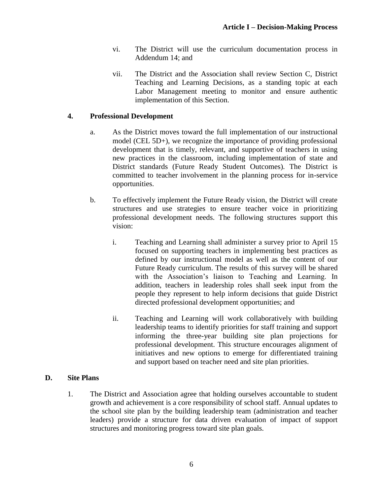- vi. The District will use the curriculum documentation process in Addendum 14; and
- vii. The District and the Association shall review Section C, District Teaching and Learning Decisions, as a standing topic at each Labor Management meeting to monitor and ensure authentic implementation of this Section.

#### **4. Professional Development**

- a. As the District moves toward the full implementation of our instructional model (CEL 5D+), we recognize the importance of providing professional development that is timely, relevant, and supportive of teachers in using new practices in the classroom, including implementation of state and District standards (Future Ready Student Outcomes). The District is committed to teacher involvement in the planning process for in-service opportunities.
- b. To effectively implement the Future Ready vision, the District will create structures and use strategies to ensure teacher voice in prioritizing professional development needs. The following structures support this vision:
	- i. Teaching and Learning shall administer a survey prior to April 15 focused on supporting teachers in implementing best practices as defined by our instructional model as well as the content of our Future Ready curriculum. The results of this survey will be shared with the Association's liaison to Teaching and Learning. In addition, teachers in leadership roles shall seek input from the people they represent to help inform decisions that guide District directed professional development opportunities; and
	- ii. Teaching and Learning will work collaboratively with building leadership teams to identify priorities for staff training and support informing the three-year building site plan projections for professional development. This structure encourages alignment of initiatives and new options to emerge for differentiated training and support based on teacher need and site plan priorities.

#### <span id="page-9-0"></span>**D. Site Plans**

1. The District and Association agree that holding ourselves accountable to student growth and achievement is a core responsibility of school staff. Annual updates to the school site plan by the building leadership team (administration and teacher leaders) provide a structure for data driven evaluation of impact of support structures and monitoring progress toward site plan goals.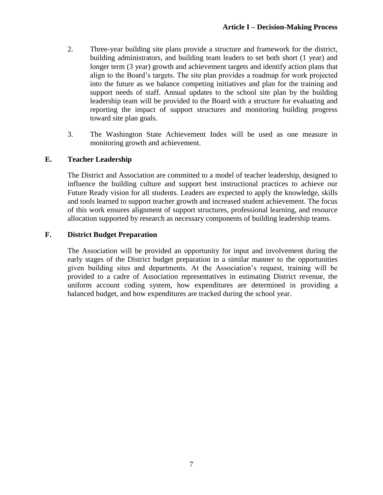- 2. Three-year building site plans provide a structure and framework for the district, building administrators, and building team leaders to set both short (1 year) and longer term (3 year) growth and achievement targets and identify action plans that align to the Board's targets. The site plan provides a roadmap for work projected into the future as we balance competing initiatives and plan for the training and support needs of staff. Annual updates to the school site plan by the building leadership team will be provided to the Board with a structure for evaluating and reporting the impact of support structures and monitoring building progress toward site plan goals.
- 3. The Washington State Achievement Index will be used as one measure in monitoring growth and achievement.

# <span id="page-10-0"></span>**E. Teacher Leadership**

The District and Association are committed to a model of teacher leadership, designed to influence the building culture and support best instructional practices to achieve our Future Ready vision for all students. Leaders are expected to apply the knowledge, skills and tools learned to support teacher growth and increased student achievement. The focus of this work ensures alignment of support structures, professional learning, and resource allocation supported by research as necessary components of building leadership teams.

# <span id="page-10-1"></span>**F. District Budget Preparation**

The Association will be provided an opportunity for input and involvement during the early stages of the District budget preparation in a similar manner to the opportunities given building sites and departments. At the Association's request, training will be provided to a cadre of Association representatives in estimating District revenue, the uniform account coding system, how expenditures are determined in providing a balanced budget, and how expenditures are tracked during the school year.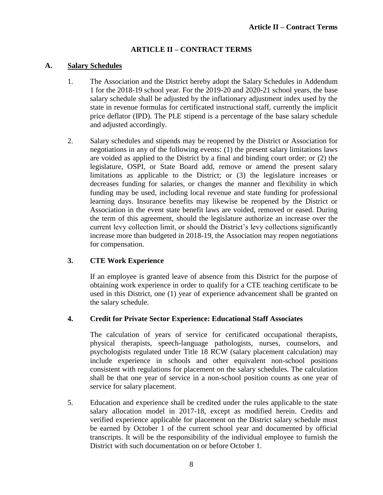# **ARTICLE II – CONTRACT TERMS**

#### <span id="page-11-1"></span><span id="page-11-0"></span>**A. Salary Schedules**

- 1. The Association and the District hereby adopt the Salary Schedules in Addendum 1 for the 2018-19 school year. For the 2019-20 and 2020-21 school years, the base salary schedule shall be adjusted by the inflationary adjustment index used by the state in revenue formulas for certificated instructional staff, currently the implicit price deflator (IPD). The PLE stipend is a percentage of the base salary schedule and adjusted accordingly.
- 2. Salary schedules and stipends may be reopened by the District or Association for negotiations in any of the following events: (1) the present salary limitations laws are voided as applied to the District by a final and binding court order; or (2) the legislature, OSPI, or State Board add, remove or amend the present salary limitations as applicable to the District; or (3) the legislature increases or decreases funding for salaries, or changes the manner and flexibility in which funding may be used, including local revenue and state funding for professional learning days. Insurance benefits may likewise be reopened by the District or Association in the event state benefit laws are voided, removed or eased. During the term of this agreement, should the legislature authorize an increase over the current levy collection limit, or should the District's levy collections significantly increase more than budgeted in 2018-19, the Association may reopen negotiations for compensation.

# **3. CTE Work Experience**

If an employee is granted leave of absence from this District for the purpose of obtaining work experience in order to qualify for a CTE teaching certificate to be used in this District, one (1) year of experience advancement shall be granted on the salary schedule.

#### **4. Credit for Private Sector Experience: Educational Staff Associates**

The calculation of years of service for certificated occupational therapists, physical therapists, speech-language pathologists, nurses, counselors, and psychologists regulated under Title 18 RCW (salary placement calculation) may include experience in schools and other equivalent non-school positions consistent with regulations for placement on the salary schedules. The calculation shall be that one year of service in a non-school position counts as one year of service for salary placement.

5. Education and experience shall be credited under the rules applicable to the state salary allocation model in 2017-18, except as modified herein. Credits and verified experience applicable for placement on the District salary schedule must be earned by October 1 of the current school year and documented by official transcripts. It will be the responsibility of the individual employee to furnish the District with such documentation on or before October 1.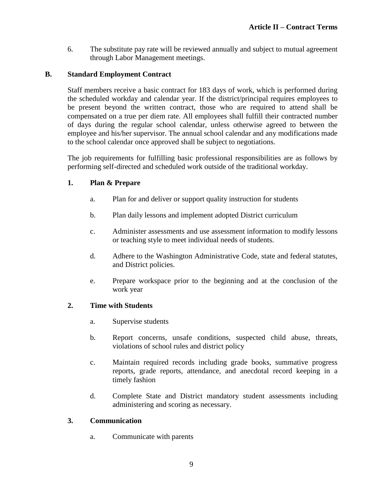6. The substitute pay rate will be reviewed annually and subject to mutual agreement through Labor Management meetings.

#### <span id="page-12-0"></span>**B. Standard Employment Contract**

Staff members receive a basic contract for 183 days of work, which is performed during the scheduled workday and calendar year. If the district/principal requires employees to be present beyond the written contract, those who are required to attend shall be compensated on a true per diem rate. All employees shall fulfill their contracted number of days during the regular school calendar, unless otherwise agreed to between the employee and his/her supervisor. The annual school calendar and any modifications made to the school calendar once approved shall be subject to negotiations.

The job requirements for fulfilling basic professional responsibilities are as follows by performing self-directed and scheduled work outside of the traditional workday.

#### **1. Plan & Prepare**

- a. Plan for and deliver or support quality instruction for students
- b. Plan daily lessons and implement adopted District curriculum
- c. Administer assessments and use assessment information to modify lessons or teaching style to meet individual needs of students.
- d. Adhere to the Washington Administrative Code, state and federal statutes, and District policies.
- e. Prepare workspace prior to the beginning and at the conclusion of the work year

#### **2. Time with Students**

- a. Supervise students
- b. Report concerns, unsafe conditions, suspected child abuse, threats, violations of school rules and district policy
- c. Maintain required records including grade books, summative progress reports, grade reports, attendance, and anecdotal record keeping in a timely fashion
- d. Complete State and District mandatory student assessments including administering and scoring as necessary.

#### **3. Communication**

a. Communicate with parents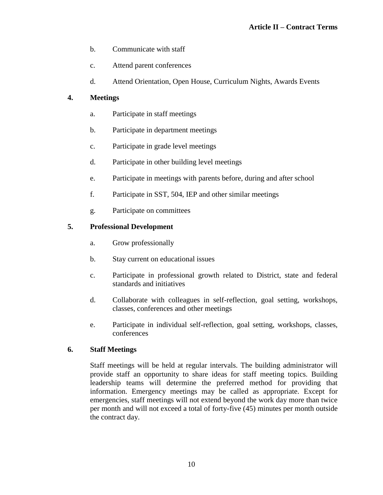- b. Communicate with staff
- c. Attend parent conferences
- d. Attend Orientation, Open House, Curriculum Nights, Awards Events

# **4. Meetings**

- a. Participate in staff meetings
- b. Participate in department meetings
- c. Participate in grade level meetings
- d. Participate in other building level meetings
- e. Participate in meetings with parents before, during and after school
- f. Participate in SST, 504, IEP and other similar meetings
- g. Participate on committees

# **5. Professional Development**

- a. Grow professionally
- b. Stay current on educational issues
- c. Participate in professional growth related to District, state and federal standards and initiatives
- d. Collaborate with colleagues in self-reflection, goal setting, workshops, classes, conferences and other meetings
- e. Participate in individual self-reflection, goal setting, workshops, classes, conferences

# **6. Staff Meetings**

Staff meetings will be held at regular intervals. The building administrator will provide staff an opportunity to share ideas for staff meeting topics. Building leadership teams will determine the preferred method for providing that information. Emergency meetings may be called as appropriate. Except for emergencies, staff meetings will not extend beyond the work day more than twice per month and will not exceed a total of forty-five (45) minutes per month outside the contract day.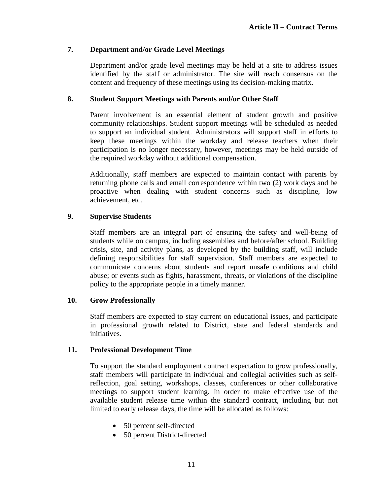# **7. Department and/or Grade Level Meetings**

Department and/or grade level meetings may be held at a site to address issues identified by the staff or administrator. The site will reach consensus on the content and frequency of these meetings using its decision-making matrix.

# **8. Student Support Meetings with Parents and/or Other Staff**

Parent involvement is an essential element of student growth and positive community relationships. Student support meetings will be scheduled as needed to support an individual student. Administrators will support staff in efforts to keep these meetings within the workday and release teachers when their participation is no longer necessary, however, meetings may be held outside of the required workday without additional compensation.

Additionally, staff members are expected to maintain contact with parents by returning phone calls and email correspondence within two (2) work days and be proactive when dealing with student concerns such as discipline, low achievement, etc.

# **9. Supervise Students**

Staff members are an integral part of ensuring the safety and well-being of students while on campus, including assemblies and before/after school. Building crisis, site, and activity plans, as developed by the building staff, will include defining responsibilities for staff supervision. Staff members are expected to communicate concerns about students and report unsafe conditions and child abuse; or events such as fights, harassment, threats, or violations of the discipline policy to the appropriate people in a timely manner.

# **10. Grow Professionally**

Staff members are expected to stay current on educational issues, and participate in professional growth related to District, state and federal standards and initiatives.

# **11. Professional Development Time**

To support the standard employment contract expectation to grow professionally, staff members will participate in individual and collegial activities such as selfreflection, goal setting, workshops, classes, conferences or other collaborative meetings to support student learning. In order to make effective use of the available student release time within the standard contract, including but not limited to early release days, the time will be allocated as follows:

- 50 percent self-directed
- 50 percent District-directed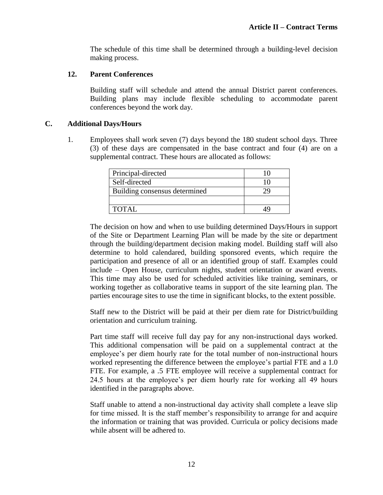The schedule of this time shall be determined through a building-level decision making process.

#### **12. Parent Conferences**

Building staff will schedule and attend the annual District parent conferences. Building plans may include flexible scheduling to accommodate parent conferences beyond the work day.

#### <span id="page-15-0"></span>**C. Additional Days/Hours**

1. Employees shall work seven (7) days beyond the 180 student school days. Three (3) of these days are compensated in the base contract and four (4) are on a supplemental contract. These hours are allocated as follows:

| Principal-directed            |  |
|-------------------------------|--|
| Self-directed                 |  |
| Building consensus determined |  |
|                               |  |
| <b>TOTAL</b>                  |  |

The decision on how and when to use building determined Days/Hours in support of the Site or Department Learning Plan will be made by the site or department through the building/department decision making model. Building staff will also determine to hold calendared, building sponsored events, which require the participation and presence of all or an identified group of staff. Examples could include – Open House, curriculum nights, student orientation or award events. This time may also be used for scheduled activities like training, seminars, or working together as collaborative teams in support of the site learning plan. The parties encourage sites to use the time in significant blocks, to the extent possible.

Staff new to the District will be paid at their per diem rate for District/building orientation and curriculum training.

Part time staff will receive full day pay for any non-instructional days worked. This additional compensation will be paid on a supplemental contract at the employee's per diem hourly rate for the total number of non-instructional hours worked representing the difference between the employee's partial FTE and a 1.0 FTE. For example, a .5 FTE employee will receive a supplemental contract for 24.5 hours at the employee's per diem hourly rate for working all 49 hours identified in the paragraphs above.

Staff unable to attend a non-instructional day activity shall complete a leave slip for time missed. It is the staff member's responsibility to arrange for and acquire the information or training that was provided. Curricula or policy decisions made while absent will be adhered to.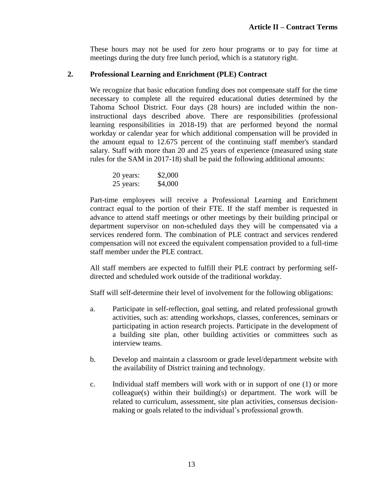These hours may not be used for zero hour programs or to pay for time at meetings during the duty free lunch period, which is a statutory right.

# **2. Professional Learning and Enrichment (PLE) Contract**

We recognize that basic education funding does not compensate staff for the time necessary to complete all the required educational duties determined by the Tahoma School District. Four days (28 hours) are included within the noninstructional days described above. There are responsibilities (professional learning responsibilities in 2018-19) that are performed beyond the normal workday or calendar year for which additional compensation will be provided in the amount equal to 12.675 percent of the continuing staff member's standard salary. Staff with more than 20 and 25 years of experience (measured using state rules for the SAM in 2017-18) shall be paid the following additional amounts:

| 20 years: | \$2,000 |
|-----------|---------|
| 25 years: | \$4,000 |

Part-time employees will receive a Professional Learning and Enrichment contract equal to the portion of their FTE. If the staff member is requested in advance to attend staff meetings or other meetings by their building principal or department supervisor on non-scheduled days they will be compensated via a services rendered form. The combination of PLE contract and services rendered compensation will not exceed the equivalent compensation provided to a full-time staff member under the PLE contract.

All staff members are expected to fulfill their PLE contract by performing selfdirected and scheduled work outside of the traditional workday.

Staff will self-determine their level of involvement for the following obligations:

- a. Participate in self-reflection, goal setting, and related professional growth activities, such as: attending workshops, classes, conferences, seminars or participating in action research projects. Participate in the development of a building site plan, other building activities or committees such as interview teams.
- b. Develop and maintain a classroom or grade level/department website with the availability of District training and technology.
- c. Individual staff members will work with or in support of one (1) or more colleague(s) within their building(s) or department. The work will be related to curriculum, assessment, site plan activities, consensus decisionmaking or goals related to the individual's professional growth.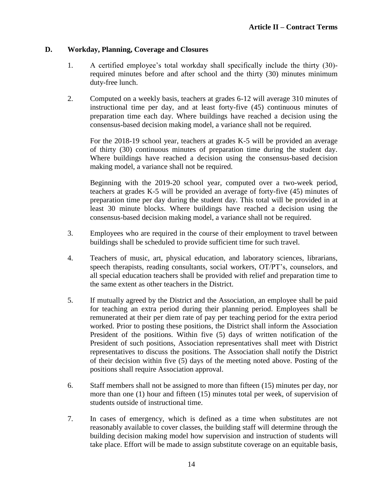#### <span id="page-17-0"></span>**D. Workday, Planning, Coverage and Closures**

- 1. A certified employee's total workday shall specifically include the thirty (30) required minutes before and after school and the thirty (30) minutes minimum duty-free lunch.
- 2. Computed on a weekly basis, teachers at grades 6-12 will average 310 minutes of instructional time per day, and at least forty-five (45) continuous minutes of preparation time each day. Where buildings have reached a decision using the consensus-based decision making model, a variance shall not be required.

For the 2018-19 school year, teachers at grades K-5 will be provided an average of thirty (30) continuous minutes of preparation time during the student day. Where buildings have reached a decision using the consensus-based decision making model, a variance shall not be required.

Beginning with the 2019-20 school year, computed over a two-week period, teachers at grades K-5 will be provided an average of forty-five (45) minutes of preparation time per day during the student day. This total will be provided in at least 30 minute blocks. Where buildings have reached a decision using the consensus-based decision making model, a variance shall not be required.

- 3. Employees who are required in the course of their employment to travel between buildings shall be scheduled to provide sufficient time for such travel.
- 4. Teachers of music, art, physical education, and laboratory sciences, librarians, speech therapists, reading consultants, social workers, OT/PT's, counselors, and all special education teachers shall be provided with relief and preparation time to the same extent as other teachers in the District.
- 5. If mutually agreed by the District and the Association, an employee shall be paid for teaching an extra period during their planning period. Employees shall be remunerated at their per diem rate of pay per teaching period for the extra period worked. Prior to posting these positions, the District shall inform the Association President of the positions. Within five (5) days of written notification of the President of such positions, Association representatives shall meet with District representatives to discuss the positions. The Association shall notify the District of their decision within five (5) days of the meeting noted above. Posting of the positions shall require Association approval.
- 6. Staff members shall not be assigned to more than fifteen (15) minutes per day, nor more than one (1) hour and fifteen (15) minutes total per week, of supervision of students outside of instructional time.
- 7. In cases of emergency, which is defined as a time when substitutes are not reasonably available to cover classes, the building staff will determine through the building decision making model how supervision and instruction of students will take place. Effort will be made to assign substitute coverage on an equitable basis,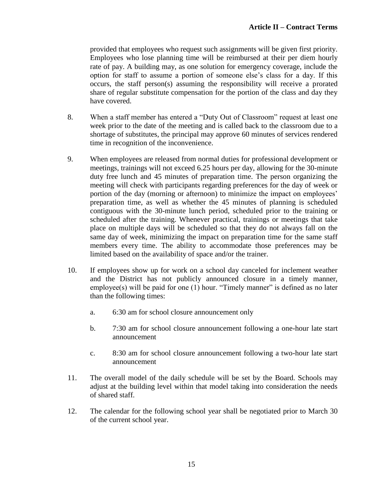provided that employees who request such assignments will be given first priority. Employees who lose planning time will be reimbursed at their per diem hourly rate of pay. A building may, as one solution for emergency coverage, include the option for staff to assume a portion of someone else's class for a day. If this occurs, the staff person(s) assuming the responsibility will receive a prorated share of regular substitute compensation for the portion of the class and day they have covered.

- 8. When a staff member has entered a "Duty Out of Classroom" request at least one week prior to the date of the meeting and is called back to the classroom due to a shortage of substitutes, the principal may approve 60 minutes of services rendered time in recognition of the inconvenience.
- 9. When employees are released from normal duties for professional development or meetings, trainings will not exceed 6.25 hours per day, allowing for the 30-minute duty free lunch and 45 minutes of preparation time. The person organizing the meeting will check with participants regarding preferences for the day of week or portion of the day (morning or afternoon) to minimize the impact on employees' preparation time, as well as whether the 45 minutes of planning is scheduled contiguous with the 30-minute lunch period, scheduled prior to the training or scheduled after the training. Whenever practical, trainings or meetings that take place on multiple days will be scheduled so that they do not always fall on the same day of week, minimizing the impact on preparation time for the same staff members every time. The ability to accommodate those preferences may be limited based on the availability of space and/or the trainer.
- 10. If employees show up for work on a school day canceled for inclement weather and the District has not publicly announced closure in a timely manner, employee(s) will be paid for one (1) hour. "Timely manner" is defined as no later than the following times:
	- a. 6:30 am for school closure announcement only
	- b. 7:30 am for school closure announcement following a one-hour late start announcement
	- c. 8:30 am for school closure announcement following a two-hour late start announcement
- 11. The overall model of the daily schedule will be set by the Board. Schools may adjust at the building level within that model taking into consideration the needs of shared staff.
- 12. The calendar for the following school year shall be negotiated prior to March 30 of the current school year.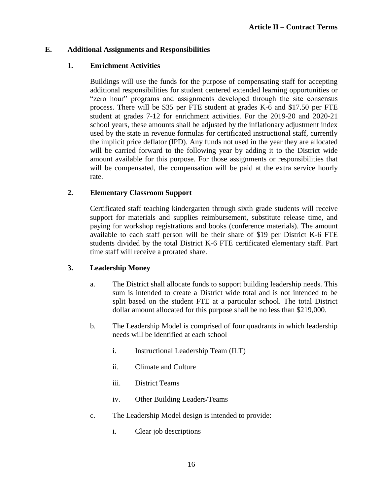# <span id="page-19-0"></span>**E. Additional Assignments and Responsibilities**

# **1. Enrichment Activities**

Buildings will use the funds for the purpose of compensating staff for accepting additional responsibilities for student centered extended learning opportunities or "zero hour" programs and assignments developed through the site consensus process. There will be \$35 per FTE student at grades K-6 and \$17.50 per FTE student at grades 7-12 for enrichment activities. For the 2019-20 and 2020-21 school years, these amounts shall be adjusted by the inflationary adjustment index used by the state in revenue formulas for certificated instructional staff, currently the implicit price deflator (IPD). Any funds not used in the year they are allocated will be carried forward to the following year by adding it to the District wide amount available for this purpose. For those assignments or responsibilities that will be compensated, the compensation will be paid at the extra service hourly rate.

# **2. Elementary Classroom Support**

Certificated staff teaching kindergarten through sixth grade students will receive support for materials and supplies reimbursement, substitute release time, and paying for workshop registrations and books (conference materials). The amount available to each staff person will be their share of \$19 per District K-6 FTE students divided by the total District K-6 FTE certificated elementary staff. Part time staff will receive a prorated share.

# **3. Leadership Money**

- a. The District shall allocate funds to support building leadership needs. This sum is intended to create a District wide total and is not intended to be split based on the student FTE at a particular school. The total District dollar amount allocated for this purpose shall be no less than \$219,000.
- b. The Leadership Model is comprised of four quadrants in which leadership needs will be identified at each school
	- i. Instructional Leadership Team (ILT)
	- ii. Climate and Culture
	- iii. District Teams
	- iv. Other Building Leaders/Teams
- c. The Leadership Model design is intended to provide:
	- i. Clear job descriptions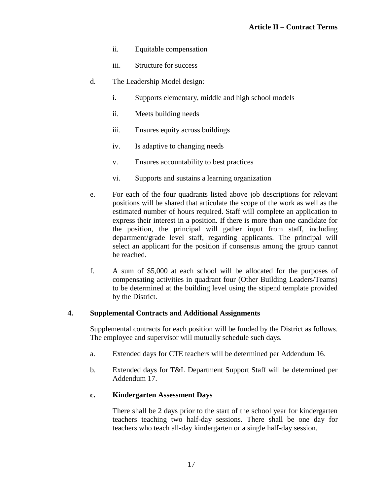- ii. Equitable compensation
- iii. Structure for success
- d. The Leadership Model design:
	- i. Supports elementary, middle and high school models
	- ii. Meets building needs
	- iii. Ensures equity across buildings
	- iv. Is adaptive to changing needs
	- v. Ensures accountability to best practices
	- vi. Supports and sustains a learning organization
- e. For each of the four quadrants listed above job descriptions for relevant positions will be shared that articulate the scope of the work as well as the estimated number of hours required. Staff will complete an application to express their interest in a position. If there is more than one candidate for the position, the principal will gather input from staff, including department/grade level staff, regarding applicants. The principal will select an applicant for the position if consensus among the group cannot be reached.
- f. A sum of \$5,000 at each school will be allocated for the purposes of compensating activities in quadrant four (Other Building Leaders/Teams) to be determined at the building level using the stipend template provided by the District.

#### **4. Supplemental Contracts and Additional Assignments**

Supplemental contracts for each position will be funded by the District as follows. The employee and supervisor will mutually schedule such days.

- a. Extended days for CTE teachers will be determined per Addendum 16.
- b. Extended days for T&L Department Support Staff will be determined per Addendum 17.

#### **c. Kindergarten Assessment Days**

There shall be 2 days prior to the start of the school year for kindergarten teachers teaching two half-day sessions. There shall be one day for teachers who teach all-day kindergarten or a single half-day session.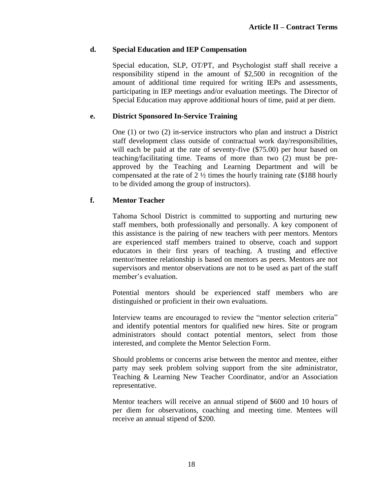# **d. Special Education and IEP Compensation**

Special education, SLP, OT/PT, and Psychologist staff shall receive a responsibility stipend in the amount of \$2,500 in recognition of the amount of additional time required for writing IEPs and assessments, participating in IEP meetings and/or evaluation meetings. The Director of Special Education may approve additional hours of time, paid at per diem.

# **e. District Sponsored In-Service Training**

One (1) or two (2) in-service instructors who plan and instruct a District staff development class outside of contractual work day/responsibilities, will each be paid at the rate of seventy-five  $(\$75.00)$  per hour based on teaching/facilitating time. Teams of more than two (2) must be preapproved by the Teaching and Learning Department and will be compensated at the rate of 2 ½ times the hourly training rate (\$188 hourly to be divided among the group of instructors).

# **f. Mentor Teacher**

Tahoma School District is committed to supporting and nurturing new staff members, both professionally and personally. A key component of this assistance is the pairing of new teachers with peer mentors. Mentors are experienced staff members trained to observe, coach and support educators in their first years of teaching. A trusting and effective mentor/mentee relationship is based on mentors as peers. Mentors are not supervisors and mentor observations are not to be used as part of the staff member's evaluation.

Potential mentors should be experienced staff members who are distinguished or proficient in their own evaluations.

Interview teams are encouraged to review the "mentor selection criteria" and identify potential mentors for qualified new hires. Site or program administrators should contact potential mentors, select from those interested, and complete the Mentor Selection Form.

Should problems or concerns arise between the mentor and mentee, either party may seek problem solving support from the site administrator, Teaching & Learning New Teacher Coordinator, and/or an Association representative.

Mentor teachers will receive an annual stipend of \$600 and 10 hours of per diem for observations, coaching and meeting time. Mentees will receive an annual stipend of \$200.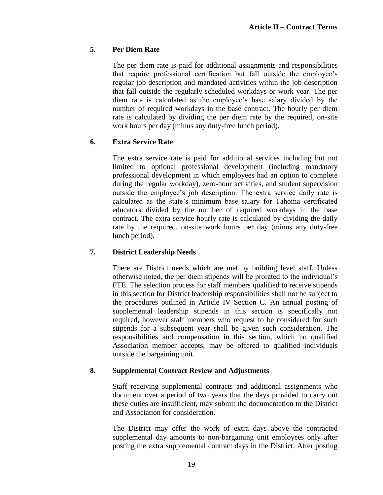# **5. Per Diem Rate**

The per diem rate is paid for additional assignments and responsibilities that require professional certification but fall outside the employee's regular job description and mandated activities within the job description that fall outside the regularly scheduled workdays or work year. The per diem rate is calculated as the employee's base salary divided by the number of required workdays in the base contract. The hourly per diem rate is calculated by dividing the per diem rate by the required, on-site work hours per day (minus any duty-free lunch period).

# **6. Extra Service Rate**

The extra service rate is paid for additional services including but not limited to optional professional development (including mandatory professional development in which employees had an option to complete during the regular workday), zero-hour activities, and student supervision outside the employee's job description. The extra service daily rate is calculated as the state's minimum base salary for Tahoma certificated educators divided by the number of required workdays in the base contract. The extra service hourly rate is calculated by dividing the daily rate by the required, on-site work hours per day (minus any duty-free lunch period).

# **7. District Leadership Needs**

There are District needs which are met by building level staff. Unless otherwise noted, the per diem stipends will be prorated to the individual's FTE. The selection process for staff members qualified to receive stipends in this section for District leadership responsibilities shall not be subject to the procedures outlined in Article IV Section C. An annual posting of supplemental leadership stipends in this section is specifically not required, however staff members who request to be considered for such stipends for a subsequent year shall be given such consideration. The responsibilities and compensation in this section, which no qualified Association member accepts, may be offered to qualified individuals outside the bargaining unit.

# **8. Supplemental Contract Review and Adjustments**

Staff receiving supplemental contracts and additional assignments who document over a period of two years that the days provided to carry out these duties are insufficient, may submit the documentation to the District and Association for consideration.

The District may offer the work of extra days above the contracted supplemental day amounts to non-bargaining unit employees only after posting the extra supplemental contract days in the District. After posting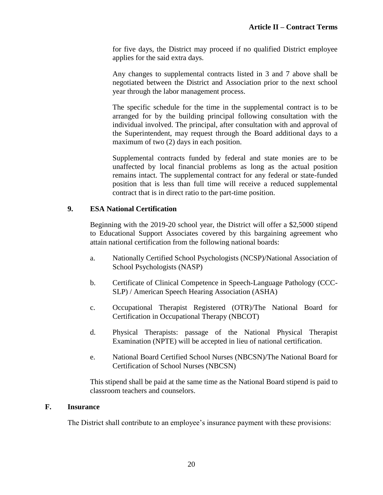for five days, the District may proceed if no qualified District employee applies for the said extra days.

Any changes to supplemental contracts listed in 3 and 7 above shall be negotiated between the District and Association prior to the next school year through the labor management process.

The specific schedule for the time in the supplemental contract is to be arranged for by the building principal following consultation with the individual involved. The principal, after consultation with and approval of the Superintendent, may request through the Board additional days to a maximum of two (2) days in each position.

Supplemental contracts funded by federal and state monies are to be unaffected by local financial problems as long as the actual position remains intact. The supplemental contract for any federal or state-funded position that is less than full time will receive a reduced supplemental contract that is in direct ratio to the part-time position.

# **9. ESA National Certification**

Beginning with the 2019-20 school year, the District will offer a \$2,5000 stipend to Educational Support Associates covered by this bargaining agreement who attain national certification from the following national boards:

- a. Nationally Certified School Psychologists (NCSP)/National Association of School Psychologists (NASP)
- b. Certificate of Clinical Competence in Speech-Language Pathology (CCC-SLP) / American Speech Hearing Association (ASHA)
- c. Occupational Therapist Registered (OTR)/The National Board for Certification in Occupational Therapy (NBCOT)
- d. Physical Therapists: passage of the National Physical Therapist Examination (NPTE) will be accepted in lieu of national certification.
- e. National Board Certified School Nurses (NBCSN)/The National Board for Certification of School Nurses (NBCSN)

This stipend shall be paid at the same time as the National Board stipend is paid to classroom teachers and counselors.

# <span id="page-23-0"></span>**F. Insurance**

The District shall contribute to an employee's insurance payment with these provisions: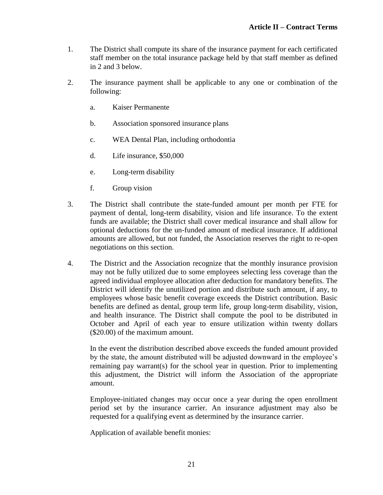- 1. The District shall compute its share of the insurance payment for each certificated staff member on the total insurance package held by that staff member as defined in 2 and 3 below.
- 2. The insurance payment shall be applicable to any one or combination of the following:
	- a. Kaiser Permanente
	- b. Association sponsored insurance plans
	- c. WEA Dental Plan, including orthodontia
	- d. Life insurance, \$50,000
	- e. Long-term disability
	- f. Group vision
- 3. The District shall contribute the state-funded amount per month per FTE for payment of dental, long-term disability, vision and life insurance. To the extent funds are available; the District shall cover medical insurance and shall allow for optional deductions for the un-funded amount of medical insurance. If additional amounts are allowed, but not funded, the Association reserves the right to re-open negotiations on this section.
- 4. The District and the Association recognize that the monthly insurance provision may not be fully utilized due to some employees selecting less coverage than the agreed individual employee allocation after deduction for mandatory benefits. The District will identify the unutilized portion and distribute such amount, if any, to employees whose basic benefit coverage exceeds the District contribution. Basic benefits are defined as dental, group term life, group long-term disability, vision, and health insurance. The District shall compute the pool to be distributed in October and April of each year to ensure utilization within twenty dollars (\$20.00) of the maximum amount.

In the event the distribution described above exceeds the funded amount provided by the state, the amount distributed will be adjusted downward in the employee's remaining pay warrant(s) for the school year in question. Prior to implementing this adjustment, the District will inform the Association of the appropriate amount.

Employee-initiated changes may occur once a year during the open enrollment period set by the insurance carrier. An insurance adjustment may also be requested for a qualifying event as determined by the insurance carrier.

Application of available benefit monies: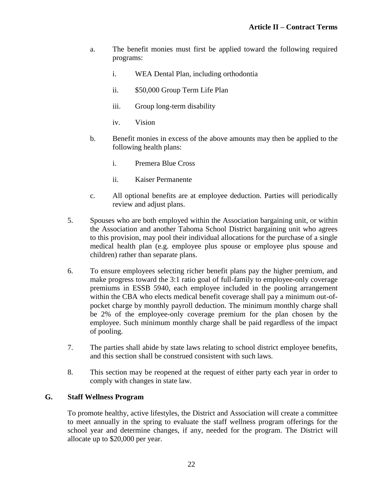- a. The benefit monies must first be applied toward the following required programs:
	- i. WEA Dental Plan, including orthodontia
	- ii. \$50,000 Group Term Life Plan
	- iii. Group long-term disability
	- iv. Vision
- b. Benefit monies in excess of the above amounts may then be applied to the following health plans:
	- i. Premera Blue Cross
	- ii. Kaiser Permanente
- c. All optional benefits are at employee deduction. Parties will periodically review and adjust plans.
- 5. Spouses who are both employed within the Association bargaining unit, or within the Association and another Tahoma School District bargaining unit who agrees to this provision, may pool their individual allocations for the purchase of a single medical health plan (e.g. employee plus spouse or employee plus spouse and children) rather than separate plans.
- 6. To ensure employees selecting richer benefit plans pay the higher premium, and make progress toward the 3:1 ratio goal of full-family to employee-only coverage premiums in ESSB 5940, each employee included in the pooling arrangement within the CBA who elects medical benefit coverage shall pay a minimum out-ofpocket charge by monthly payroll deduction. The minimum monthly charge shall be 2% of the employee-only coverage premium for the plan chosen by the employee. Such minimum monthly charge shall be paid regardless of the impact of pooling.
- 7. The parties shall abide by state laws relating to school district employee benefits, and this section shall be construed consistent with such laws.
- 8. This section may be reopened at the request of either party each year in order to comply with changes in state law.

# <span id="page-25-0"></span>**G. Staff Wellness Program**

To promote healthy, active lifestyles, the District and Association will create a committee to meet annually in the spring to evaluate the staff wellness program offerings for the school year and determine changes, if any, needed for the program. The District will allocate up to \$20,000 per year.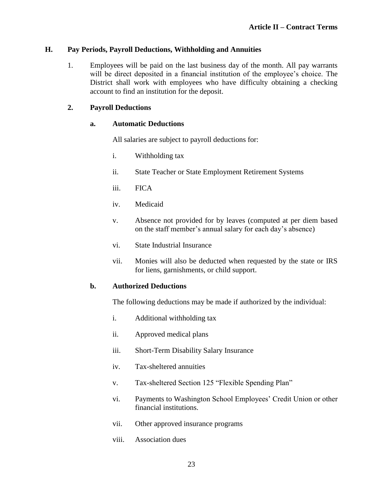# <span id="page-26-0"></span>**H. Pay Periods, Payroll Deductions, Withholding and Annuities**

1. Employees will be paid on the last business day of the month. All pay warrants will be direct deposited in a financial institution of the employee's choice. The District shall work with employees who have difficulty obtaining a checking account to find an institution for the deposit.

#### **2. Payroll Deductions**

#### **a. Automatic Deductions**

All salaries are subject to payroll deductions for:

- i. Withholding tax
- ii. State Teacher or State Employment Retirement Systems
- iii. FICA
- iv. Medicaid
- v. Absence not provided for by leaves (computed at per diem based on the staff member's annual salary for each day's absence)
- vi. State Industrial Insurance
- vii. Monies will also be deducted when requested by the state or IRS for liens, garnishments, or child support.

#### **b. Authorized Deductions**

The following deductions may be made if authorized by the individual:

- i. Additional withholding tax
- ii. Approved medical plans
- iii. Short-Term Disability Salary Insurance
- iv. Tax-sheltered annuities
- v. Tax-sheltered Section 125 "Flexible Spending Plan"
- vi. Payments to Washington School Employees' Credit Union or other financial institutions.
- vii. Other approved insurance programs
- viii. Association dues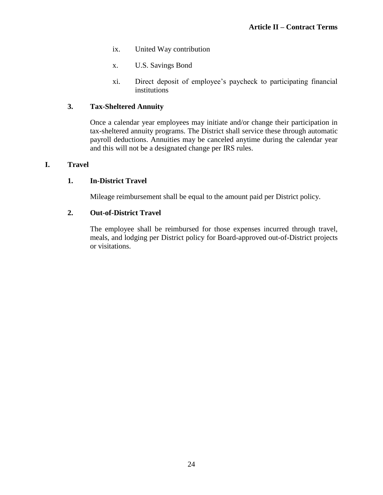- ix. United Way contribution
- x. U.S. Savings Bond
- xi. Direct deposit of employee's paycheck to participating financial institutions

#### **3. Tax-Sheltered Annuity**

Once a calendar year employees may initiate and/or change their participation in tax-sheltered annuity programs. The District shall service these through automatic payroll deductions. Annuities may be canceled anytime during the calendar year and this will not be a designated change per IRS rules.

#### <span id="page-27-0"></span>**I. Travel**

#### **1. In-District Travel**

Mileage reimbursement shall be equal to the amount paid per District policy.

#### **2. Out-of-District Travel**

The employee shall be reimbursed for those expenses incurred through travel, meals, and lodging per District policy for Board-approved out-of-District projects or visitations.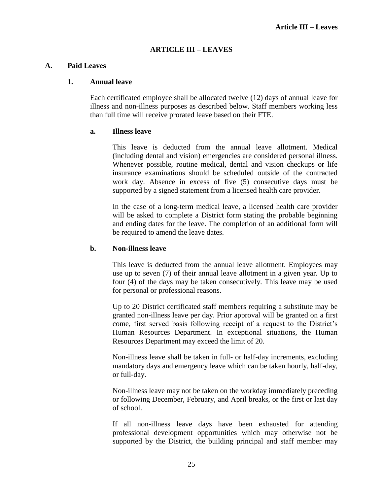#### **ARTICLE III – LEAVES**

#### <span id="page-28-1"></span><span id="page-28-0"></span>**A. Paid Leaves**

#### **1. Annual leave**

Each certificated employee shall be allocated twelve (12) days of annual leave for illness and non-illness purposes as described below. Staff members working less than full time will receive prorated leave based on their FTE.

#### **a. Illness leave**

This leave is deducted from the annual leave allotment. Medical (including dental and vision) emergencies are considered personal illness. Whenever possible, routine medical, dental and vision checkups or life insurance examinations should be scheduled outside of the contracted work day. Absence in excess of five (5) consecutive days must be supported by a signed statement from a licensed health care provider.

In the case of a long-term medical leave, a licensed health care provider will be asked to complete a District form stating the probable beginning and ending dates for the leave. The completion of an additional form will be required to amend the leave dates.

#### **b. Non-illness leave**

This leave is deducted from the annual leave allotment. Employees may use up to seven (7) of their annual leave allotment in a given year. Up to four (4) of the days may be taken consecutively. This leave may be used for personal or professional reasons.

Up to 20 District certificated staff members requiring a substitute may be granted non-illness leave per day. Prior approval will be granted on a first come, first served basis following receipt of a request to the District's Human Resources Department. In exceptional situations, the Human Resources Department may exceed the limit of 20.

Non-illness leave shall be taken in full- or half-day increments, excluding mandatory days and emergency leave which can be taken hourly, half-day, or full-day.

Non-illness leave may not be taken on the workday immediately preceding or following December, February, and April breaks, or the first or last day of school.

If all non-illness leave days have been exhausted for attending professional development opportunities which may otherwise not be supported by the District, the building principal and staff member may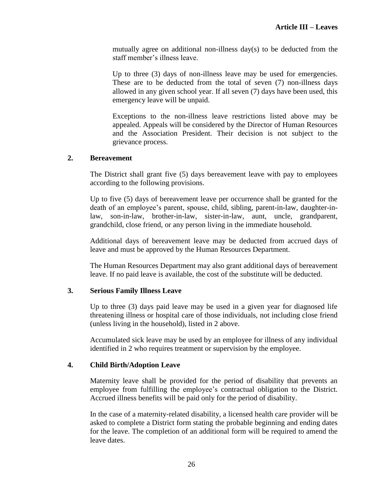mutually agree on additional non-illness day(s) to be deducted from the staff member's illness leave.

Up to three (3) days of non-illness leave may be used for emergencies. These are to be deducted from the total of seven (7) non-illness days allowed in any given school year. If all seven (7) days have been used, this emergency leave will be unpaid.

Exceptions to the non-illness leave restrictions listed above may be appealed. Appeals will be considered by the Director of Human Resources and the Association President. Their decision is not subject to the grievance process.

#### **2. Bereavement**

The District shall grant five (5) days bereavement leave with pay to employees according to the following provisions.

Up to five (5) days of bereavement leave per occurrence shall be granted for the death of an employee's parent, spouse, child, sibling, parent-in-law, daughter-inlaw, son-in-law, brother-in-law, sister-in-law, aunt, uncle, grandparent, grandchild, close friend, or any person living in the immediate household.

Additional days of bereavement leave may be deducted from accrued days of leave and must be approved by the Human Resources Department.

The Human Resources Department may also grant additional days of bereavement leave. If no paid leave is available, the cost of the substitute will be deducted.

#### **3. Serious Family Illness Leave**

Up to three (3) days paid leave may be used in a given year for diagnosed life threatening illness or hospital care of those individuals, not including close friend (unless living in the household), listed in 2 above.

Accumulated sick leave may be used by an employee for illness of any individual identified in 2 who requires treatment or supervision by the employee.

#### **4. Child Birth/Adoption Leave**

Maternity leave shall be provided for the period of disability that prevents an employee from fulfilling the employee's contractual obligation to the District. Accrued illness benefits will be paid only for the period of disability.

In the case of a maternity-related disability, a licensed health care provider will be asked to complete a District form stating the probable beginning and ending dates for the leave. The completion of an additional form will be required to amend the leave dates.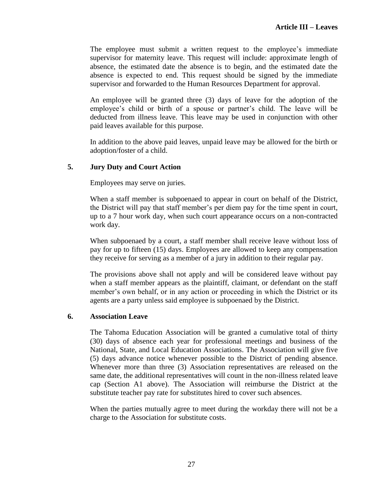The employee must submit a written request to the employee's immediate supervisor for maternity leave. This request will include: approximate length of absence, the estimated date the absence is to begin, and the estimated date the absence is expected to end. This request should be signed by the immediate supervisor and forwarded to the Human Resources Department for approval.

An employee will be granted three (3) days of leave for the adoption of the employee's child or birth of a spouse or partner's child. The leave will be deducted from illness leave. This leave may be used in conjunction with other paid leaves available for this purpose.

In addition to the above paid leaves, unpaid leave may be allowed for the birth or adoption/foster of a child.

#### **5. Jury Duty and Court Action**

Employees may serve on juries.

When a staff member is subpoenaed to appear in court on behalf of the District, the District will pay that staff member's per diem pay for the time spent in court, up to a 7 hour work day, when such court appearance occurs on a non-contracted work day.

When subpoenaed by a court, a staff member shall receive leave without loss of pay for up to fifteen (15) days. Employees are allowed to keep any compensation they receive for serving as a member of a jury in addition to their regular pay.

The provisions above shall not apply and will be considered leave without pay when a staff member appears as the plaintiff, claimant, or defendant on the staff member's own behalf, or in any action or proceeding in which the District or its agents are a party unless said employee is subpoenaed by the District.

#### **6. Association Leave**

The Tahoma Education Association will be granted a cumulative total of thirty (30) days of absence each year for professional meetings and business of the National, State, and Local Education Associations. The Association will give five (5) days advance notice whenever possible to the District of pending absence. Whenever more than three (3) Association representatives are released on the same date, the additional representatives will count in the non-illness related leave cap (Section A1 above). The Association will reimburse the District at the substitute teacher pay rate for substitutes hired to cover such absences.

When the parties mutually agree to meet during the workday there will not be a charge to the Association for substitute costs.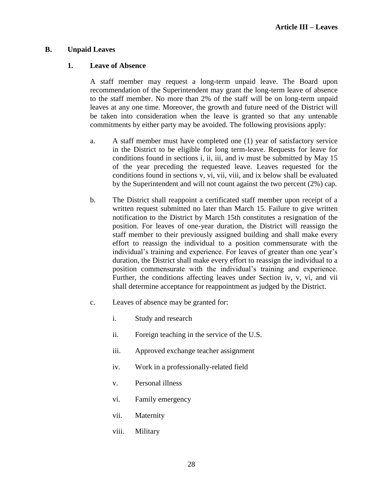**Article III – Leaves**

#### <span id="page-31-0"></span>**B. Unpaid Leaves**

#### **1. Leave of Absence**

A staff member may request a long-term unpaid leave. The Board upon recommendation of the Superintendent may grant the long-term leave of absence to the staff member. No more than 2% of the staff will be on long-term unpaid leaves at any one time. Moreover, the growth and future need of the District will be taken into consideration when the leave is granted so that any untenable commitments by either party may be avoided. The following provisions apply:

- a. A staff member must have completed one (1) year of satisfactory service in the District to be eligible for long term-leave. Requests for leave for conditions found in sections i, ii, iii, and iv must be submitted by May 15 of the year preceding the requested leave. Leaves requested for the conditions found in sections v, vi, vii, viii, and ix below shall be evaluated by the Superintendent and will not count against the two percent (2%) cap.
- b. The District shall reappoint a certificated staff member upon receipt of a written request submitted no later than March 15. Failure to give written notification to the District by March 15th constitutes a resignation of the position. For leaves of one-year duration, the District will reassign the staff member to their previously assigned building and shall make every effort to reassign the individual to a position commensurate with the individual's training and experience. For leaves of greater than one year's duration, the District shall make every effort to reassign the individual to a position commensurate with the individual's training and experience. Further, the conditions affecting leaves under Section iv, v, vi, and vii shall determine acceptance for reappointment as judged by the District.
- c. Leaves of absence may be granted for:
	- i. Study and research
	- ii. Foreign teaching in the service of the U.S.
	- iii. Approved exchange teacher assignment
	- iv. Work in a professionally-related field
	- v. Personal illness
	- vi. Family emergency
	- vii. Maternity
	- viii. Military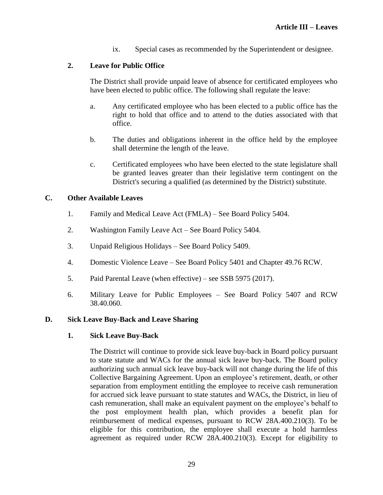ix. Special cases as recommended by the Superintendent or designee.

# **2. Leave for Public Office**

The District shall provide unpaid leave of absence for certificated employees who have been elected to public office. The following shall regulate the leave:

- a. Any certificated employee who has been elected to a public office has the right to hold that office and to attend to the duties associated with that office.
- b. The duties and obligations inherent in the office held by the employee shall determine the length of the leave.
- c. Certificated employees who have been elected to the state legislature shall be granted leaves greater than their legislative term contingent on the District's securing a qualified (as determined by the District) substitute.

# <span id="page-32-0"></span>**C. Other Available Leaves**

- 1. Family and Medical Leave Act (FMLA) See Board Policy 5404.
- 2. Washington Family Leave Act See Board Policy 5404.
- 3. Unpaid Religious Holidays See Board Policy 5409.
- 4. Domestic Violence Leave See Board Policy 5401 and Chapter 49.76 RCW.
- 5. Paid Parental Leave (when effective) see SSB 5975 (2017).
- 6. Military Leave for Public Employees See Board Policy 5407 and RCW 38.40.060.

# <span id="page-32-1"></span>**D. Sick Leave Buy-Back and Leave Sharing**

# **1. Sick Leave Buy-Back**

The District will continue to provide sick leave buy-back in Board policy pursuant to state statute and WACs for the annual sick leave buy-back. The Board policy authorizing such annual sick leave buy-back will not change during the life of this Collective Bargaining Agreement. Upon an employee's retirement, death, or other separation from employment entitling the employee to receive cash remuneration for accrued sick leave pursuant to state statutes and WACs, the District, in lieu of cash remuneration, shall make an equivalent payment on the employee's behalf to the post employment health plan, which provides a benefit plan for reimbursement of medical expenses, pursuant to RCW 28A.400.210(3). To be eligible for this contribution, the employee shall execute a hold harmless agreement as required under RCW 28A.400.210(3). Except for eligibility to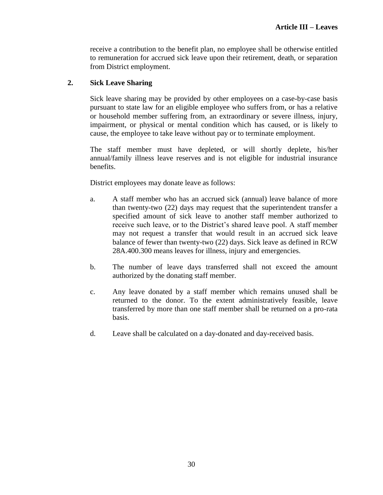receive a contribution to the benefit plan, no employee shall be otherwise entitled to remuneration for accrued sick leave upon their retirement, death, or separation from District employment.

#### **2. Sick Leave Sharing**

Sick leave sharing may be provided by other employees on a case-by-case basis pursuant to state law for an eligible employee who suffers from, or has a relative or household member suffering from, an extraordinary or severe illness, injury, impairment, or physical or mental condition which has caused, or is likely to cause, the employee to take leave without pay or to terminate employment.

The staff member must have depleted, or will shortly deplete, his/her annual/family illness leave reserves and is not eligible for industrial insurance benefits.

District employees may donate leave as follows:

- a. A staff member who has an accrued sick (annual) leave balance of more than twenty-two (22) days may request that the superintendent transfer a specified amount of sick leave to another staff member authorized to receive such leave, or to the District's shared leave pool. A staff member may not request a transfer that would result in an accrued sick leave balance of fewer than twenty-two (22) days. Sick leave as defined in RCW 28A.400.300 means leaves for illness, injury and emergencies.
- b. The number of leave days transferred shall not exceed the amount authorized by the donating staff member.
- c. Any leave donated by a staff member which remains unused shall be returned to the donor. To the extent administratively feasible, leave transferred by more than one staff member shall be returned on a pro-rata basis.
- d. Leave shall be calculated on a day-donated and day-received basis.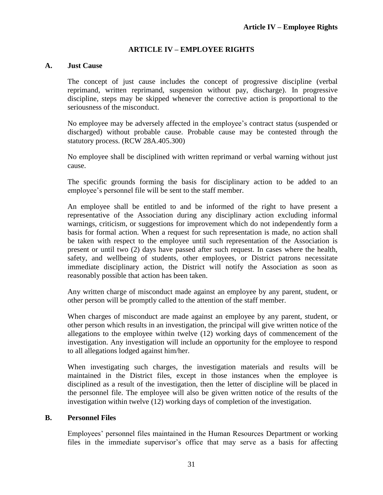#### **ARTICLE IV – EMPLOYEE RIGHTS**

#### <span id="page-34-1"></span><span id="page-34-0"></span>**A. Just Cause**

The concept of just cause includes the concept of progressive discipline (verbal reprimand, written reprimand, suspension without pay, discharge). In progressive discipline, steps may be skipped whenever the corrective action is proportional to the seriousness of the misconduct.

No employee may be adversely affected in the employee's contract status (suspended or discharged) without probable cause. Probable cause may be contested through the statutory process. (RCW 28A.405.300)

No employee shall be disciplined with written reprimand or verbal warning without just cause.

The specific grounds forming the basis for disciplinary action to be added to an employee's personnel file will be sent to the staff member.

An employee shall be entitled to and be informed of the right to have present a representative of the Association during any disciplinary action excluding informal warnings, criticism, or suggestions for improvement which do not independently form a basis for formal action. When a request for such representation is made, no action shall be taken with respect to the employee until such representation of the Association is present or until two (2) days have passed after such request. In cases where the health, safety, and wellbeing of students, other employees, or District patrons necessitate immediate disciplinary action, the District will notify the Association as soon as reasonably possible that action has been taken.

Any written charge of misconduct made against an employee by any parent, student, or other person will be promptly called to the attention of the staff member.

When charges of misconduct are made against an employee by any parent, student, or other person which results in an investigation, the principal will give written notice of the allegations to the employee within twelve (12) working days of commencement of the investigation. Any investigation will include an opportunity for the employee to respond to all allegations lodged against him/her.

When investigating such charges, the investigation materials and results will be maintained in the District files, except in those instances when the employee is disciplined as a result of the investigation, then the letter of discipline will be placed in the personnel file. The employee will also be given written notice of the results of the investigation within twelve (12) working days of completion of the investigation.

#### <span id="page-34-2"></span>**B. Personnel Files**

Employees' personnel files maintained in the Human Resources Department or working files in the immediate supervisor's office that may serve as a basis for affecting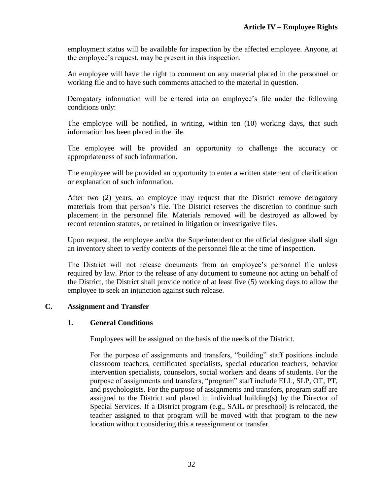employment status will be available for inspection by the affected employee. Anyone, at the employee's request, may be present in this inspection.

An employee will have the right to comment on any material placed in the personnel or working file and to have such comments attached to the material in question.

Derogatory information will be entered into an employee's file under the following conditions only:

The employee will be notified, in writing, within ten (10) working days, that such information has been placed in the file.

The employee will be provided an opportunity to challenge the accuracy or appropriateness of such information.

The employee will be provided an opportunity to enter a written statement of clarification or explanation of such information.

After two (2) years, an employee may request that the District remove derogatory materials from that person's file. The District reserves the discretion to continue such placement in the personnel file. Materials removed will be destroyed as allowed by record retention statutes, or retained in litigation or investigative files.

Upon request, the employee and/or the Superintendent or the official designee shall sign an inventory sheet to verify contents of the personnel file at the time of inspection.

The District will not release documents from an employee's personnel file unless required by law. Prior to the release of any document to someone not acting on behalf of the District, the District shall provide notice of at least five (5) working days to allow the employee to seek an injunction against such release.

# <span id="page-35-0"></span>**C. Assignment and Transfer**

#### **1. General Conditions**

Employees will be assigned on the basis of the needs of the District.

For the purpose of assignments and transfers, "building" staff positions include classroom teachers, certificated specialists, special education teachers, behavior intervention specialists, counselors, social workers and deans of students. For the purpose of assignments and transfers, "program" staff include ELL, SLP, OT, PT, and psychologists. For the purpose of assignments and transfers, program staff are assigned to the District and placed in individual building(s) by the Director of Special Services. If a District program (e.g., SAIL or preschool) is relocated, the teacher assigned to that program will be moved with that program to the new location without considering this a reassignment or transfer.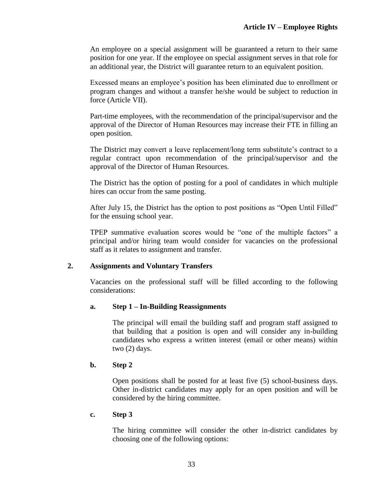An employee on a special assignment will be guaranteed a return to their same position for one year. If the employee on special assignment serves in that role for an additional year, the District will guarantee return to an equivalent position.

Excessed means an employee's position has been eliminated due to enrollment or program changes and without a transfer he/she would be subject to reduction in force (Article VII).

Part-time employees, with the recommendation of the principal/supervisor and the approval of the Director of Human Resources may increase their FTE in filling an open position.

The District may convert a leave replacement/long term substitute's contract to a regular contract upon recommendation of the principal/supervisor and the approval of the Director of Human Resources.

The District has the option of posting for a pool of candidates in which multiple hires can occur from the same posting.

After July 15, the District has the option to post positions as "Open Until Filled" for the ensuing school year.

TPEP summative evaluation scores would be "one of the multiple factors" a principal and/or hiring team would consider for vacancies on the professional staff as it relates to assignment and transfer.

# **2. Assignments and Voluntary Transfers**

Vacancies on the professional staff will be filled according to the following considerations:

### **a. Step 1 – In-Building Reassignments**

The principal will email the building staff and program staff assigned to that building that a position is open and will consider any in-building candidates who express a written interest (email or other means) within two (2) days.

### **b. Step 2**

Open positions shall be posted for at least five (5) school-business days. Other in-district candidates may apply for an open position and will be considered by the hiring committee.

### **c. Step 3**

The hiring committee will consider the other in-district candidates by choosing one of the following options: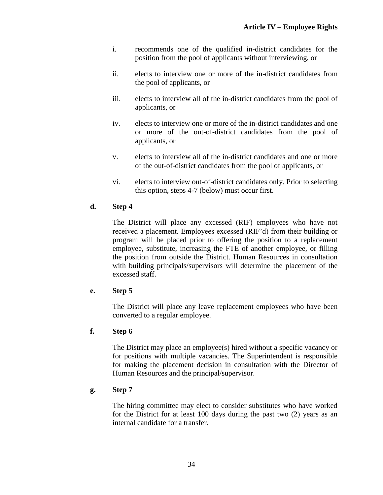- i. recommends one of the qualified in-district candidates for the position from the pool of applicants without interviewing, or
- ii. elects to interview one or more of the in-district candidates from the pool of applicants, or
- iii. elects to interview all of the in-district candidates from the pool of applicants, or
- iv. elects to interview one or more of the in-district candidates and one or more of the out-of-district candidates from the pool of applicants, or
- v. elects to interview all of the in-district candidates and one or more of the out-of-district candidates from the pool of applicants, or
- vi. elects to interview out-of-district candidates only. Prior to selecting this option, steps 4-7 (below) must occur first.

# **d. Step 4**

The District will place any excessed (RIF) employees who have not received a placement. Employees excessed (RIF'd) from their building or program will be placed prior to offering the position to a replacement employee, substitute, increasing the FTE of another employee, or filling the position from outside the District. Human Resources in consultation with building principals/supervisors will determine the placement of the excessed staff.

# **e. Step 5**

The District will place any leave replacement employees who have been converted to a regular employee.

# **f. Step 6**

The District may place an employee(s) hired without a specific vacancy or for positions with multiple vacancies. The Superintendent is responsible for making the placement decision in consultation with the Director of Human Resources and the principal/supervisor.

# **g. Step 7**

The hiring committee may elect to consider substitutes who have worked for the District for at least 100 days during the past two (2) years as an internal candidate for a transfer.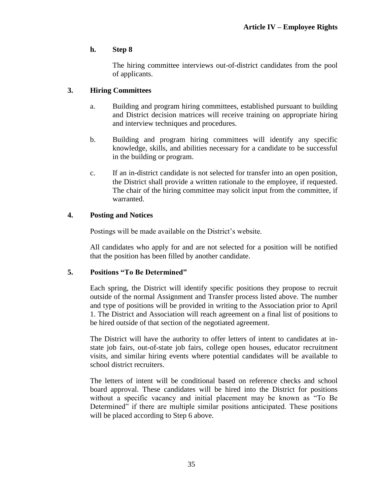# **h. Step 8**

The hiring committee interviews out-of-district candidates from the pool of applicants.

## **3. Hiring Committees**

- a. Building and program hiring committees, established pursuant to building and District decision matrices will receive training on appropriate hiring and interview techniques and procedures.
- b. Building and program hiring committees will identify any specific knowledge, skills, and abilities necessary for a candidate to be successful in the building or program.
- c. If an in-district candidate is not selected for transfer into an open position, the District shall provide a written rationale to the employee, if requested. The chair of the hiring committee may solicit input from the committee, if warranted.

### **4. Posting and Notices**

Postings will be made available on the District's website.

All candidates who apply for and are not selected for a position will be notified that the position has been filled by another candidate.

# **5. Positions "To Be Determined"**

Each spring, the District will identify specific positions they propose to recruit outside of the normal Assignment and Transfer process listed above. The number and type of positions will be provided in writing to the Association prior to April 1. The District and Association will reach agreement on a final list of positions to be hired outside of that section of the negotiated agreement.

The District will have the authority to offer letters of intent to candidates at instate job fairs, out-of-state job fairs, college open houses, educator recruitment visits, and similar hiring events where potential candidates will be available to school district recruiters.

The letters of intent will be conditional based on reference checks and school board approval. These candidates will be hired into the District for positions without a specific vacancy and initial placement may be known as "To Be Determined" if there are multiple similar positions anticipated. These positions will be placed according to Step 6 above.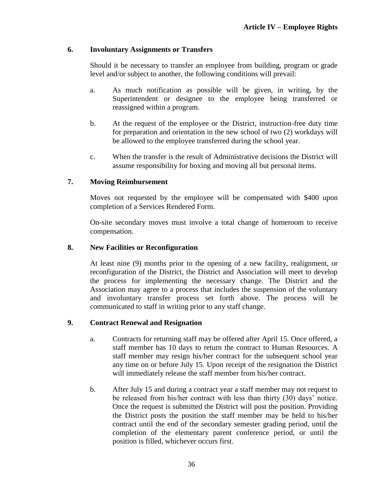### **6. Involuntary Assignments or Transfers**

Should it be necessary to transfer an employee from building, program or grade level and/or subject to another, the following conditions will prevail:

- a. As much notification as possible will be given, in writing, by the Superintendent or designee to the employee being transferred or reassigned within a program.
- b. At the request of the employee or the District, instruction-free duty time for preparation and orientation in the new school of two (2) workdays will be allowed to the employee transferred during the school year.
- c. When the transfer is the result of Administrative decisions the District will assume responsibility for boxing and moving all but personal items.

# **7. Moving Reimbursement**

Moves not requested by the employee will be compensated with \$400 upon completion of a Services Rendered Form.

On-site secondary moves must involve a total change of homeroom to receive compensation.

### **8. New Facilities or Reconfiguration**

At least nine (9) months prior to the opening of a new facility, realignment, or reconfiguration of the District, the District and Association will meet to develop the process for implementing the necessary change. The District and the Association may agree to a process that includes the suspension of the voluntary and involuntary transfer process set forth above. The process will be communicated to staff in writing prior to any staff change.

# **9. Contract Renewal and Resignation**

- a. Contracts for returning staff may be offered after April 15. Once offered, a staff member has 10 days to return the contract to Human Resources. A staff member may resign his/her contract for the subsequent school year any time on or before July 15. Upon receipt of the resignation the District will immediately release the staff member from his/her contract.
- b. After July 15 and during a contract year a staff member may not request to be released from his/her contract with less than thirty (30) days' notice. Once the request is submitted the District will post the position. Providing the District posts the position the staff member may be held to his/her contract until the end of the secondary semester grading period, until the completion of the elementary parent conference period, or until the position is filled, whichever occurs first.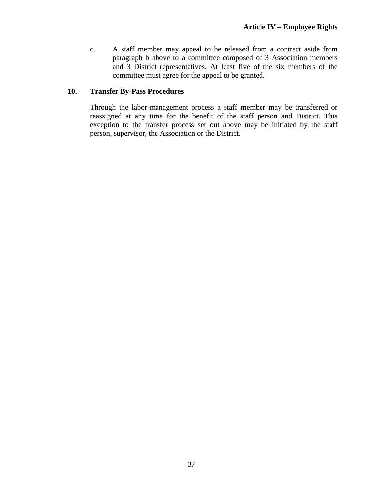c. A staff member may appeal to be released from a contract aside from paragraph b above to a committee composed of 3 Association members and 3 District representatives. At least five of the six members of the committee must agree for the appeal to be granted.

## **10. Transfer By-Pass Procedures**

Through the labor-management process a staff member may be transferred or reassigned at any time for the benefit of the staff person and District. This exception to the transfer process set out above may be initiated by the staff person, supervisor, the Association or the District.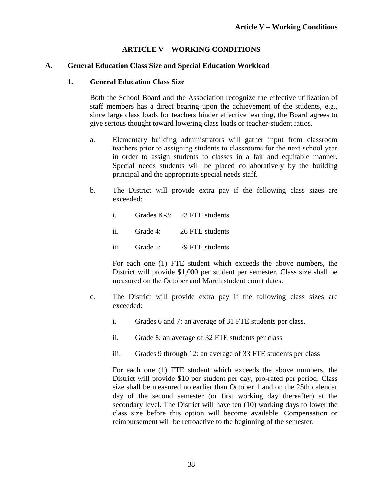# **ARTICLE V – WORKING CONDITIONS**

### **A. General Education Class Size and Special Education Workload**

### **1. General Education Class Size**

Both the School Board and the Association recognize the effective utilization of staff members has a direct bearing upon the achievement of the students, e.g., since large class loads for teachers hinder effective learning, the Board agrees to give serious thought toward lowering class loads or teacher-student ratios.

- a. Elementary building administrators will gather input from classroom teachers prior to assigning students to classrooms for the next school year in order to assign students to classes in a fair and equitable manner. Special needs students will be placed collaboratively by the building principal and the appropriate special needs staff.
- b. The District will provide extra pay if the following class sizes are exceeded:
	- i. Grades K-3: 23 FTE students
	- ii. Grade 4: 26 FTE students
	- iii. Grade 5: 29 FTE students

For each one (1) FTE student which exceeds the above numbers, the District will provide \$1,000 per student per semester. Class size shall be measured on the October and March student count dates.

- c. The District will provide extra pay if the following class sizes are exceeded:
	- i. Grades 6 and 7: an average of 31 FTE students per class.
	- ii. Grade 8: an average of 32 FTE students per class
	- iii. Grades 9 through 12: an average of 33 FTE students per class

For each one (1) FTE student which exceeds the above numbers, the District will provide \$10 per student per day, pro-rated per period. Class size shall be measured no earlier than October 1 and on the 25th calendar day of the second semester (or first working day thereafter) at the secondary level. The District will have ten (10) working days to lower the class size before this option will become available. Compensation or reimbursement will be retroactive to the beginning of the semester.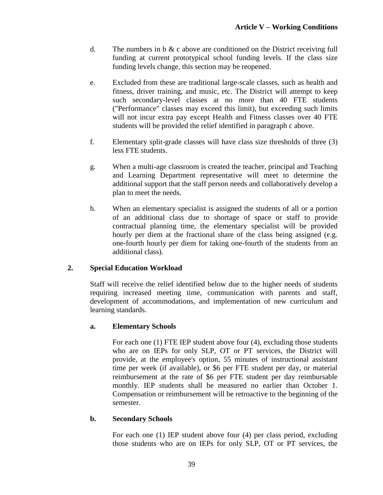- d. The numbers in  $\delta \& c$  above are conditioned on the District receiving full funding at current prototypical school funding levels. If the class size funding levels change, this section may be reopened.
- e. Excluded from these are traditional large-scale classes, such as health and fitness, driver training, and music, etc. The District will attempt to keep such secondary-level classes at no more than 40 FTE students ("Performance" classes may exceed this limit), but exceeding such limits will not incur extra pay except Health and Fitness classes over 40 FTE students will be provided the relief identified in paragraph c above.
- f. Elementary split-grade classes will have class size thresholds of three (3) less FTE students.
- g. When a multi-age classroom is created the teacher, principal and Teaching and Learning Department representative will meet to determine the additional support that the staff person needs and collaboratively develop a plan to meet the needs.
- h. When an elementary specialist is assigned the students of all or a portion of an additional class due to shortage of space or staff to provide contractual planning time, the elementary specialist will be provided hourly per diem at the fractional share of the class being assigned (e.g. one-fourth hourly per diem for taking one-fourth of the students from an additional class).

# **2. Special Education Workload**

Staff will receive the relief identified below due to the higher needs of students requiring increased meeting time, communication with parents and staff, development of accommodations, and implementation of new curriculum and learning standards.

# **a. Elementary Schools**

For each one (1) FTE IEP student above four (4), excluding those students who are on IEPs for only SLP, OT or PT services, the District will provide, at the employee's option, 55 minutes of instructional assistant time per week (if available), or \$6 per FTE student per day, or material reimbursement at the rate of \$6 per FTE student per day reimbursable monthly. IEP students shall be measured no earlier than October 1. Compensation or reimbursement will be retroactive to the beginning of the semester.

# **b. Secondary Schools**

For each one (1) IEP student above four (4) per class period, excluding those students who are on IEPs for only SLP, OT or PT services, the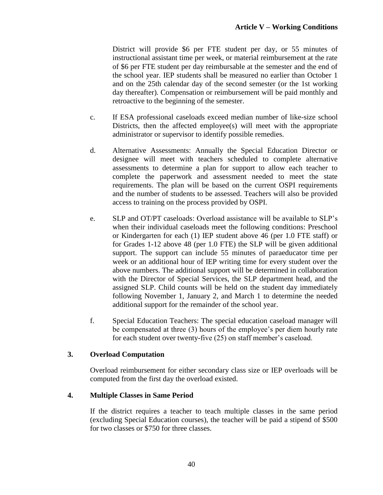District will provide \$6 per FTE student per day, or 55 minutes of instructional assistant time per week, or material reimbursement at the rate of \$6 per FTE student per day reimbursable at the semester and the end of the school year. IEP students shall be measured no earlier than October 1 and on the 25th calendar day of the second semester (or the 1st working day thereafter). Compensation or reimbursement will be paid monthly and retroactive to the beginning of the semester.

- c. If ESA professional caseloads exceed median number of like-size school Districts, then the affected employee(s) will meet with the appropriate administrator or supervisor to identify possible remedies.
- d. Alternative Assessments: Annually the Special Education Director or designee will meet with teachers scheduled to complete alternative assessments to determine a plan for support to allow each teacher to complete the paperwork and assessment needed to meet the state requirements. The plan will be based on the current OSPI requirements and the number of students to be assessed. Teachers will also be provided access to training on the process provided by OSPI.
- e. SLP and OT/PT caseloads: Overload assistance will be available to SLP's when their individual caseloads meet the following conditions: Preschool or Kindergarten for each (1) IEP student above 46 (per 1.0 FTE staff) or for Grades 1-12 above 48 (per 1.0 FTE) the SLP will be given additional support. The support can include 55 minutes of paraeducator time per week or an additional hour of IEP writing time for every student over the above numbers. The additional support will be determined in collaboration with the Director of Special Services, the SLP department head, and the assigned SLP. Child counts will be held on the student day immediately following November 1, January 2, and March 1 to determine the needed additional support for the remainder of the school year.
- f. Special Education Teachers: The special education caseload manager will be compensated at three (3) hours of the employee's per diem hourly rate for each student over twenty-five (25) on staff member's caseload.

### **3. Overload Computation**

Overload reimbursement for either secondary class size or IEP overloads will be computed from the first day the overload existed.

### **4. Multiple Classes in Same Period**

If the district requires a teacher to teach multiple classes in the same period (excluding Special Education courses), the teacher will be paid a stipend of \$500 for two classes or \$750 for three classes.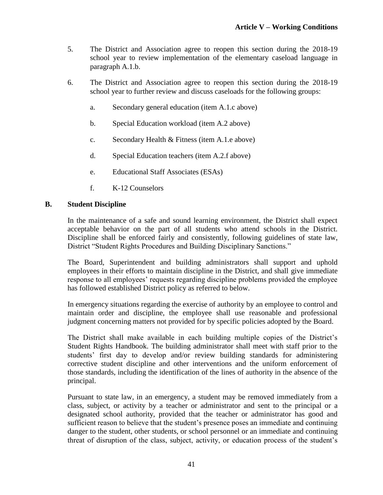- 5. The District and Association agree to reopen this section during the 2018-19 school year to review implementation of the elementary caseload language in paragraph A.1.b.
- 6. The District and Association agree to reopen this section during the 2018-19 school year to further review and discuss caseloads for the following groups:
	- a. Secondary general education (item A.1.c above)
	- b. Special Education workload (item A.2 above)
	- c. Secondary Health & Fitness (item A.1.e above)
	- d. Special Education teachers (item A.2.f above)
	- e. Educational Staff Associates (ESAs)
	- f. K-12 Counselors

### **B. Student Discipline**

In the maintenance of a safe and sound learning environment, the District shall expect acceptable behavior on the part of all students who attend schools in the District. Discipline shall be enforced fairly and consistently, following guidelines of state law, District "Student Rights Procedures and Building Disciplinary Sanctions."

The Board, Superintendent and building administrators shall support and uphold employees in their efforts to maintain discipline in the District, and shall give immediate response to all employees' requests regarding discipline problems provided the employee has followed established District policy as referred to below.

In emergency situations regarding the exercise of authority by an employee to control and maintain order and discipline, the employee shall use reasonable and professional judgment concerning matters not provided for by specific policies adopted by the Board.

The District shall make available in each building multiple copies of the District's Student Rights Handbook. The building administrator shall meet with staff prior to the students' first day to develop and/or review building standards for administering corrective student discipline and other interventions and the uniform enforcement of those standards, including the identification of the lines of authority in the absence of the principal.

Pursuant to state law, in an emergency, a student may be removed immediately from a class, subject, or activity by a teacher or administrator and sent to the principal or a designated school authority, provided that the teacher or administrator has good and sufficient reason to believe that the student's presence poses an immediate and continuing danger to the student, other students, or school personnel or an immediate and continuing threat of disruption of the class, subject, activity, or education process of the student's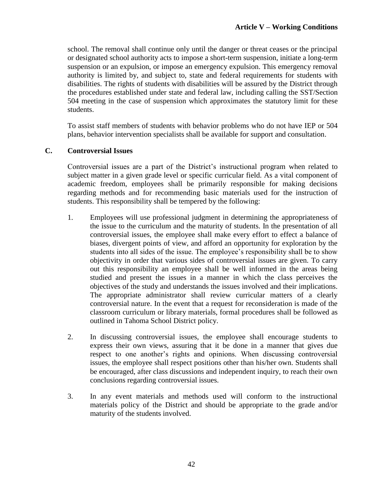school. The removal shall continue only until the danger or threat ceases or the principal or designated school authority acts to impose a short-term suspension, initiate a long-term suspension or an expulsion, or impose an emergency expulsion. This emergency removal authority is limited by, and subject to, state and federal requirements for students with disabilities. The rights of students with disabilities will be assured by the District through the procedures established under state and federal law, including calling the SST/Section 504 meeting in the case of suspension which approximates the statutory limit for these students.

To assist staff members of students with behavior problems who do not have IEP or 504 plans, behavior intervention specialists shall be available for support and consultation.

### **C. Controversial Issues**

Controversial issues are a part of the District's instructional program when related to subject matter in a given grade level or specific curricular field. As a vital component of academic freedom, employees shall be primarily responsible for making decisions regarding methods and for recommending basic materials used for the instruction of students. This responsibility shall be tempered by the following:

- 1. Employees will use professional judgment in determining the appropriateness of the issue to the curriculum and the maturity of students. In the presentation of all controversial issues, the employee shall make every effort to effect a balance of biases, divergent points of view, and afford an opportunity for exploration by the students into all sides of the issue. The employee's responsibility shall be to show objectivity in order that various sides of controversial issues are given. To carry out this responsibility an employee shall be well informed in the areas being studied and present the issues in a manner in which the class perceives the objectives of the study and understands the issues involved and their implications. The appropriate administrator shall review curricular matters of a clearly controversial nature. In the event that a request for reconsideration is made of the classroom curriculum or library materials, formal procedures shall be followed as outlined in Tahoma School District policy.
- 2. In discussing controversial issues, the employee shall encourage students to express their own views, assuring that it be done in a manner that gives due respect to one another's rights and opinions. When discussing controversial issues, the employee shall respect positions other than his/her own. Students shall be encouraged, after class discussions and independent inquiry, to reach their own conclusions regarding controversial issues.
- 3. In any event materials and methods used will conform to the instructional materials policy of the District and should be appropriate to the grade and/or maturity of the students involved.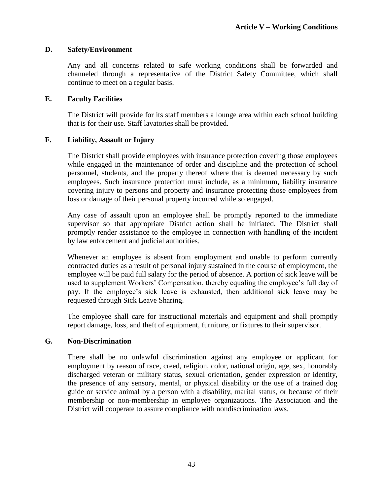### **D. Safety/Environment**

Any and all concerns related to safe working conditions shall be forwarded and channeled through a representative of the District Safety Committee, which shall continue to meet on a regular basis.

### **E. Faculty Facilities**

The District will provide for its staff members a lounge area within each school building that is for their use. Staff lavatories shall be provided.

### **F. Liability, Assault or Injury**

The District shall provide employees with insurance protection covering those employees while engaged in the maintenance of order and discipline and the protection of school personnel, students, and the property thereof where that is deemed necessary by such employees. Such insurance protection must include, as a minimum, liability insurance covering injury to persons and property and insurance protecting those employees from loss or damage of their personal property incurred while so engaged.

Any case of assault upon an employee shall be promptly reported to the immediate supervisor so that appropriate District action shall be initiated. The District shall promptly render assistance to the employee in connection with handling of the incident by law enforcement and judicial authorities.

Whenever an employee is absent from employment and unable to perform currently contracted duties as a result of personal injury sustained in the course of employment, the employee will be paid full salary for the period of absence. A portion of sick leave will be used to supplement Workers' Compensation, thereby equaling the employee's full day of pay. If the employee's sick leave is exhausted, then additional sick leave may be requested through Sick Leave Sharing.

The employee shall care for instructional materials and equipment and shall promptly report damage, loss, and theft of equipment, furniture, or fixtures to their supervisor.

### **G. Non-Discrimination**

There shall be no unlawful discrimination against any employee or applicant for employment by reason of race, creed, religion, color, national origin, age, sex, honorably discharged veteran or military status, sexual orientation, gender expression or identity, the presence of any sensory, mental, or physical disability or the use of a trained dog guide or service animal by a person with a disability, marital status, or because of their membership or non-membership in employee organizations. The Association and the District will cooperate to assure compliance with nondiscrimination laws.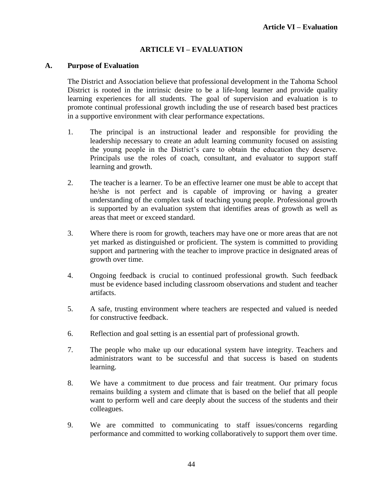# **ARTICLE VI – EVALUATION**

#### **A. Purpose of Evaluation**

The District and Association believe that professional development in the Tahoma School District is rooted in the intrinsic desire to be a life-long learner and provide quality learning experiences for all students. The goal of supervision and evaluation is to promote continual professional growth including the use of research based best practices in a supportive environment with clear performance expectations.

- 1. The principal is an instructional leader and responsible for providing the leadership necessary to create an adult learning community focused on assisting the young people in the District's care to obtain the education they deserve. Principals use the roles of coach, consultant, and evaluator to support staff learning and growth.
- 2. The teacher is a learner. To be an effective learner one must be able to accept that he/she is not perfect and is capable of improving or having a greater understanding of the complex task of teaching young people. Professional growth is supported by an evaluation system that identifies areas of growth as well as areas that meet or exceed standard.
- 3. Where there is room for growth, teachers may have one or more areas that are not yet marked as distinguished or proficient. The system is committed to providing support and partnering with the teacher to improve practice in designated areas of growth over time.
- 4. Ongoing feedback is crucial to continued professional growth. Such feedback must be evidence based including classroom observations and student and teacher artifacts.
- 5. A safe, trusting environment where teachers are respected and valued is needed for constructive feedback.
- 6. Reflection and goal setting is an essential part of professional growth.
- 7. The people who make up our educational system have integrity. Teachers and administrators want to be successful and that success is based on students learning.
- 8. We have a commitment to due process and fair treatment. Our primary focus remains building a system and climate that is based on the belief that all people want to perform well and care deeply about the success of the students and their colleagues.
- 9. We are committed to communicating to staff issues/concerns regarding performance and committed to working collaboratively to support them over time.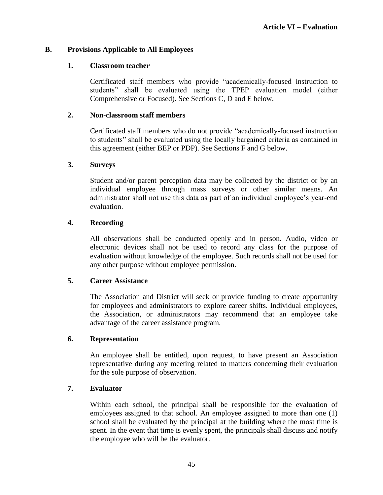### **B. Provisions Applicable to All Employees**

### **1. Classroom teacher**

Certificated staff members who provide "academically-focused instruction to students" shall be evaluated using the TPEP evaluation model (either Comprehensive or Focused). See Sections C, D and E below.

### **2. Non-classroom staff members**

Certificated staff members who do not provide "academically-focused instruction to students" shall be evaluated using the locally bargained criteria as contained in this agreement (either BEP or PDP). See Sections F and G below.

### **3. Surveys**

Student and/or parent perception data may be collected by the district or by an individual employee through mass surveys or other similar means. An administrator shall not use this data as part of an individual employee's year-end evaluation.

### **4. Recording**

All observations shall be conducted openly and in person. Audio, video or electronic devices shall not be used to record any class for the purpose of evaluation without knowledge of the employee. Such records shall not be used for any other purpose without employee permission.

### **5. Career Assistance**

The Association and District will seek or provide funding to create opportunity for employees and administrators to explore career shifts. Individual employees, the Association, or administrators may recommend that an employee take advantage of the career assistance program.

### **6. Representation**

An employee shall be entitled, upon request, to have present an Association representative during any meeting related to matters concerning their evaluation for the sole purpose of observation.

### **7. Evaluator**

Within each school, the principal shall be responsible for the evaluation of employees assigned to that school. An employee assigned to more than one (1) school shall be evaluated by the principal at the building where the most time is spent. In the event that time is evenly spent, the principals shall discuss and notify the employee who will be the evaluator.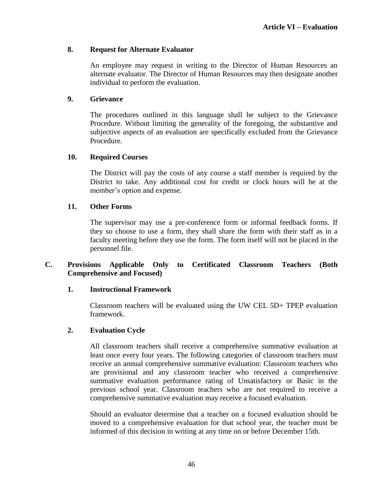### **8. Request for Alternate Evaluator**

An employee may request in writing to the Director of Human Resources an alternate evaluator. The Director of Human Resources may then designate another individual to perform the evaluation.

### **9. Grievance**

The procedures outlined in this language shall be subject to the Grievance Procedure. Without limiting the generality of the foregoing, the substantive and subjective aspects of an evaluation are specifically excluded from the Grievance Procedure.

### **10. Required Courses**

The District will pay the costs of any course a staff member is required by the District to take. Any additional cost for credit or clock hours will be at the member's option and expense.

### **11. Other Forms**

The supervisor may use a pre-conference form or informal feedback forms. If they so choose to use a form, they shall share the form with their staff as in a faculty meeting before they use the form. The form itself will not be placed in the personnel file.

### **C. Provisions Applicable Only to Certificated Classroom Teachers (Both Comprehensive and Focused)**

#### **1. Instructional Framework**

Classroom teachers will be evaluated using the UW CEL 5D+ TPEP evaluation framework.

#### **2. Evaluation Cycle**

All classroom teachers shall receive a comprehensive summative evaluation at least once every four years. The following categories of classroom teachers must receive an annual comprehensive summative evaluation: Classroom teachers who are provisional and any classroom teacher who received a comprehensive summative evaluation performance rating of Unsatisfactory or Basic in the previous school year. Classroom teachers who are not required to receive a comprehensive summative evaluation may receive a focused evaluation.

Should an evaluator determine that a teacher on a focused evaluation should be moved to a comprehensive evaluation for that school year, the teacher must be informed of this decision in writing at any time on or before December 15th.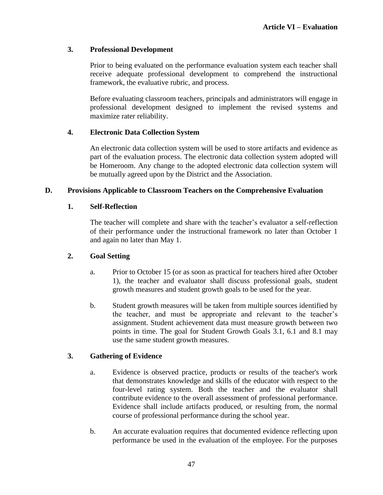# **3. Professional Development**

Prior to being evaluated on the performance evaluation system each teacher shall receive adequate professional development to comprehend the instructional framework, the evaluative rubric, and process.

Before evaluating classroom teachers, principals and administrators will engage in professional development designed to implement the revised systems and maximize rater reliability.

# **4. Electronic Data Collection System**

An electronic data collection system will be used to store artifacts and evidence as part of the evaluation process. The electronic data collection system adopted will be Homeroom. Any change to the adopted electronic data collection system will be mutually agreed upon by the District and the Association.

# **D. Provisions Applicable to Classroom Teachers on the Comprehensive Evaluation**

# **1. Self-Reflection**

The teacher will complete and share with the teacher's evaluator a self-reflection of their performance under the instructional framework no later than October 1 and again no later than May 1.

# **2. Goal Setting**

- a. Prior to October 15 (or as soon as practical for teachers hired after October 1), the teacher and evaluator shall discuss professional goals, student growth measures and student growth goals to be used for the year.
- b. Student growth measures will be taken from multiple sources identified by the teacher, and must be appropriate and relevant to the teacher's assignment. Student achievement data must measure growth between two points in time. The goal for Student Growth Goals 3.1, 6.1 and 8.1 may use the same student growth measures.

# **3. Gathering of Evidence**

- a. Evidence is observed practice, products or results of the teacher's work that demonstrates knowledge and skills of the educator with respect to the four-level rating system. Both the teacher and the evaluator shall contribute evidence to the overall assessment of professional performance. Evidence shall include artifacts produced, or resulting from, the normal course of professional performance during the school year.
- b. An accurate evaluation requires that documented evidence reflecting upon performance be used in the evaluation of the employee. For the purposes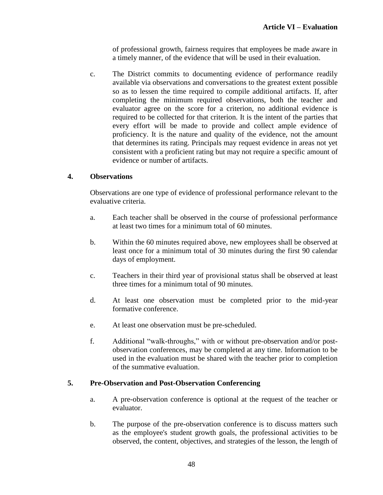of professional growth, fairness requires that employees be made aware in a timely manner, of the evidence that will be used in their evaluation.

c. The District commits to documenting evidence of performance readily available via observations and conversations to the greatest extent possible so as to lessen the time required to compile additional artifacts. If, after completing the minimum required observations, both the teacher and evaluator agree on the score for a criterion, no additional evidence is required to be collected for that criterion. It is the intent of the parties that every effort will be made to provide and collect ample evidence of proficiency. It is the nature and quality of the evidence, not the amount that determines its rating. Principals may request evidence in areas not yet consistent with a proficient rating but may not require a specific amount of evidence or number of artifacts.

# **4. Observations**

Observations are one type of evidence of professional performance relevant to the evaluative criteria.

- a. Each teacher shall be observed in the course of professional performance at least two times for a minimum total of 60 minutes.
- b. Within the 60 minutes required above, new employees shall be observed at least once for a minimum total of 30 minutes during the first 90 calendar days of employment.
- c. Teachers in their third year of provisional status shall be observed at least three times for a minimum total of 90 minutes.
- d. At least one observation must be completed prior to the mid-year formative conference.
- e. At least one observation must be pre-scheduled.
- f. Additional "walk-throughs," with or without pre-observation and/or postobservation conferences, may be completed at any time. Information to be used in the evaluation must be shared with the teacher prior to completion of the summative evaluation.

# **5. Pre-Observation and Post-Observation Conferencing**

- a. A pre-observation conference is optional at the request of the teacher or evaluator.
- b. The purpose of the pre-observation conference is to discuss matters such as the employee's student growth goals, the professional activities to be observed, the content, objectives, and strategies of the lesson, the length of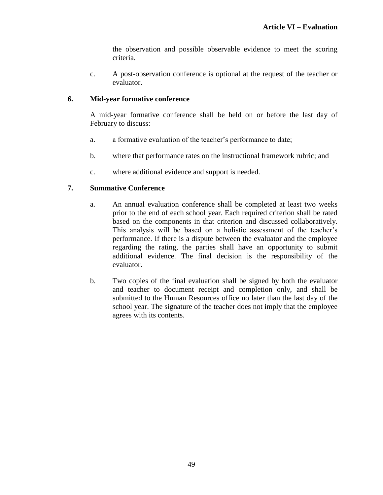the observation and possible observable evidence to meet the scoring criteria.

c. A post-observation conference is optional at the request of the teacher or evaluator.

# **6. Mid-year formative conference**

A mid-year formative conference shall be held on or before the last day of February to discuss:

- a. a formative evaluation of the teacher's performance to date;
- b. where that performance rates on the instructional framework rubric; and
- c. where additional evidence and support is needed.

# **7. Summative Conference**

- a. An annual evaluation conference shall be completed at least two weeks prior to the end of each school year. Each required criterion shall be rated based on the components in that criterion and discussed collaboratively. This analysis will be based on a holistic assessment of the teacher's performance. If there is a dispute between the evaluator and the employee regarding the rating, the parties shall have an opportunity to submit additional evidence. The final decision is the responsibility of the evaluator.
- b. Two copies of the final evaluation shall be signed by both the evaluator and teacher to document receipt and completion only, and shall be submitted to the Human Resources office no later than the last day of the school year. The signature of the teacher does not imply that the employee agrees with its contents.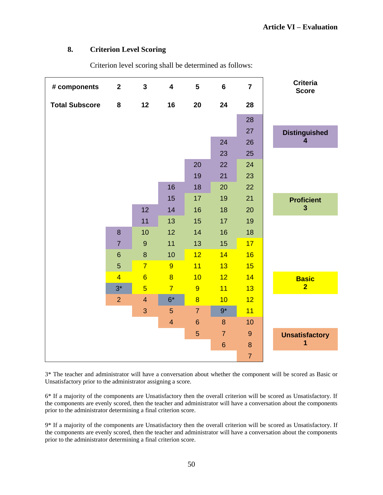### **8. Criterion Level Scoring**

| # components          | $\overline{2}$ | $\overline{\mathbf{3}}$ | $\overline{\mathbf{4}}$ | 5              | $6\phantom{a}$ | $\overline{7}$   | <b>Criteria</b><br><b>Score</b> |
|-----------------------|----------------|-------------------------|-------------------------|----------------|----------------|------------------|---------------------------------|
| <b>Total Subscore</b> | 8              | 12                      | 16                      | 20             | 24             | 28               |                                 |
|                       |                |                         |                         |                |                | 28               |                                 |
|                       |                |                         |                         |                |                | 27               | <b>Distinguished</b>            |
|                       |                |                         |                         |                | 24             | 26               | $\overline{\mathbf{4}}$         |
|                       |                |                         |                         |                | 23             | 25               |                                 |
|                       |                |                         |                         | 20             | 22             | 24               |                                 |
|                       |                |                         |                         | 19             | 21             | 23               |                                 |
|                       |                |                         | 16                      | 18             | 20             | 22               |                                 |
|                       |                |                         | 15                      | 17             | 19             | 21               | <b>Proficient</b>               |
|                       |                | 12                      | 14                      | 16             | 18             | 20               | $\mathbf{3}$                    |
|                       |                | 11                      | 13                      | 15             | 17             | 19               |                                 |
|                       | 8              | 10                      | 12                      | 14             | 16             | 18               |                                 |
|                       | $\overline{7}$ | $\boldsymbol{9}$        | 11                      | 13             | 15             | 17               |                                 |
|                       | $6\phantom{1}$ | 8                       | 10                      | 12             | 14             | 16               |                                 |
|                       | 5              | $\overline{7}$          | 9                       | 11             | 13             | 15               |                                 |
|                       | $\overline{4}$ | $6\phantom{a}$          | $\overline{8}$          | 10             | 12             | 14               | <b>Basic</b>                    |
|                       | $3^*$          | $\overline{5}$          | $\overline{7}$          | 9              | 11             | 13               | $\overline{2}$                  |
|                       | $\overline{2}$ | $\overline{4}$          | $6*$                    | $\overline{8}$ | 10             | 12               |                                 |
|                       |                | 3                       | 5                       | $\overline{7}$ | $9*$           | 11               |                                 |
|                       |                |                         | $\overline{4}$          | $6\phantom{1}$ | 8              | 10               |                                 |
|                       |                |                         |                         | 5              | $\overline{7}$ | $\boldsymbol{9}$ | <b>Unsatisfactory</b>           |
|                       |                |                         |                         |                | $6\phantom{a}$ | $\bf8$           | 1                               |
|                       |                |                         |                         |                |                | $\overline{7}$   |                                 |

Criterion level scoring shall be determined as follows:

3\* The teacher and administrator will have a conversation about whether the component will be scored as Basic or Unsatisfactory prior to the administrator assigning a score.

6\* If a majority of the components are Unsatisfactory then the overall criterion will be scored as Unsatisfactory. If the components are evenly scored, then the teacher and administrator will have a conversation about the components prior to the administrator determining a final criterion score.

9\* If a majority of the components are Unsatisfactory then the overall criterion will be scored as Unsatisfactory. If the components are evenly scored, then the teacher and administrator will have a conversation about the components prior to the administrator determining a final criterion score.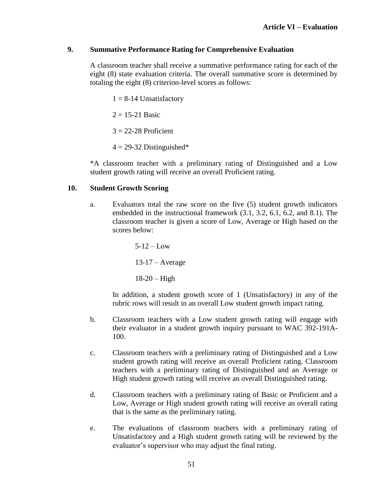### **9. Summative Performance Rating for Comprehensive Evaluation**

A classroom teacher shall receive a summative performance rating for each of the eight (8) state evaluation criteria. The overall summative score is determined by totaling the eight (8) criterion-level scores as follows:

 $1 = 8-14$  Unsatisfactory

 $2 = 15 - 21$  Basic

 $3 = 22 - 28$  Proficient

 $4 = 29-32$  Distinguished\*

\*A classroom teacher with a preliminary rating of Distinguished and a Low student growth rating will receive an overall Proficient rating.

### **10. Student Growth Scoring**

a. Evaluators total the raw score on the five (5) student growth indicators embedded in the instructional framework (3.1, 3.2, 6.1, 6.2, and 8.1). The classroom teacher is given a score of Low, Average or High based on the scores below:

> $5-12 - I_0w$ 13-17 – Average  $18-20$  – High

In addition, a student growth score of 1 (Unsatisfactory) in any of the rubric rows will result in an overall Low student growth impact rating.

- b. Classroom teachers with a Low student growth rating will engage with their evaluator in a student growth inquiry pursuant to WAC 392-191A-100.
- c. Classroom teachers with a preliminary rating of Distinguished and a Low student growth rating will receive an overall Proficient rating. Classroom teachers with a preliminary rating of Distinguished and an Average or High student growth rating will receive an overall Distinguished rating.
- d. Classroom teachers with a preliminary rating of Basic or Proficient and a Low, Average or High student growth rating will receive an overall rating that is the same as the preliminary rating.
- e. The evaluations of classroom teachers with a preliminary rating of Unsatisfactory and a High student growth rating will be reviewed by the evaluator's supervisor who may adjust the final rating.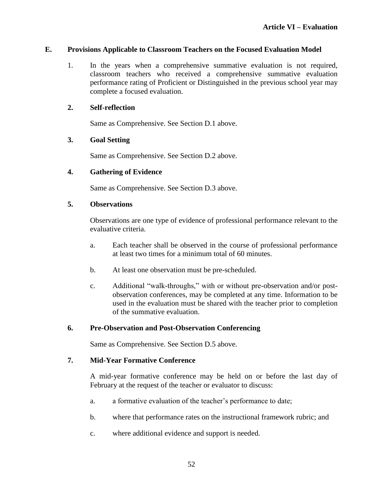### **E. Provisions Applicable to Classroom Teachers on the Focused Evaluation Model**

1. In the years when a comprehensive summative evaluation is not required, classroom teachers who received a comprehensive summative evaluation performance rating of Proficient or Distinguished in the previous school year may complete a focused evaluation.

### **2. Self-reflection**

Same as Comprehensive. See Section D.1 above.

### **3. Goal Setting**

Same as Comprehensive. See Section D.2 above.

### **4. Gathering of Evidence**

Same as Comprehensive. See Section D.3 above.

### **5. Observations**

Observations are one type of evidence of professional performance relevant to the evaluative criteria.

- a. Each teacher shall be observed in the course of professional performance at least two times for a minimum total of 60 minutes.
- b. At least one observation must be pre-scheduled.
- c. Additional "walk-throughs," with or without pre-observation and/or postobservation conferences, may be completed at any time. Information to be used in the evaluation must be shared with the teacher prior to completion of the summative evaluation.

# **6. Pre-Observation and Post-Observation Conferencing**

Same as Comprehensive. See Section D.5 above.

### **7. Mid-Year Formative Conference**

A mid-year formative conference may be held on or before the last day of February at the request of the teacher or evaluator to discuss:

- a. a formative evaluation of the teacher's performance to date;
- b. where that performance rates on the instructional framework rubric; and
- c. where additional evidence and support is needed.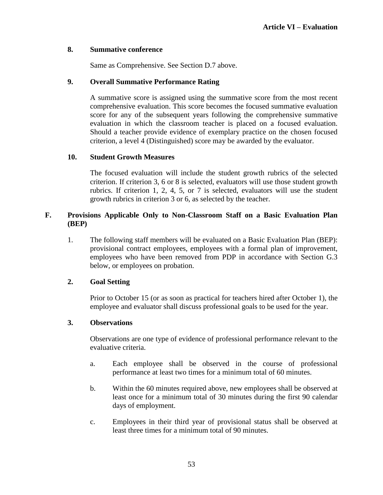### **8. Summative conference**

Same as Comprehensive. See Section D.7 above.

### **9. Overall Summative Performance Rating**

A summative score is assigned using the summative score from the most recent comprehensive evaluation. This score becomes the focused summative evaluation score for any of the subsequent years following the comprehensive summative evaluation in which the classroom teacher is placed on a focused evaluation. Should a teacher provide evidence of exemplary practice on the chosen focused criterion, a level 4 (Distinguished) score may be awarded by the evaluator.

### **10. Student Growth Measures**

The focused evaluation will include the student growth rubrics of the selected criterion. If criterion 3, 6 or 8 is selected, evaluators will use those student growth rubrics. If criterion 1, 2, 4, 5, or 7 is selected, evaluators will use the student growth rubrics in criterion 3 or 6, as selected by the teacher.

# **F. Provisions Applicable Only to Non-Classroom Staff on a Basic Evaluation Plan (BEP)**

1. The following staff members will be evaluated on a Basic Evaluation Plan (BEP): provisional contract employees, employees with a formal plan of improvement, employees who have been removed from PDP in accordance with Section G.3 below, or employees on probation.

# **2. Goal Setting**

Prior to October 15 (or as soon as practical for teachers hired after October 1), the employee and evaluator shall discuss professional goals to be used for the year.

### **3. Observations**

Observations are one type of evidence of professional performance relevant to the evaluative criteria.

- a. Each employee shall be observed in the course of professional performance at least two times for a minimum total of 60 minutes.
- b. Within the 60 minutes required above, new employees shall be observed at least once for a minimum total of 30 minutes during the first 90 calendar days of employment.
- c. Employees in their third year of provisional status shall be observed at least three times for a minimum total of 90 minutes.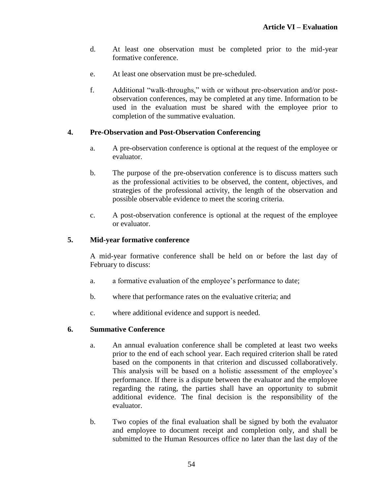- d. At least one observation must be completed prior to the mid-year formative conference.
- e. At least one observation must be pre-scheduled.
- f. Additional "walk-throughs," with or without pre-observation and/or postobservation conferences, may be completed at any time. Information to be used in the evaluation must be shared with the employee prior to completion of the summative evaluation.

### **4. Pre-Observation and Post-Observation Conferencing**

- a. A pre-observation conference is optional at the request of the employee or evaluator.
- b. The purpose of the pre-observation conference is to discuss matters such as the professional activities to be observed, the content, objectives, and strategies of the professional activity, the length of the observation and possible observable evidence to meet the scoring criteria.
- c. A post-observation conference is optional at the request of the employee or evaluator.

### **5. Mid-year formative conference**

A mid-year formative conference shall be held on or before the last day of February to discuss:

- a. a formative evaluation of the employee's performance to date;
- b. where that performance rates on the evaluative criteria; and
- c. where additional evidence and support is needed.

### **6. Summative Conference**

- a. An annual evaluation conference shall be completed at least two weeks prior to the end of each school year. Each required criterion shall be rated based on the components in that criterion and discussed collaboratively. This analysis will be based on a holistic assessment of the employee's performance. If there is a dispute between the evaluator and the employee regarding the rating, the parties shall have an opportunity to submit additional evidence. The final decision is the responsibility of the evaluator.
- b. Two copies of the final evaluation shall be signed by both the evaluator and employee to document receipt and completion only, and shall be submitted to the Human Resources office no later than the last day of the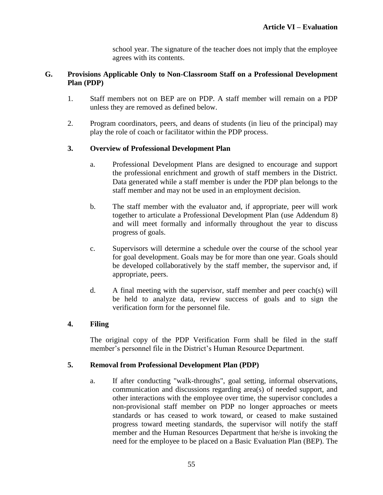school year. The signature of the teacher does not imply that the employee agrees with its contents.

### **G. Provisions Applicable Only to Non-Classroom Staff on a Professional Development Plan (PDP)**

- 1. Staff members not on BEP are on PDP. A staff member will remain on a PDP unless they are removed as defined below.
- 2. Program coordinators, peers, and deans of students (in lieu of the principal) may play the role of coach or facilitator within the PDP process.

### **3. Overview of Professional Development Plan**

- a. Professional Development Plans are designed to encourage and support the professional enrichment and growth of staff members in the District. Data generated while a staff member is under the PDP plan belongs to the staff member and may not be used in an employment decision.
- b. The staff member with the evaluator and, if appropriate, peer will work together to articulate a Professional Development Plan (use Addendum 8) and will meet formally and informally throughout the year to discuss progress of goals.
- c. Supervisors will determine a schedule over the course of the school year for goal development. Goals may be for more than one year. Goals should be developed collaboratively by the staff member, the supervisor and, if appropriate, peers.
- d. A final meeting with the supervisor, staff member and peer coach(s) will be held to analyze data, review success of goals and to sign the verification form for the personnel file.

### **4. Filing**

The original copy of the PDP Verification Form shall be filed in the staff member's personnel file in the District's Human Resource Department.

### **5. Removal from Professional Development Plan (PDP)**

a. If after conducting "walk-throughs", goal setting, informal observations, communication and discussions regarding area(s) of needed support, and other interactions with the employee over time, the supervisor concludes a non-provisional staff member on PDP no longer approaches or meets standards or has ceased to work toward, or ceased to make sustained progress toward meeting standards, the supervisor will notify the staff member and the Human Resources Department that he/she is invoking the need for the employee to be placed on a Basic Evaluation Plan (BEP). The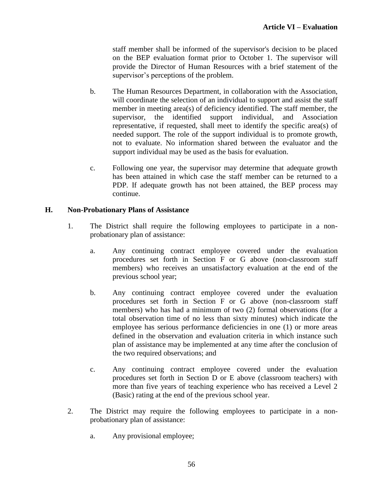staff member shall be informed of the supervisor's decision to be placed on the BEP evaluation format prior to October 1. The supervisor will provide the Director of Human Resources with a brief statement of the supervisor's perceptions of the problem.

- b. The Human Resources Department, in collaboration with the Association, will coordinate the selection of an individual to support and assist the staff member in meeting area(s) of deficiency identified. The staff member, the supervisor, the identified support individual, and Association representative, if requested, shall meet to identify the specific area(s) of needed support. The role of the support individual is to promote growth, not to evaluate. No information shared between the evaluator and the support individual may be used as the basis for evaluation.
- c. Following one year, the supervisor may determine that adequate growth has been attained in which case the staff member can be returned to a PDP. If adequate growth has not been attained, the BEP process may continue.

# **H. Non-Probationary Plans of Assistance**

- 1. The District shall require the following employees to participate in a nonprobationary plan of assistance:
	- a. Any continuing contract employee covered under the evaluation procedures set forth in Section F or G above (non-classroom staff members) who receives an unsatisfactory evaluation at the end of the previous school year;
	- b. Any continuing contract employee covered under the evaluation procedures set forth in Section F or G above (non-classroom staff members) who has had a minimum of two (2) formal observations (for a total observation time of no less than sixty minutes) which indicate the employee has serious performance deficiencies in one (1) or more areas defined in the observation and evaluation criteria in which instance such plan of assistance may be implemented at any time after the conclusion of the two required observations; and
	- c. Any continuing contract employee covered under the evaluation procedures set forth in Section D or E above (classroom teachers) with more than five years of teaching experience who has received a Level 2 (Basic) rating at the end of the previous school year.
- 2. The District may require the following employees to participate in a nonprobationary plan of assistance:
	- a. Any provisional employee;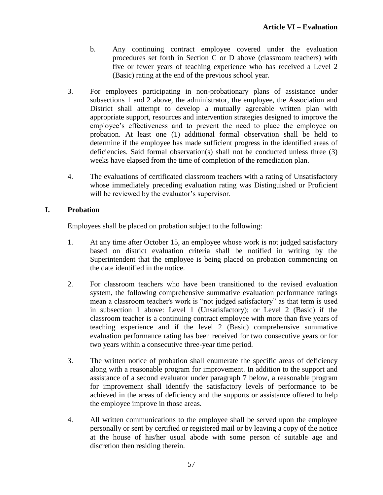- b. Any continuing contract employee covered under the evaluation procedures set forth in Section C or D above (classroom teachers) with five or fewer years of teaching experience who has received a Level 2 (Basic) rating at the end of the previous school year.
- 3. For employees participating in non-probationary plans of assistance under subsections 1 and 2 above, the administrator, the employee, the Association and District shall attempt to develop a mutually agreeable written plan with appropriate support, resources and intervention strategies designed to improve the employee's effectiveness and to prevent the need to place the employee on probation. At least one (1) additional formal observation shall be held to determine if the employee has made sufficient progress in the identified areas of deficiencies. Said formal observation(s) shall not be conducted unless three (3) weeks have elapsed from the time of completion of the remediation plan.
- 4. The evaluations of certificated classroom teachers with a rating of Unsatisfactory whose immediately preceding evaluation rating was Distinguished or Proficient will be reviewed by the evaluator's supervisor.

# **I. Probation**

Employees shall be placed on probation subject to the following:

- 1. At any time after October 15, an employee whose work is not judged satisfactory based on district evaluation criteria shall be notified in writing by the Superintendent that the employee is being placed on probation commencing on the date identified in the notice.
- 2. For classroom teachers who have been transitioned to the revised evaluation system, the following comprehensive summative evaluation performance ratings mean a classroom teacher's work is "not judged satisfactory" as that term is used in subsection 1 above: Level 1 (Unsatisfactory); or Level 2 (Basic) if the classroom teacher is a continuing contract employee with more than five years of teaching experience and if the level 2 (Basic) comprehensive summative evaluation performance rating has been received for two consecutive years or for two years within a consecutive three-year time period.
- 3. The written notice of probation shall enumerate the specific areas of deficiency along with a reasonable program for improvement. In addition to the support and assistance of a second evaluator under paragraph 7 below, a reasonable program for improvement shall identify the satisfactory levels of performance to be achieved in the areas of deficiency and the supports or assistance offered to help the employee improve in those areas.
- 4. All written communications to the employee shall be served upon the employee personally or sent by certified or registered mail or by leaving a copy of the notice at the house of his/her usual abode with some person of suitable age and discretion then residing therein.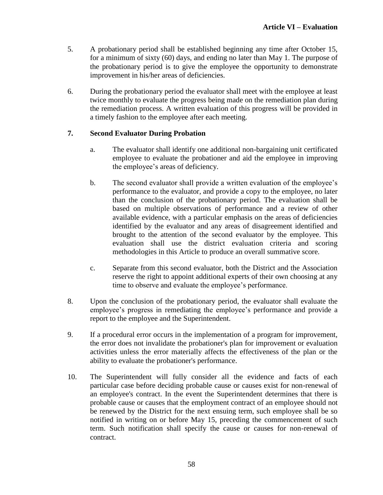- 5. A probationary period shall be established beginning any time after October 15, for a minimum of sixty (60) days, and ending no later than May 1. The purpose of the probationary period is to give the employee the opportunity to demonstrate improvement in his/her areas of deficiencies.
- 6. During the probationary period the evaluator shall meet with the employee at least twice monthly to evaluate the progress being made on the remediation plan during the remediation process. A written evaluation of this progress will be provided in a timely fashion to the employee after each meeting.

# **7. Second Evaluator During Probation**

- a. The evaluator shall identify one additional non-bargaining unit certificated employee to evaluate the probationer and aid the employee in improving the employee's areas of deficiency.
- b. The second evaluator shall provide a written evaluation of the employee's performance to the evaluator, and provide a copy to the employee, no later than the conclusion of the probationary period. The evaluation shall be based on multiple observations of performance and a review of other available evidence, with a particular emphasis on the areas of deficiencies identified by the evaluator and any areas of disagreement identified and brought to the attention of the second evaluator by the employee. This evaluation shall use the district evaluation criteria and scoring methodologies in this Article to produce an overall summative score.
- c. Separate from this second evaluator, both the District and the Association reserve the right to appoint additional experts of their own choosing at any time to observe and evaluate the employee's performance.
- 8. Upon the conclusion of the probationary period, the evaluator shall evaluate the employee's progress in remediating the employee's performance and provide a report to the employee and the Superintendent.
- 9. If a procedural error occurs in the implementation of a program for improvement, the error does not invalidate the probationer's plan for improvement or evaluation activities unless the error materially affects the effectiveness of the plan or the ability to evaluate the probationer's performance.
- 10. The Superintendent will fully consider all the evidence and facts of each particular case before deciding probable cause or causes exist for non-renewal of an employee's contract. In the event the Superintendent determines that there is probable cause or causes that the employment contract of an employee should not be renewed by the District for the next ensuing term, such employee shall be so notified in writing on or before May 15, preceding the commencement of such term. Such notification shall specify the cause or causes for non-renewal of contract.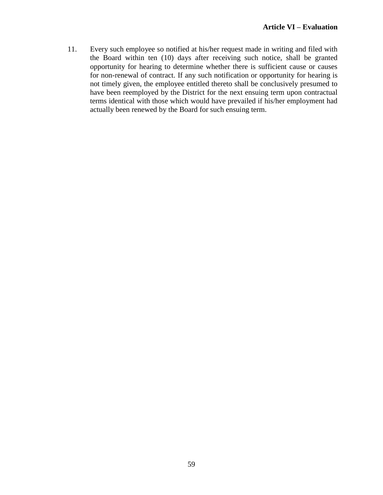11. Every such employee so notified at his/her request made in writing and filed with the Board within ten (10) days after receiving such notice, shall be granted opportunity for hearing to determine whether there is sufficient cause or causes for non-renewal of contract. If any such notification or opportunity for hearing is not timely given, the employee entitled thereto shall be conclusively presumed to have been reemployed by the District for the next ensuing term upon contractual terms identical with those which would have prevailed if his/her employment had actually been renewed by the Board for such ensuing term.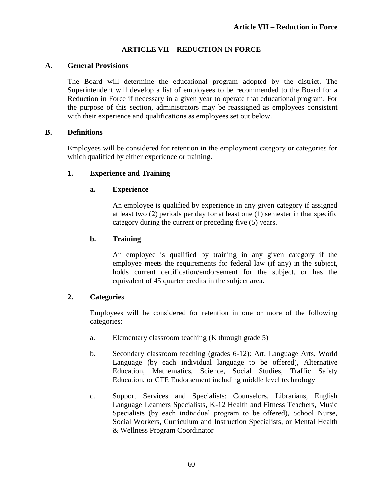# **ARTICLE VII – REDUCTION IN FORCE**

### **A. General Provisions**

The Board will determine the educational program adopted by the district. The Superintendent will develop a list of employees to be recommended to the Board for a Reduction in Force if necessary in a given year to operate that educational program. For the purpose of this section, administrators may be reassigned as employees consistent with their experience and qualifications as employees set out below.

### **B. Definitions**

Employees will be considered for retention in the employment category or categories for which qualified by either experience or training.

# **1. Experience and Training**

### **a. Experience**

An employee is qualified by experience in any given category if assigned at least two (2) periods per day for at least one (1) semester in that specific category during the current or preceding five (5) years.

### **b. Training**

An employee is qualified by training in any given category if the employee meets the requirements for federal law (if any) in the subject, holds current certification/endorsement for the subject, or has the equivalent of 45 quarter credits in the subject area.

### **2. Categories**

Employees will be considered for retention in one or more of the following categories:

- a. Elementary classroom teaching (K through grade 5)
- b. Secondary classroom teaching (grades 6-12): Art, Language Arts, World Language (by each individual language to be offered), Alternative Education, Mathematics, Science, Social Studies, Traffic Safety Education, or CTE Endorsement including middle level technology
- c. Support Services and Specialists: Counselors, Librarians, English Language Learners Specialists, K-12 Health and Fitness Teachers, Music Specialists (by each individual program to be offered), School Nurse, Social Workers, Curriculum and Instruction Specialists, or Mental Health & Wellness Program Coordinator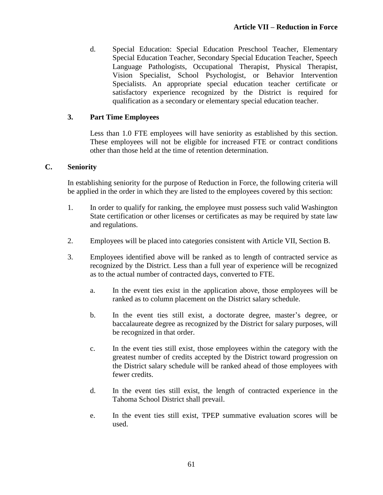d. Special Education: Special Education Preschool Teacher, Elementary Special Education Teacher, Secondary Special Education Teacher, Speech Language Pathologists, Occupational Therapist, Physical Therapist, Vision Specialist, School Psychologist, or Behavior Intervention Specialists. An appropriate special education teacher certificate or satisfactory experience recognized by the District is required for qualification as a secondary or elementary special education teacher.

## **3. Part Time Employees**

Less than 1.0 FTE employees will have seniority as established by this section. These employees will not be eligible for increased FTE or contract conditions other than those held at the time of retention determination.

### **C. Seniority**

In establishing seniority for the purpose of Reduction in Force, the following criteria will be applied in the order in which they are listed to the employees covered by this section:

- 1. In order to qualify for ranking, the employee must possess such valid Washington State certification or other licenses or certificates as may be required by state law and regulations.
- 2. Employees will be placed into categories consistent with Article VII, Section B.
- 3. Employees identified above will be ranked as to length of contracted service as recognized by the District. Less than a full year of experience will be recognized as to the actual number of contracted days, converted to FTE.
	- a. In the event ties exist in the application above, those employees will be ranked as to column placement on the District salary schedule.
	- b. In the event ties still exist, a doctorate degree, master's degree, or baccalaureate degree as recognized by the District for salary purposes, will be recognized in that order.
	- c. In the event ties still exist, those employees within the category with the greatest number of credits accepted by the District toward progression on the District salary schedule will be ranked ahead of those employees with fewer credits.
	- d. In the event ties still exist, the length of contracted experience in the Tahoma School District shall prevail.
	- e. In the event ties still exist, TPEP summative evaluation scores will be used.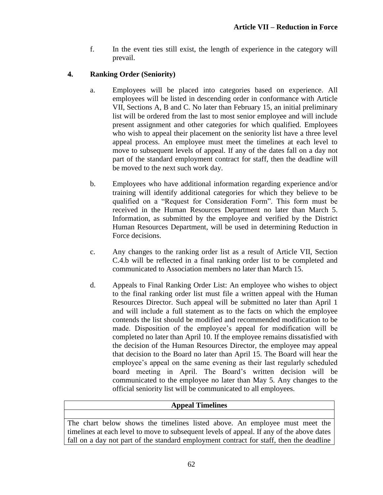f. In the event ties still exist, the length of experience in the category will prevail.

# **4. Ranking Order (Seniority)**

- a. Employees will be placed into categories based on experience. All employees will be listed in descending order in conformance with Article VII, Sections A, B and C. No later than February 15, an initial preliminary list will be ordered from the last to most senior employee and will include present assignment and other categories for which qualified. Employees who wish to appeal their placement on the seniority list have a three level appeal process. An employee must meet the timelines at each level to move to subsequent levels of appeal. If any of the dates fall on a day not part of the standard employment contract for staff, then the deadline will be moved to the next such work day.
- b. Employees who have additional information regarding experience and/or training will identify additional categories for which they believe to be qualified on a "Request for Consideration Form". This form must be received in the Human Resources Department no later than March 5. Information, as submitted by the employee and verified by the District Human Resources Department, will be used in determining Reduction in Force decisions.
- c. Any changes to the ranking order list as a result of Article VII, Section C.4.b will be reflected in a final ranking order list to be completed and communicated to Association members no later than March 15.
- d. Appeals to Final Ranking Order List: An employee who wishes to object to the final ranking order list must file a written appeal with the Human Resources Director. Such appeal will be submitted no later than April 1 and will include a full statement as to the facts on which the employee contends the list should be modified and recommended modification to be made. Disposition of the employee's appeal for modification will be completed no later than April 10. If the employee remains dissatisfied with the decision of the Human Resources Director, the employee may appeal that decision to the Board no later than April 15. The Board will hear the employee's appeal on the same evening as their last regularly scheduled board meeting in April. The Board's written decision will be communicated to the employee no later than May 5. Any changes to the official seniority list will be communicated to all employees.

# **Appeal Timelines**

The chart below shows the timelines listed above. An employee must meet the timelines at each level to move to subsequent levels of appeal. If any of the above dates fall on a day not part of the standard employment contract for staff, then the deadline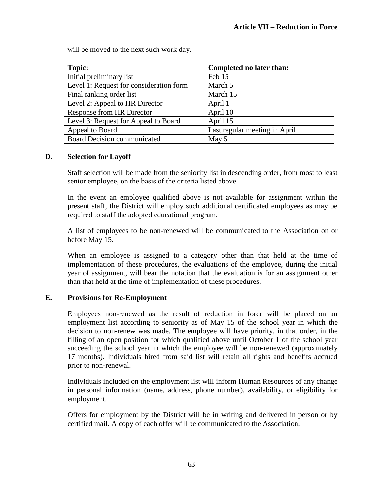| will be moved to the next such work day. |                               |  |  |  |  |
|------------------------------------------|-------------------------------|--|--|--|--|
|                                          |                               |  |  |  |  |
| Topic:                                   | Completed no later than:      |  |  |  |  |
| Initial preliminary list                 | Feb 15                        |  |  |  |  |
| Level 1: Request for consideration form  | March 5                       |  |  |  |  |
| Final ranking order list                 | March 15                      |  |  |  |  |
| Level 2: Appeal to HR Director           | April 1                       |  |  |  |  |
| <b>Response from HR Director</b>         | April 10                      |  |  |  |  |
| Level 3: Request for Appeal to Board     | April 15                      |  |  |  |  |
| Appeal to Board                          | Last regular meeting in April |  |  |  |  |
| <b>Board Decision communicated</b>       | May 5                         |  |  |  |  |

### **D. Selection for Layoff**

Staff selection will be made from the seniority list in descending order, from most to least senior employee, on the basis of the criteria listed above.

In the event an employee qualified above is not available for assignment within the present staff, the District will employ such additional certificated employees as may be required to staff the adopted educational program.

A list of employees to be non-renewed will be communicated to the Association on or before May 15.

When an employee is assigned to a category other than that held at the time of implementation of these procedures, the evaluations of the employee, during the initial year of assignment, will bear the notation that the evaluation is for an assignment other than that held at the time of implementation of these procedures.

### **E. Provisions for Re-Employment**

Employees non-renewed as the result of reduction in force will be placed on an employment list according to seniority as of May 15 of the school year in which the decision to non-renew was made. The employee will have priority, in that order, in the filling of an open position for which qualified above until October 1 of the school year succeeding the school year in which the employee will be non-renewed (approximately 17 months). Individuals hired from said list will retain all rights and benefits accrued prior to non-renewal.

Individuals included on the employment list will inform Human Resources of any change in personal information (name, address, phone number), availability, or eligibility for employment.

Offers for employment by the District will be in writing and delivered in person or by certified mail. A copy of each offer will be communicated to the Association.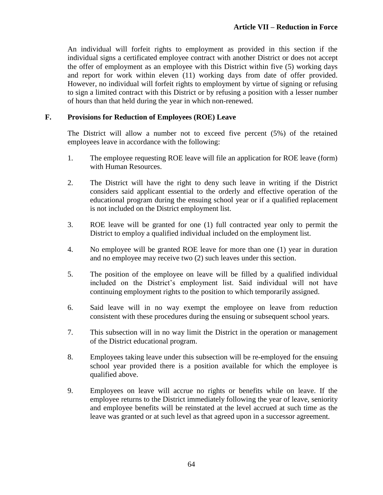An individual will forfeit rights to employment as provided in this section if the individual signs a certificated employee contract with another District or does not accept the offer of employment as an employee with this District within five (5) working days and report for work within eleven (11) working days from date of offer provided. However, no individual will forfeit rights to employment by virtue of signing or refusing to sign a limited contract with this District or by refusing a position with a lesser number of hours than that held during the year in which non-renewed.

### **F. Provisions for Reduction of Employees (ROE) Leave**

The District will allow a number not to exceed five percent (5%) of the retained employees leave in accordance with the following:

- 1. The employee requesting ROE leave will file an application for ROE leave (form) with Human Resources.
- 2. The District will have the right to deny such leave in writing if the District considers said applicant essential to the orderly and effective operation of the educational program during the ensuing school year or if a qualified replacement is not included on the District employment list.
- 3. ROE leave will be granted for one (1) full contracted year only to permit the District to employ a qualified individual included on the employment list.
- 4. No employee will be granted ROE leave for more than one (1) year in duration and no employee may receive two (2) such leaves under this section.
- 5. The position of the employee on leave will be filled by a qualified individual included on the District's employment list. Said individual will not have continuing employment rights to the position to which temporarily assigned.
- 6. Said leave will in no way exempt the employee on leave from reduction consistent with these procedures during the ensuing or subsequent school years.
- 7. This subsection will in no way limit the District in the operation or management of the District educational program.
- 8. Employees taking leave under this subsection will be re-employed for the ensuing school year provided there is a position available for which the employee is qualified above.
- 9. Employees on leave will accrue no rights or benefits while on leave. If the employee returns to the District immediately following the year of leave, seniority and employee benefits will be reinstated at the level accrued at such time as the leave was granted or at such level as that agreed upon in a successor agreement.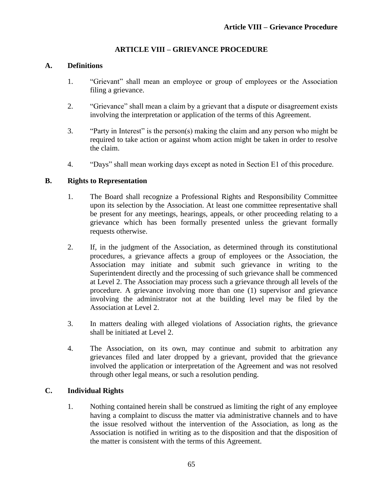# **ARTICLE VIII – GRIEVANCE PROCEDURE**

### **A. Definitions**

- 1. "Grievant" shall mean an employee or group of employees or the Association filing a grievance.
- 2. "Grievance" shall mean a claim by a grievant that a dispute or disagreement exists involving the interpretation or application of the terms of this Agreement.
- 3. "Party in Interest" is the person(s) making the claim and any person who might be required to take action or against whom action might be taken in order to resolve the claim.
- 4. "Days" shall mean working days except as noted in Section E1 of this procedure.

### **B. Rights to Representation**

- 1. The Board shall recognize a Professional Rights and Responsibility Committee upon its selection by the Association. At least one committee representative shall be present for any meetings, hearings, appeals, or other proceeding relating to a grievance which has been formally presented unless the grievant formally requests otherwise.
- 2. If, in the judgment of the Association, as determined through its constitutional procedures, a grievance affects a group of employees or the Association, the Association may initiate and submit such grievance in writing to the Superintendent directly and the processing of such grievance shall be commenced at Level 2. The Association may process such a grievance through all levels of the procedure. A grievance involving more than one (1) supervisor and grievance involving the administrator not at the building level may be filed by the Association at Level 2.
- 3. In matters dealing with alleged violations of Association rights, the grievance shall be initiated at Level 2.
- 4. The Association, on its own, may continue and submit to arbitration any grievances filed and later dropped by a grievant, provided that the grievance involved the application or interpretation of the Agreement and was not resolved through other legal means, or such a resolution pending.

# **C. Individual Rights**

1. Nothing contained herein shall be construed as limiting the right of any employee having a complaint to discuss the matter via administrative channels and to have the issue resolved without the intervention of the Association, as long as the Association is notified in writing as to the disposition and that the disposition of the matter is consistent with the terms of this Agreement.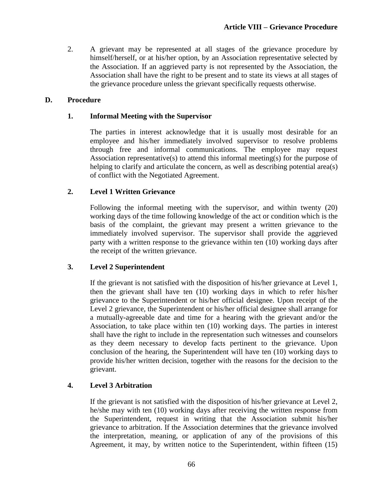2. A grievant may be represented at all stages of the grievance procedure by himself/herself, or at his/her option, by an Association representative selected by the Association. If an aggrieved party is not represented by the Association, the Association shall have the right to be present and to state its views at all stages of the grievance procedure unless the grievant specifically requests otherwise.

### **D. Procedure**

### **1. Informal Meeting with the Supervisor**

The parties in interest acknowledge that it is usually most desirable for an employee and his/her immediately involved supervisor to resolve problems through free and informal communications. The employee may request Association representative(s) to attend this informal meeting(s) for the purpose of helping to clarify and articulate the concern, as well as describing potential area(s) of conflict with the Negotiated Agreement.

# **2. Level 1 Written Grievance**

Following the informal meeting with the supervisor, and within twenty (20) working days of the time following knowledge of the act or condition which is the basis of the complaint, the grievant may present a written grievance to the immediately involved supervisor. The supervisor shall provide the aggrieved party with a written response to the grievance within ten (10) working days after the receipt of the written grievance.

### **3. Level 2 Superintendent**

If the grievant is not satisfied with the disposition of his/her grievance at Level 1, then the grievant shall have ten (10) working days in which to refer his/her grievance to the Superintendent or his/her official designee. Upon receipt of the Level 2 grievance, the Superintendent or his/her official designee shall arrange for a mutually-agreeable date and time for a hearing with the grievant and/or the Association, to take place within ten (10) working days. The parties in interest shall have the right to include in the representation such witnesses and counselors as they deem necessary to develop facts pertinent to the grievance. Upon conclusion of the hearing, the Superintendent will have ten (10) working days to provide his/her written decision, together with the reasons for the decision to the grievant.

# **4. Level 3 Arbitration**

If the grievant is not satisfied with the disposition of his/her grievance at Level 2, he/she may with ten (10) working days after receiving the written response from the Superintendent, request in writing that the Association submit his/her grievance to arbitration. If the Association determines that the grievance involved the interpretation, meaning, or application of any of the provisions of this Agreement, it may, by written notice to the Superintendent, within fifteen (15)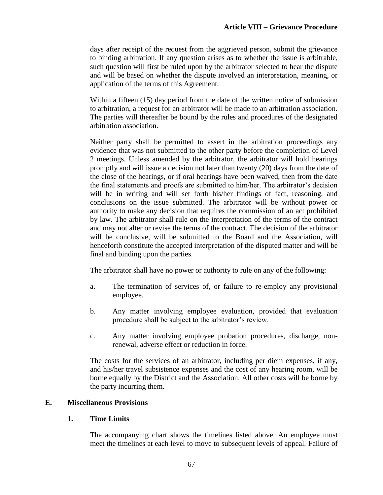days after receipt of the request from the aggrieved person, submit the grievance to binding arbitration. If any question arises as to whether the issue is arbitrable, such question will first be ruled upon by the arbitrator selected to hear the dispute and will be based on whether the dispute involved an interpretation, meaning, or application of the terms of this Agreement.

Within a fifteen (15) day period from the date of the written notice of submission to arbitration, a request for an arbitrator will be made to an arbitration association. The parties will thereafter be bound by the rules and procedures of the designated arbitration association.

Neither party shall be permitted to assert in the arbitration proceedings any evidence that was not submitted to the other party before the completion of Level 2 meetings. Unless amended by the arbitrator, the arbitrator will hold hearings promptly and will issue a decision not later than twenty (20) days from the date of the close of the hearings, or if oral hearings have been waived, then from the date the final statements and proofs are submitted to him/her. The arbitrator's decision will be in writing and will set forth his/her findings of fact, reasoning, and conclusions on the issue submitted. The arbitrator will be without power or authority to make any decision that requires the commission of an act prohibited by law. The arbitrator shall rule on the interpretation of the terms of the contract and may not alter or revise the terms of the contract. The decision of the arbitrator will be conclusive, will be submitted to the Board and the Association, will henceforth constitute the accepted interpretation of the disputed matter and will be final and binding upon the parties.

The arbitrator shall have no power or authority to rule on any of the following:

- a. The termination of services of, or failure to re-employ any provisional employee.
- b. Any matter involving employee evaluation, provided that evaluation procedure shall be subject to the arbitrator's review.
- c. Any matter involving employee probation procedures, discharge, nonrenewal, adverse effect or reduction in force.

The costs for the services of an arbitrator, including per diem expenses, if any, and his/her travel subsistence expenses and the cost of any hearing room, will be borne equally by the District and the Association. All other costs will be borne by the party incurring them.

# **E. Miscellaneous Provisions**

### **1. Time Limits**

The accompanying chart shows the timelines listed above. An employee must meet the timelines at each level to move to subsequent levels of appeal. Failure of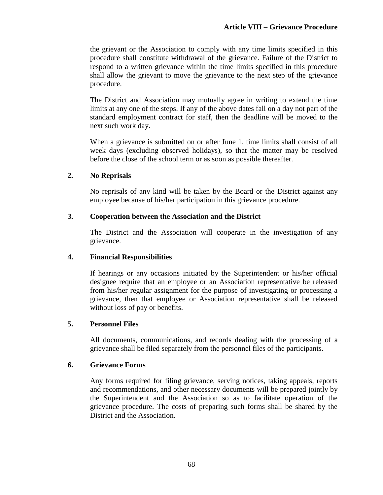the grievant or the Association to comply with any time limits specified in this procedure shall constitute withdrawal of the grievance. Failure of the District to respond to a written grievance within the time limits specified in this procedure shall allow the grievant to move the grievance to the next step of the grievance procedure.

The District and Association may mutually agree in writing to extend the time limits at any one of the steps. If any of the above dates fall on a day not part of the standard employment contract for staff, then the deadline will be moved to the next such work day.

When a grievance is submitted on or after June 1, time limits shall consist of all week days (excluding observed holidays), so that the matter may be resolved before the close of the school term or as soon as possible thereafter.

### **2. No Reprisals**

No reprisals of any kind will be taken by the Board or the District against any employee because of his/her participation in this grievance procedure.

### **3. Cooperation between the Association and the District**

The District and the Association will cooperate in the investigation of any grievance.

### **4. Financial Responsibilities**

If hearings or any occasions initiated by the Superintendent or his/her official designee require that an employee or an Association representative be released from his/her regular assignment for the purpose of investigating or processing a grievance, then that employee or Association representative shall be released without loss of pay or benefits.

### **5. Personnel Files**

All documents, communications, and records dealing with the processing of a grievance shall be filed separately from the personnel files of the participants.

### **6. Grievance Forms**

Any forms required for filing grievance, serving notices, taking appeals, reports and recommendations, and other necessary documents will be prepared jointly by the Superintendent and the Association so as to facilitate operation of the grievance procedure. The costs of preparing such forms shall be shared by the District and the Association.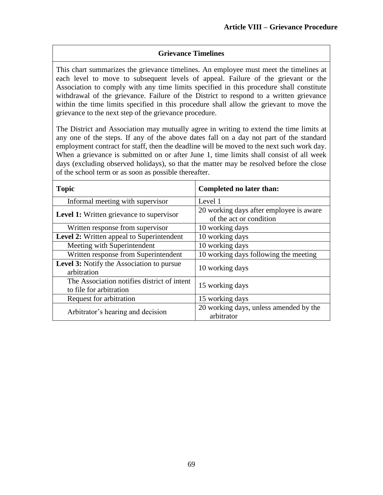### **Grievance Timelines**

This chart summarizes the grievance timelines. An employee must meet the timelines at each level to move to subsequent levels of appeal. Failure of the grievant or the Association to comply with any time limits specified in this procedure shall constitute withdrawal of the grievance. Failure of the District to respond to a written grievance within the time limits specified in this procedure shall allow the grievant to move the grievance to the next step of the grievance procedure.

The District and Association may mutually agree in writing to extend the time limits at any one of the steps. If any of the above dates fall on a day not part of the standard employment contract for staff, then the deadline will be moved to the next such work day. When a grievance is submitted on or after June 1, time limits shall consist of all week days (excluding observed holidays), so that the matter may be resolved before the close of the school term or as soon as possible thereafter.

| <b>Topic</b>                                                           | Completed no later than:                                           |
|------------------------------------------------------------------------|--------------------------------------------------------------------|
| Informal meeting with supervisor                                       | Level 1                                                            |
| <b>Level 1:</b> Written grievance to supervisor                        | 20 working days after employee is aware<br>of the act or condition |
| Written response from supervisor                                       | 10 working days                                                    |
| Level 2: Written appeal to Superintendent                              | 10 working days                                                    |
| Meeting with Superintendent                                            | 10 working days                                                    |
| Written response from Superintendent                                   | 10 working days following the meeting                              |
| <b>Level 3:</b> Notify the Association to pursue<br>arbitration        | 10 working days                                                    |
| The Association notifies district of intent<br>to file for arbitration | 15 working days                                                    |
| Request for arbitration                                                | 15 working days                                                    |
| Arbitrator's hearing and decision                                      | 20 working days, unless amended by the<br>arbitrator               |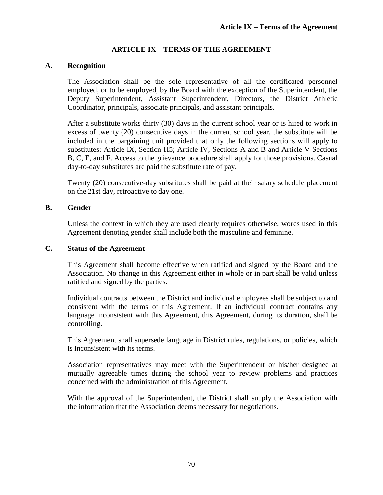#### **ARTICLE IX – TERMS OF THE AGREEMENT**

#### **A. Recognition**

The Association shall be the sole representative of all the certificated personnel employed, or to be employed, by the Board with the exception of the Superintendent, the Deputy Superintendent, Assistant Superintendent, Directors, the District Athletic Coordinator, principals, associate principals, and assistant principals.

After a substitute works thirty (30) days in the current school year or is hired to work in excess of twenty (20) consecutive days in the current school year, the substitute will be included in the bargaining unit provided that only the following sections will apply to substitutes: Article IX, Section H5; Article IV, Sections A and B and Article V Sections B, C, E, and F. Access to the grievance procedure shall apply for those provisions. Casual day-to-day substitutes are paid the substitute rate of pay.

Twenty (20) consecutive-day substitutes shall be paid at their salary schedule placement on the 21st day, retroactive to day one.

#### **B. Gender**

Unless the context in which they are used clearly requires otherwise, words used in this Agreement denoting gender shall include both the masculine and feminine.

#### **C. Status of the Agreement**

This Agreement shall become effective when ratified and signed by the Board and the Association. No change in this Agreement either in whole or in part shall be valid unless ratified and signed by the parties.

Individual contracts between the District and individual employees shall be subject to and consistent with the terms of this Agreement. If an individual contract contains any language inconsistent with this Agreement, this Agreement, during its duration, shall be controlling.

This Agreement shall supersede language in District rules, regulations, or policies, which is inconsistent with its terms.

Association representatives may meet with the Superintendent or his/her designee at mutually agreeable times during the school year to review problems and practices concerned with the administration of this Agreement.

With the approval of the Superintendent, the District shall supply the Association with the information that the Association deems necessary for negotiations.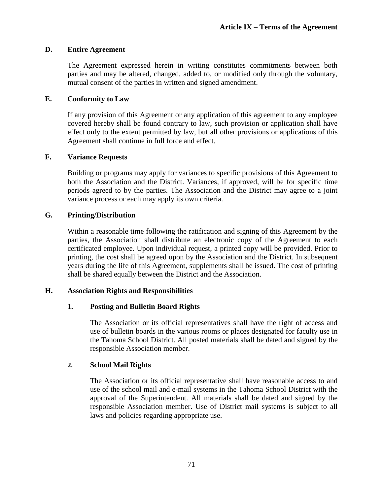#### **D. Entire Agreement**

The Agreement expressed herein in writing constitutes commitments between both parties and may be altered, changed, added to, or modified only through the voluntary, mutual consent of the parties in written and signed amendment.

#### **E. Conformity to Law**

If any provision of this Agreement or any application of this agreement to any employee covered hereby shall be found contrary to law, such provision or application shall have effect only to the extent permitted by law, but all other provisions or applications of this Agreement shall continue in full force and effect.

#### **F. Variance Requests**

Building or programs may apply for variances to specific provisions of this Agreement to both the Association and the District. Variances, if approved, will be for specific time periods agreed to by the parties. The Association and the District may agree to a joint variance process or each may apply its own criteria.

#### **G. Printing/Distribution**

Within a reasonable time following the ratification and signing of this Agreement by the parties, the Association shall distribute an electronic copy of the Agreement to each certificated employee. Upon individual request, a printed copy will be provided. Prior to printing, the cost shall be agreed upon by the Association and the District. In subsequent years during the life of this Agreement, supplements shall be issued. The cost of printing shall be shared equally between the District and the Association.

#### **H. Association Rights and Responsibilities**

#### **1. Posting and Bulletin Board Rights**

The Association or its official representatives shall have the right of access and use of bulletin boards in the various rooms or places designated for faculty use in the Tahoma School District. All posted materials shall be dated and signed by the responsible Association member.

#### **2. School Mail Rights**

The Association or its official representative shall have reasonable access to and use of the school mail and e-mail systems in the Tahoma School District with the approval of the Superintendent. All materials shall be dated and signed by the responsible Association member. Use of District mail systems is subject to all laws and policies regarding appropriate use.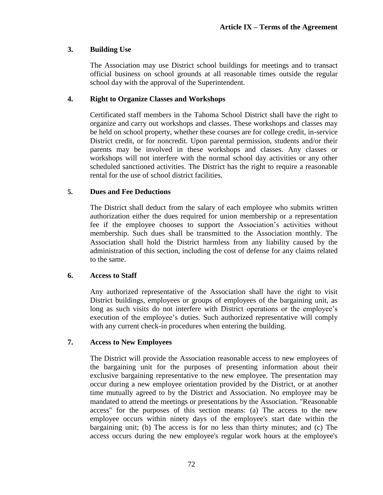#### **3. Building Use**

The Association may use District school buildings for meetings and to transact official business on school grounds at all reasonable times outside the regular school day with the approval of the Superintendent.

#### **4. Right to Organize Classes and Workshops**

Certificated staff members in the Tahoma School District shall have the right to organize and carry out workshops and classes. These workshops and classes may be held on school property, whether these courses are for college credit, in-service District credit, or for noncredit. Upon parental permission, students and/or their parents may be involved in these workshops and classes. Any classes or workshops will not interfere with the normal school day activities or any other scheduled sanctioned activities. The District has the right to require a reasonable rental for the use of school district facilities.

#### **5. Dues and Fee Deductions**

The District shall deduct from the salary of each employee who submits written authorization either the dues required for union membership or a representation fee if the employee chooses to support the Association's activities without membership. Such dues shall be transmitted to the Association monthly. The Association shall hold the District harmless from any liability caused by the administration of this section, including the cost of defense for any claims related to the same.

#### **6. Access to Staff**

Any authorized representative of the Association shall have the right to visit District buildings, employees or groups of employees of the bargaining unit, as long as such visits do not interfere with District operations or the employee's execution of the employee's duties. Such authorized representative will comply with any current check-in procedures when entering the building.

#### **7. Access to New Employees**

The District will provide the Association reasonable access to new employees of the bargaining unit for the purposes of presenting information about their exclusive bargaining representative to the new employee. The presentation may occur during a new employee orientation provided by the District, or at another time mutually agreed to by the District and Association. No employee may be mandated to attend the meetings or presentations by the Association. "Reasonable access" for the purposes of this section means: (a) The access to the new employee occurs within ninety days of the employee's start date within the bargaining unit; (b) The access is for no less than thirty minutes; and (c) The access occurs during the new employee's regular work hours at the employee's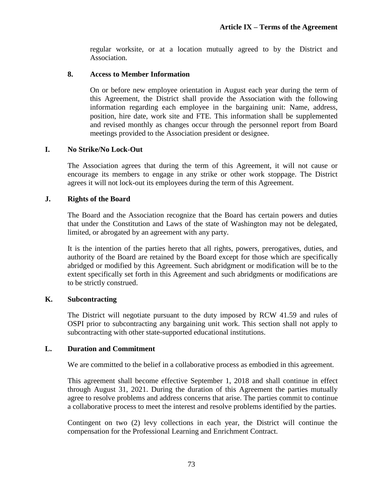regular worksite, or at a location mutually agreed to by the District and Association.

#### **8. Access to Member Information**

On or before new employee orientation in August each year during the term of this Agreement, the District shall provide the Association with the following information regarding each employee in the bargaining unit: Name, address, position, hire date, work site and FTE. This information shall be supplemented and revised monthly as changes occur through the personnel report from Board meetings provided to the Association president or designee.

#### **I. No Strike/No Lock-Out**

The Association agrees that during the term of this Agreement, it will not cause or encourage its members to engage in any strike or other work stoppage. The District agrees it will not lock-out its employees during the term of this Agreement.

#### **J. Rights of the Board**

The Board and the Association recognize that the Board has certain powers and duties that under the Constitution and Laws of the state of Washington may not be delegated, limited, or abrogated by an agreement with any party.

It is the intention of the parties hereto that all rights, powers, prerogatives, duties, and authority of the Board are retained by the Board except for those which are specifically abridged or modified by this Agreement. Such abridgment or modification will be to the extent specifically set forth in this Agreement and such abridgments or modifications are to be strictly construed.

#### **K. Subcontracting**

The District will negotiate pursuant to the duty imposed by RCW 41.59 and rules of OSPI prior to subcontracting any bargaining unit work. This section shall not apply to subcontracting with other state-supported educational institutions.

#### **L. Duration and Commitment**

We are committed to the belief in a collaborative process as embodied in this agreement.

This agreement shall become effective September 1, 2018 and shall continue in effect through August 31, 2021. During the duration of this Agreement the parties mutually agree to resolve problems and address concerns that arise. The parties commit to continue a collaborative process to meet the interest and resolve problems identified by the parties.

Contingent on two (2) levy collections in each year, the District will continue the compensation for the Professional Learning and Enrichment Contract.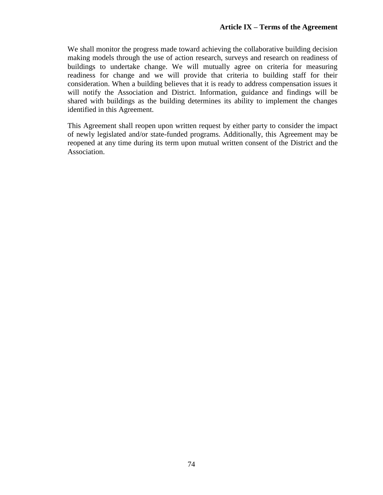We shall monitor the progress made toward achieving the collaborative building decision making models through the use of action research, surveys and research on readiness of buildings to undertake change. We will mutually agree on criteria for measuring readiness for change and we will provide that criteria to building staff for their consideration. When a building believes that it is ready to address compensation issues it will notify the Association and District. Information, guidance and findings will be shared with buildings as the building determines its ability to implement the changes identified in this Agreement.

This Agreement shall reopen upon written request by either party to consider the impact of newly legislated and/or state-funded programs. Additionally, this Agreement may be reopened at any time during its term upon mutual written consent of the District and the Association.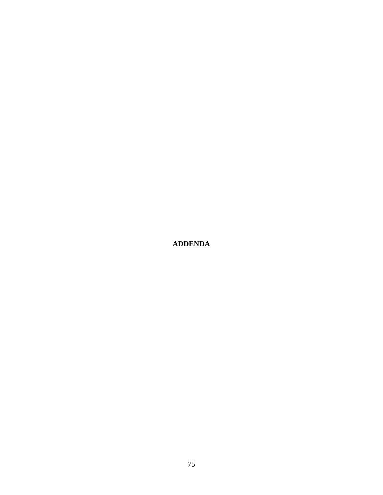**ADDENDA**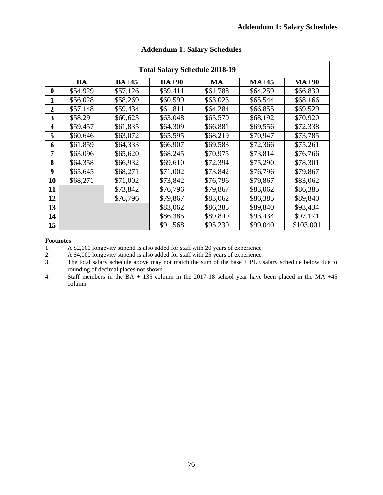| <b>Total Salary Schedule 2018-19</b> |          |          |          |           |          |           |
|--------------------------------------|----------|----------|----------|-----------|----------|-----------|
|                                      | BA       | $BA+45$  | $BA+90$  | <b>MA</b> | $MA+45$  | $MA+90$   |
| $\boldsymbol{0}$                     | \$54,929 | \$57,126 | \$59,411 | \$61,788  | \$64,259 | \$66,830  |
| 1                                    | \$56,028 | \$58,269 | \$60,599 | \$63,023  | \$65,544 | \$68,166  |
| $\overline{2}$                       | \$57,148 | \$59,434 | \$61,811 | \$64,284  | \$66,855 | \$69,529  |
| 3                                    | \$58,291 | \$60,623 | \$63,048 | \$65,570  | \$68,192 | \$70,920  |
| $\overline{\mathbf{4}}$              | \$59,457 | \$61,835 | \$64,309 | \$66,881  | \$69,556 | \$72,338  |
| 5                                    | \$60,646 | \$63,072 | \$65,595 | \$68,219  | \$70,947 | \$73,785  |
| 6                                    | \$61,859 | \$64,333 | \$66,907 | \$69,583  | \$72,366 | \$75,261  |
| 7                                    | \$63,096 | \$65,620 | \$68,245 | \$70,975  | \$73,814 | \$76,766  |
| 8                                    | \$64,358 | \$66,932 | \$69,610 | \$72,394  | \$75,290 | \$78,301  |
| 9                                    | \$65,645 | \$68,271 | \$71,002 | \$73,842  | \$76,796 | \$79,867  |
| 10                                   | \$68,271 | \$71,002 | \$73,842 | \$76,796  | \$79,867 | \$83,062  |
| 11                                   |          | \$73,842 | \$76,796 | \$79,867  | \$83,062 | \$86,385  |
| 12                                   |          | \$76,796 | \$79,867 | \$83,062  | \$86,385 | \$89,840  |
| 13                                   |          |          | \$83,062 | \$86,385  | \$89,840 | \$93,434  |
| 14                                   |          |          | \$86,385 | \$89,840  | \$93,434 | \$97,171  |
| 15                                   |          |          | \$91,568 | \$95,230  | \$99,040 | \$103,001 |

# **Addendum 1: Salary Schedules**

#### **Footnotes**

1. A \$2,000 longevity stipend is also added for staff with 20 years of experience.<br>
2. A \$4,000 longevity stipend is also added for staff with 25 years of experience.

2. A \$4,000 longevity stipend is also added for staff with 25 years of experience.

3. The total salary schedule above may not match the sum of the base + PLE salary schedule below due to rounding of decimal places not shown.

4. Staff members in the BA + 135 column in the 2017-18 school year have been placed in the MA +45 column.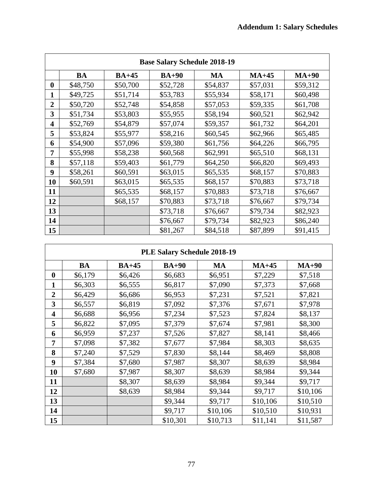| <b>Base Salary Schedule 2018-19</b> |                                                             |          |          |          |          |          |  |
|-------------------------------------|-------------------------------------------------------------|----------|----------|----------|----------|----------|--|
|                                     | <b>MA</b><br>$MA+90$<br>BA<br>$BA+45$<br>$BA+90$<br>$MA+45$ |          |          |          |          |          |  |
| $\boldsymbol{0}$                    | \$48,750                                                    | \$50,700 | \$52,728 | \$54,837 | \$57,031 | \$59,312 |  |
| 1                                   | \$49,725                                                    | \$51,714 | \$53,783 | \$55,934 | \$58,171 | \$60,498 |  |
| $\overline{2}$                      | \$50,720                                                    | \$52,748 | \$54,858 | \$57,053 | \$59,335 | \$61,708 |  |
| 3                                   | \$51,734                                                    | \$53,803 | \$55,955 | \$58,194 | \$60,521 | \$62,942 |  |
| $\overline{\mathbf{4}}$             | \$52,769                                                    | \$54,879 | \$57,074 | \$59,357 | \$61,732 | \$64,201 |  |
| 5                                   | \$53,824                                                    | \$55,977 | \$58,216 | \$60,545 | \$62,966 | \$65,485 |  |
| 6                                   | \$54,900                                                    | \$57,096 | \$59,380 | \$61,756 | \$64,226 | \$66,795 |  |
| 7                                   | \$55,998                                                    | \$58,238 | \$60,568 | \$62,991 | \$65,510 | \$68,131 |  |
| 8                                   | \$57,118                                                    | \$59,403 | \$61,779 | \$64,250 | \$66,820 | \$69,493 |  |
| 9                                   | \$58,261                                                    | \$60,591 | \$63,015 | \$65,535 | \$68,157 | \$70,883 |  |
| 10                                  | \$60,591                                                    | \$63,015 | \$65,535 | \$68,157 | \$70,883 | \$73,718 |  |
| 11                                  |                                                             | \$65,535 | \$68,157 | \$70,883 | \$73,718 | \$76,667 |  |
| 12                                  |                                                             | \$68,157 | \$70,883 | \$73,718 | \$76,667 | \$79,734 |  |
| 13                                  |                                                             |          | \$73,718 | \$76,667 | \$79,734 | \$82,923 |  |
| 14                                  |                                                             |          | \$76,667 | \$79,734 | \$82,923 | \$86,240 |  |
| 15                                  |                                                             |          | \$81,267 | \$84,518 | \$87,899 | \$91,415 |  |

| PLE Salary Schedule 2018-19 |         |         |          |           |          |          |
|-----------------------------|---------|---------|----------|-----------|----------|----------|
|                             | BA      | $BA+45$ | $BA+90$  | <b>MA</b> | $MA+45$  | $MA+90$  |
| $\boldsymbol{0}$            | \$6,179 | \$6,426 | \$6,683  | \$6,951   | \$7,229  | \$7,518  |
| 1                           | \$6,303 | \$6,555 | \$6,817  | \$7,090   | \$7,373  | \$7,668  |
| $\overline{2}$              | \$6,429 | \$6,686 | \$6,953  | \$7,231   | \$7,521  | \$7,821  |
| 3                           | \$6,557 | \$6,819 | \$7,092  | \$7,376   | \$7,671  | \$7,978  |
| $\overline{\mathbf{4}}$     | \$6,688 | \$6,956 | \$7,234  | \$7,523   | \$7,824  | \$8,137  |
| 5                           | \$6,822 | \$7,095 | \$7,379  | \$7,674   | \$7,981  | \$8,300  |
| 6                           | \$6,959 | \$7,237 | \$7,526  | \$7,827   | \$8,141  | \$8,466  |
| 7                           | \$7,098 | \$7,382 | \$7,677  | \$7,984   | \$8,303  | \$8,635  |
| 8                           | \$7,240 | \$7,529 | \$7,830  | \$8,144   | \$8,469  | \$8,808  |
| 9                           | \$7,384 | \$7,680 | \$7,987  | \$8,307   | \$8,639  | \$8,984  |
| 10                          | \$7,680 | \$7,987 | \$8,307  | \$8,639   | \$8,984  | \$9,344  |
| 11                          |         | \$8,307 | \$8,639  | \$8,984   | \$9,344  | \$9,717  |
| 12                          |         | \$8,639 | \$8,984  | \$9,344   | \$9,717  | \$10,106 |
| 13                          |         |         | \$9,344  | \$9,717   | \$10,106 | \$10,510 |
| 14                          |         |         | \$9,717  | \$10,106  | \$10,510 | \$10,931 |
| 15                          |         |         | \$10,301 | \$10,713  | \$11,141 | \$11,587 |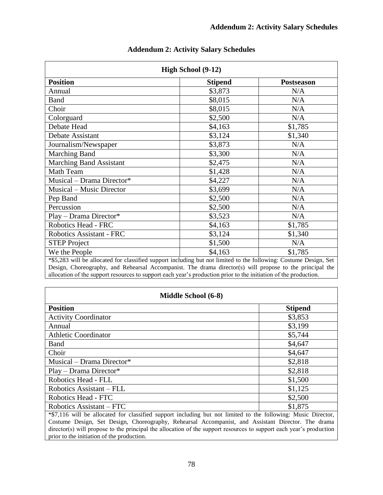| High School (9-12)                                                                                                |                |                   |  |  |
|-------------------------------------------------------------------------------------------------------------------|----------------|-------------------|--|--|
| <b>Position</b>                                                                                                   | <b>Stipend</b> | <b>Postseason</b> |  |  |
| Annual                                                                                                            | \$3,873        | N/A               |  |  |
| <b>Band</b>                                                                                                       | \$8,015        | N/A               |  |  |
| Choir                                                                                                             | \$8,015        | N/A               |  |  |
| Colorguard                                                                                                        | \$2,500        | N/A               |  |  |
| Debate Head                                                                                                       | \$4,163        | \$1,785           |  |  |
| Debate Assistant                                                                                                  | \$3,124        | \$1,340           |  |  |
| Journalism/Newspaper                                                                                              | \$3,873        | N/A               |  |  |
| Marching Band                                                                                                     | \$3,300        | N/A               |  |  |
| Marching Band Assistant                                                                                           | \$2,475        | N/A               |  |  |
| Math Team                                                                                                         | \$1,428        | N/A               |  |  |
| Musical - Drama Director*                                                                                         | \$4,227        | N/A               |  |  |
| <b>Musical</b> – Music Director                                                                                   | \$3,699        | N/A               |  |  |
| Pep Band                                                                                                          | \$2,500        | N/A               |  |  |
| Percussion                                                                                                        | \$2,500        | N/A               |  |  |
| Play - Drama Director*                                                                                            | \$3,523        | N/A               |  |  |
| Robotics Head - FRC                                                                                               | \$4,163        | \$1,785           |  |  |
| <b>Robotics Assistant - FRC</b>                                                                                   | \$3,124        | \$1,340           |  |  |
| <b>STEP Project</b>                                                                                               | \$1,500        | N/A               |  |  |
| We the People                                                                                                     | \$4,163        | \$1,785           |  |  |
| *\$5,283 will be allocated for classified support including but not limited to the following: Costume Design, Set |                |                   |  |  |

# **Addendum 2: Activity Salary Schedules**

Design, Choreography, and Rehearsal Accompanist. The drama director(s) will propose to the principal the allocation of the support resources to support each year's production prior to the initiation of the production.

| Middle School (6-8)                                                                                                 |                |  |  |
|---------------------------------------------------------------------------------------------------------------------|----------------|--|--|
| <b>Position</b>                                                                                                     | <b>Stipend</b> |  |  |
| <b>Activity Coordinator</b>                                                                                         | \$3,853        |  |  |
| Annual                                                                                                              | \$3,199        |  |  |
| <b>Athletic Coordinator</b>                                                                                         | \$5,744        |  |  |
| Band                                                                                                                | \$4,647        |  |  |
| Choir                                                                                                               | \$4,647        |  |  |
| Musical - Drama Director*                                                                                           | \$2,818        |  |  |
| $Play - Drama Director*$                                                                                            | \$2,818        |  |  |
| Robotics Head - FLL                                                                                                 | \$1,500        |  |  |
| Robotics Assistant – FLL                                                                                            | \$1,125        |  |  |
| Robotics Head - FTC                                                                                                 | \$2,500        |  |  |
| Robotics Assistant – FTC                                                                                            | \$1,875        |  |  |
| *\$7,116 will be allocated for classified support including but not limited to the following: Music Director,       |                |  |  |
| Costume Design, Set Design, Choreography, Rehearsal Accompanist, and Assistant Director. The drama                  |                |  |  |
| director(s) will propose to the principal the allocation of the support resources to support each year's production |                |  |  |

prior to the initiation of the production.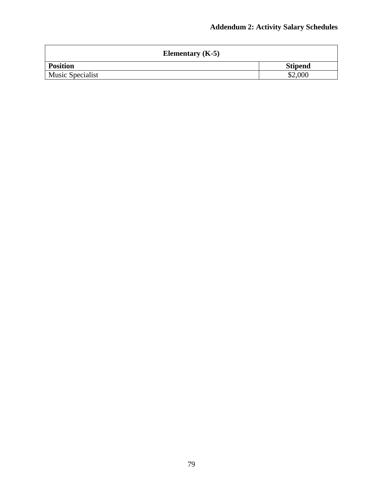| Elementary $(K-5)$ |                |  |  |
|--------------------|----------------|--|--|
| <b>Position</b>    | <b>Stipend</b> |  |  |
| Music Specialist   | \$2,000        |  |  |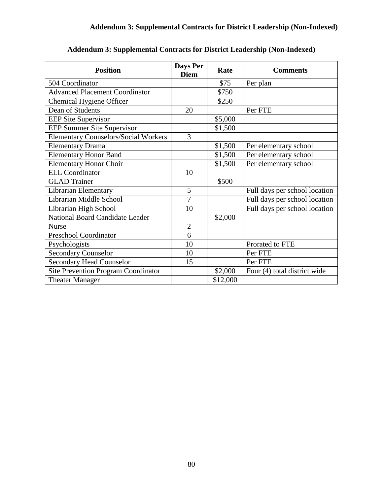| <b>Position</b>                             | Days Per<br><b>Diem</b> | Rate     | <b>Comments</b>               |
|---------------------------------------------|-------------------------|----------|-------------------------------|
| 504 Coordinator                             |                         | \$75     | Per plan                      |
| <b>Advanced Placement Coordinator</b>       |                         | \$750    |                               |
| Chemical Hygiene Officer                    |                         | \$250    |                               |
| Dean of Students                            | 20                      |          | Per FTE                       |
| <b>EEP Site Supervisor</b>                  |                         | \$5,000  |                               |
| <b>EEP Summer Site Supervisor</b>           |                         | \$1,500  |                               |
| <b>Elementary Counselors/Social Workers</b> | 3                       |          |                               |
| <b>Elementary Drama</b>                     |                         | \$1,500  | Per elementary school         |
| <b>Elementary Honor Band</b>                |                         | \$1,500  | Per elementary school         |
| <b>Elementary Honor Choir</b>               |                         | \$1,500  | Per elementary school         |
| <b>ELL Coordinator</b>                      | 10                      |          |                               |
| <b>GLAD</b> Trainer                         |                         | \$500    |                               |
| Librarian Elementary                        | 5                       |          | Full days per school location |
| Librarian Middle School                     | $\overline{7}$          |          | Full days per school location |
| Librarian High School                       | 10                      |          | Full days per school location |
| National Board Candidate Leader             |                         | \$2,000  |                               |
| <b>Nurse</b>                                | $\overline{2}$          |          |                               |
| <b>Preschool Coordinator</b>                | 6                       |          |                               |
| Psychologists                               | 10                      |          | Prorated to FTE               |
| <b>Secondary Counselor</b>                  | 10                      |          | Per FTE                       |
| <b>Secondary Head Counselor</b>             | 15                      |          | Per FTE                       |
| <b>Site Prevention Program Coordinator</b>  |                         | \$2,000  | Four (4) total district wide  |
| <b>Theater Manager</b>                      |                         | \$12,000 |                               |

**Addendum 3: Supplemental Contracts for District Leadership (Non-Indexed)**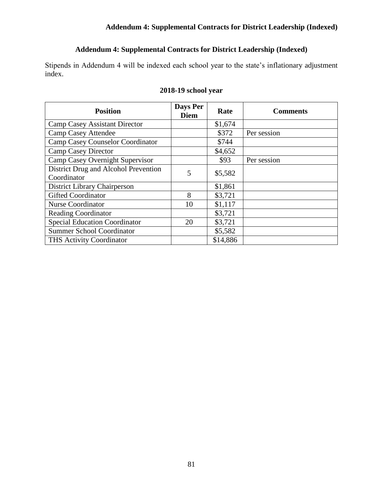### **Addendum 4: Supplemental Contracts for District Leadership (Indexed)**

# **Addendum 4: Supplemental Contracts for District Leadership (Indexed)**

Stipends in Addendum 4 will be indexed each school year to the state's inflationary adjustment index.

| <b>Position</b>                                     | Days Per<br><b>Diem</b> | Rate     | <b>Comments</b> |
|-----------------------------------------------------|-------------------------|----------|-----------------|
| <b>Camp Casey Assistant Director</b>                |                         | \$1,674  |                 |
| <b>Camp Casey Attendee</b>                          |                         | \$372    | Per session     |
| Camp Casey Counselor Coordinator                    |                         | \$744    |                 |
| <b>Camp Casey Director</b>                          |                         | \$4,652  |                 |
| Camp Casey Overnight Supervisor                     |                         | \$93     | Per session     |
| District Drug and Alcohol Prevention<br>Coordinator | 5                       | \$5,582  |                 |
|                                                     |                         |          |                 |
| District Library Chairperson                        |                         | \$1,861  |                 |
| <b>Gifted Coordinator</b>                           | 8                       | \$3,721  |                 |
| <b>Nurse Coordinator</b>                            | 10                      | \$1,117  |                 |
| <b>Reading Coordinator</b>                          |                         | \$3,721  |                 |
| <b>Special Education Coordinator</b>                | 20                      | \$3,721  |                 |
| <b>Summer School Coordinator</b>                    |                         | \$5,582  |                 |
| <b>THS Activity Coordinator</b>                     |                         | \$14,886 |                 |

#### **2018-19 school year**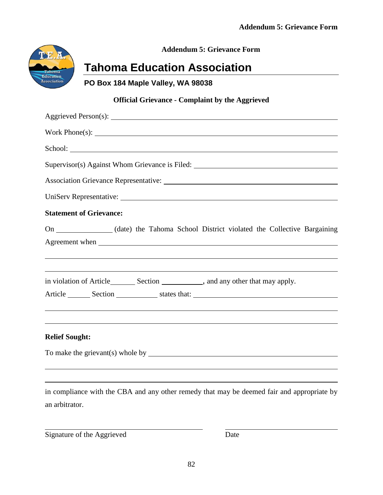

**Addendum 5: Grievance Form**

# **Tahoma Education Association**

**PO Box 184 Maple Valley, WA 98038**

# **Official Grievance - Complaint by the Aggrieved**

| Work $Phone(s)$ :                                                                                                                                                                                                              |
|--------------------------------------------------------------------------------------------------------------------------------------------------------------------------------------------------------------------------------|
| School: School: School: School: School: School: School: School: School: School: School: School: School: School: School: School: School: School: School: School: School: School: School: School: School: School: School: School |
| Supervisor(s) Against Whom Grievance is Filed: __________________________________                                                                                                                                              |
|                                                                                                                                                                                                                                |
|                                                                                                                                                                                                                                |
| <b>Statement of Grievance:</b>                                                                                                                                                                                                 |
| On ______________(date) the Tahoma School District violated the Collective Bargaining                                                                                                                                          |
|                                                                                                                                                                                                                                |
| Article Section Section Section States that:                                                                                                                                                                                   |
|                                                                                                                                                                                                                                |
| <b>Relief Sought:</b>                                                                                                                                                                                                          |
|                                                                                                                                                                                                                                |
|                                                                                                                                                                                                                                |

in compliance with the CBA and any other remedy that may be deemed fair and appropriate by an arbitrator.

Signature of the Aggrieved Date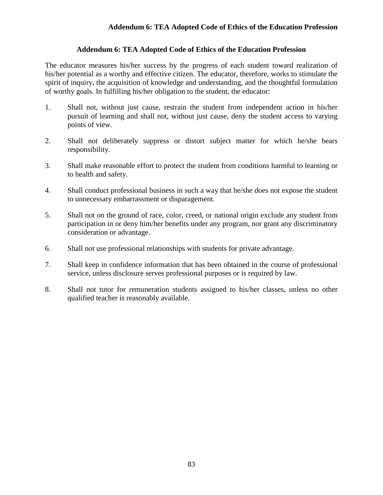#### **Addendum 6: TEA Adopted Code of Ethics of the Education Profession**

#### **Addendum 6: TEA Adopted Code of Ethics of the Education Profession**

The educator measures his/her success by the progress of each student toward realization of his/her potential as a worthy and effective citizen. The educator, therefore, works to stimulate the spirit of inquiry, the acquisition of knowledge and understanding, and the thoughtful formulation of worthy goals. In fulfilling his/her obligation to the student, the educator:

- 1. Shall not, without just cause, restrain the student from independent action in his/her pursuit of learning and shall not, without just cause, deny the student access to varying points of view.
- 2. Shall not deliberately suppress or distort subject matter for which he/she bears responsibility.
- 3. Shall make reasonable effort to protect the student from conditions harmful to learning or to health and safety.
- 4. Shall conduct professional business in such a way that he/she does not expose the student to unnecessary embarrassment or disparagement.
- 5. Shall not on the ground of race, color, creed, or national origin exclude any student from participation in or deny him/her benefits under any program, nor grant any discriminatory consideration or advantage.
- 6. Shall not use professional relationships with students for private advantage.
- 7. Shall keep in confidence information that has been obtained in the course of professional service, unless disclosure serves professional purposes or is required by law.
- 8. Shall not tutor for remuneration students assigned to his/her classes, unless no other qualified teacher is reasonably available.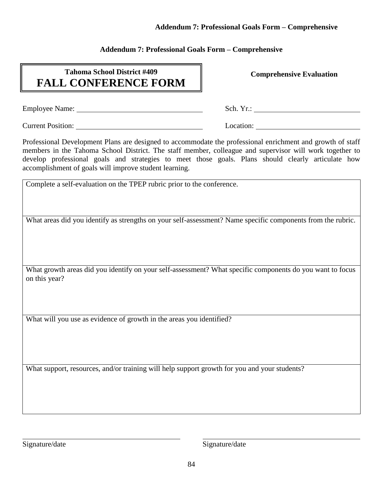#### **Addendum 7: Professional Goals Form – Comprehensive**

#### **Addendum 7: Professional Goals Form – Comprehensive**

# **Tahoma School District #409 FALL CONFERENCE FORM**

**Comprehensive Evaluation**

Employee Name: Sch. Yr.:

Current Position: Location: Location: Location:

Professional Development Plans are designed to accommodate the professional enrichment and growth of staff members in the Tahoma School District. The staff member, colleague and supervisor will work together to develop professional goals and strategies to meet those goals. Plans should clearly articulate how accomplishment of goals will improve student learning.

Complete a self-evaluation on the TPEP rubric prior to the conference.

What areas did you identify as strengths on your self-assessment? Name specific components from the rubric.

What growth areas did you identify on your self-assessment? What specific components do you want to focus on this year?

What will you use as evidence of growth in the areas you identified?

What support, resources, and/or training will help support growth for you and your students?

Signature/date Signature/date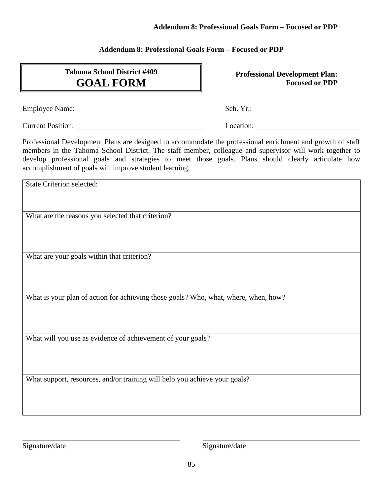#### **Addendum 8: Professional Goals Form – Focused or PDP**

#### **Addendum 8: Professional Goals Form – Focused or PDP**

# **Tahoma School District #409 GOAL FORM**

**Professional Development Plan: Focused or PDP**

Employee Name: Sch. Yr.:

Current Position: Location: Location: Location: Location:

Professional Development Plans are designed to accommodate the professional enrichment and growth of staff members in the Tahoma School District. The staff member, colleague and supervisor will work together to develop professional goals and strategies to meet those goals. Plans should clearly articulate how accomplishment of goals will improve student learning.

State Criterion selected:

What are the reasons you selected that criterion?

What are your goals within that criterion?

What is your plan of action for achieving those goals? Who, what, where, when, how?

What will you use as evidence of achievement of your goals?

What support, resources, and/or training will help you achieve your goals?

Signature/date Signature/date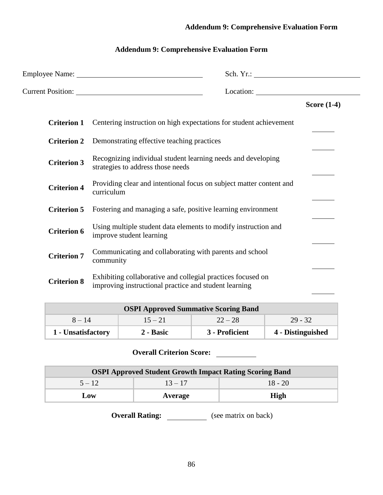# **Addendum 9: Comprehensive Evaluation Form**

# **Addendum 9: Comprehensive Evaluation Form**

|                    | Location: Legal and Location:                                                                                        |               |
|--------------------|----------------------------------------------------------------------------------------------------------------------|---------------|
|                    |                                                                                                                      | Score $(1-4)$ |
| <b>Criterion 1</b> | Centering instruction on high expectations for student achievement                                                   |               |
| <b>Criterion 2</b> | Demonstrating effective teaching practices                                                                           |               |
| <b>Criterion 3</b> | Recognizing individual student learning needs and developing<br>strategies to address those needs                    |               |
| <b>Criterion 4</b> | Providing clear and intentional focus on subject matter content and<br>curriculum                                    |               |
| <b>Criterion 5</b> | Fostering and managing a safe, positive learning environment                                                         |               |
| <b>Criterion 6</b> | Using multiple student data elements to modify instruction and<br>improve student learning                           |               |
| <b>Criterion 7</b> | Communicating and collaborating with parents and school<br>community                                                 |               |
| <b>Criterion 8</b> | Exhibiting collaborative and collegial practices focused on<br>improving instructional practice and student learning |               |

| <b>OSPI Approved Summative Scoring Band</b>                            |  |  |  |  |  |
|------------------------------------------------------------------------|--|--|--|--|--|
| $29 - 32$<br>$8 - 14$<br>$22 - 28$<br>$15 - 21$                        |  |  |  |  |  |
| 4 - Distinguished<br>3 - Proficient<br>1 - Unsatisfactory<br>2 - Basic |  |  |  |  |  |

# **Overall Criterion Score:**

| <b>OSPI Approved Student Growth Impact Rating Scoring Band</b> |         |      |  |  |  |
|----------------------------------------------------------------|---------|------|--|--|--|
| $18 - 20$<br>$5 - 12$<br>$13 - 17$                             |         |      |  |  |  |
| Low                                                            | Average | High |  |  |  |

**Overall Rating:** (see matrix on back)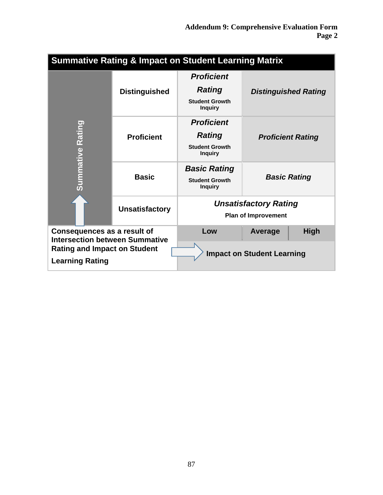|                                                                                                                                       | <b>Summative Rating &amp; Impact on Student Learning Matrix</b> |                                                                               |                                                            |             |  |  |
|---------------------------------------------------------------------------------------------------------------------------------------|-----------------------------------------------------------------|-------------------------------------------------------------------------------|------------------------------------------------------------|-------------|--|--|
|                                                                                                                                       | <b>Distinguished</b>                                            | <b>Proficient</b><br><b>Rating</b><br><b>Student Growth</b><br><b>Inquiry</b> | <b>Distinguished Rating</b>                                |             |  |  |
| ummative Rating                                                                                                                       | <b>Proficient</b>                                               | <b>Proficient</b><br><b>Rating</b><br><b>Student Growth</b><br><b>Inquiry</b> | <b>Proficient Rating</b>                                   |             |  |  |
|                                                                                                                                       | <b>Basic</b>                                                    | <b>Basic Rating</b><br><b>Student Growth</b><br><b>Inquiry</b>                | <b>Basic Rating</b>                                        |             |  |  |
|                                                                                                                                       | <b>Unsatisfactory</b>                                           |                                                                               | <b>Unsatisfactory Rating</b><br><b>Plan of Improvement</b> |             |  |  |
| Consequences as a result of<br><b>Intersection between Summative</b><br><b>Rating and Impact on Student</b><br><b>Learning Rating</b> |                                                                 | Low                                                                           | Average<br><b>Impact on Student Learning</b>               | <b>High</b> |  |  |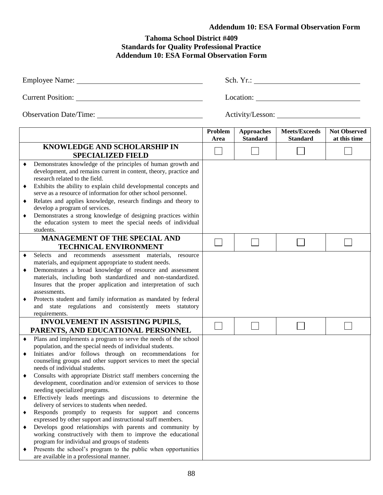# **Addendum 10: ESA Formal Observation Form**

#### **Tahoma School District #409 Standards for Quality Professional Practice Addendum 10: ESA Formal Observation Form**

|                                    | Employee Name: Name:                                                                                                                                                                                                                                                                                                                                                                                                                                                                                                                                                                                                                                                                                                                                                                                                                                                                                                                                                                                   | Sch. Yr.:       |                                      |                                         |                                     |
|------------------------------------|--------------------------------------------------------------------------------------------------------------------------------------------------------------------------------------------------------------------------------------------------------------------------------------------------------------------------------------------------------------------------------------------------------------------------------------------------------------------------------------------------------------------------------------------------------------------------------------------------------------------------------------------------------------------------------------------------------------------------------------------------------------------------------------------------------------------------------------------------------------------------------------------------------------------------------------------------------------------------------------------------------|-----------------|--------------------------------------|-----------------------------------------|-------------------------------------|
|                                    |                                                                                                                                                                                                                                                                                                                                                                                                                                                                                                                                                                                                                                                                                                                                                                                                                                                                                                                                                                                                        |                 |                                      |                                         |                                     |
|                                    |                                                                                                                                                                                                                                                                                                                                                                                                                                                                                                                                                                                                                                                                                                                                                                                                                                                                                                                                                                                                        |                 |                                      |                                         |                                     |
|                                    |                                                                                                                                                                                                                                                                                                                                                                                                                                                                                                                                                                                                                                                                                                                                                                                                                                                                                                                                                                                                        | Problem<br>Area | <b>Approaches</b><br><b>Standard</b> | <b>Meets/Exceeds</b><br><b>Standard</b> | <b>Not Observed</b><br>at this time |
|                                    | KNOWLEDGE AND SCHOLARSHIP IN<br><b>SPECIALIZED FIELD</b>                                                                                                                                                                                                                                                                                                                                                                                                                                                                                                                                                                                                                                                                                                                                                                                                                                                                                                                                               |                 |                                      |                                         |                                     |
| ٠<br>٠<br>٠<br>٠                   | Demonstrates knowledge of the principles of human growth and<br>development, and remains current in content, theory, practice and<br>research related to the field.<br>Exhibits the ability to explain child developmental concepts and<br>serve as a resource of information for other school personnel.<br>Relates and applies knowledge, research findings and theory to<br>develop a program of services.<br>Demonstrates a strong knowledge of designing practices within<br>the education system to meet the special needs of individual<br>students.                                                                                                                                                                                                                                                                                                                                                                                                                                            |                 |                                      |                                         |                                     |
|                                    | <b>MANAGEMENT OF THE SPECIAL AND</b><br><b>TECHNICAL ENVIRONMENT</b>                                                                                                                                                                                                                                                                                                                                                                                                                                                                                                                                                                                                                                                                                                                                                                                                                                                                                                                                   |                 |                                      |                                         |                                     |
| ٠<br>٠                             | Selects<br>and recommends assessment materials, resource<br>materials, and equipment appropriate to student needs.<br>Demonstrates a broad knowledge of resource and assessment<br>materials, including both standardized and non-standardized.<br>Insures that the proper application and interpretation of such<br>assessments.<br>Protects student and family information as mandated by federal<br>and state regulations and consistently meets statutory<br>requirements.                                                                                                                                                                                                                                                                                                                                                                                                                                                                                                                         |                 |                                      |                                         |                                     |
|                                    | <b>INVOLVEMENT IN ASSISTING PUPILS,</b><br>PARENTS, AND EDUCATIONAL PERSONNEL                                                                                                                                                                                                                                                                                                                                                                                                                                                                                                                                                                                                                                                                                                                                                                                                                                                                                                                          |                 |                                      |                                         |                                     |
| $\bullet$<br>٠<br>٠<br>٠<br>٠<br>٠ | Plans and implements a program to serve the needs of the school<br>population, and the special needs of individual students.<br>Initiates and/or follows through on recommendations for<br>counseling groups and other support services to meet the special<br>needs of individual students.<br>Consults with appropriate District staff members concerning the<br>development, coordination and/or extension of services to those<br>needing specialized programs.<br>Effectively leads meetings and discussions to determine the<br>delivery of services to students when needed.<br>Responds promptly to requests for support and concerns<br>expressed by other support and instructional staff members.<br>Develops good relationships with parents and community by<br>working constructively with them to improve the educational<br>program for individual and groups of students<br>Presents the school's program to the public when opportunities<br>are available in a professional manner. |                 |                                      |                                         |                                     |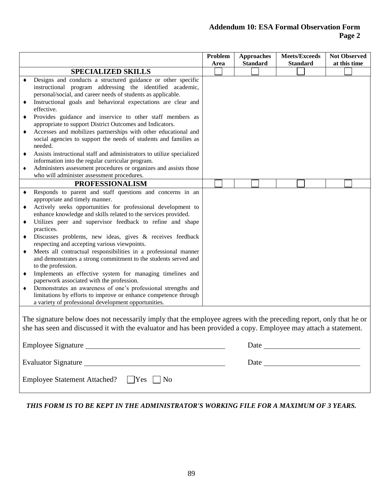#### **Addendum 10: ESA Formal Observation Form Page 2**

|                            |                                                                                                                                                                                                                                                                                                                                                                                                                                                                                                                                                                                                                                                                                                                                                                                                                                                                                        | Problem<br>Area | <b>Approaches</b><br><b>Standard</b> | <b>Meets/Exceeds</b><br><b>Standard</b> | <b>Not Observed</b><br>at this time |
|----------------------------|----------------------------------------------------------------------------------------------------------------------------------------------------------------------------------------------------------------------------------------------------------------------------------------------------------------------------------------------------------------------------------------------------------------------------------------------------------------------------------------------------------------------------------------------------------------------------------------------------------------------------------------------------------------------------------------------------------------------------------------------------------------------------------------------------------------------------------------------------------------------------------------|-----------------|--------------------------------------|-----------------------------------------|-------------------------------------|
|                            | <b>SPECIALIZED SKILLS</b>                                                                                                                                                                                                                                                                                                                                                                                                                                                                                                                                                                                                                                                                                                                                                                                                                                                              |                 |                                      |                                         |                                     |
| ٠<br>٠<br>٠                | Designs and conducts a structured guidance or other specific<br>instructional program addressing the identified academic,<br>personal/social, and career needs of students as applicable.<br>Instructional goals and behavioral expectations are clear and<br>effective.<br>Provides guidance and inservice to other staff members as<br>appropriate to support District Outcomes and Indicators.<br>Accesses and mobilizes partnerships with other educational and<br>social agencies to support the needs of students and families as<br>needed.<br>Assists instructional staff and administrators to utilize specialized<br>information into the regular curricular program.<br>Administers assessment procedures or organizes and assists those                                                                                                                                    |                 |                                      |                                         |                                     |
|                            | who will administer assessment procedures.<br><b>PROFESSIONALISM</b>                                                                                                                                                                                                                                                                                                                                                                                                                                                                                                                                                                                                                                                                                                                                                                                                                   |                 |                                      |                                         |                                     |
| ٠<br>٠<br>٠<br>٠<br>٠<br>٠ | Responds to parent and staff questions and concerns in an<br>appropriate and timely manner.<br>Actively seeks opportunities for professional development to<br>enhance knowledge and skills related to the services provided.<br>Utilizes peer and supervisor feedback to refine and shape<br>practices.<br>Discusses problems, new ideas, gives & receives feedback<br>respecting and accepting various viewpoints.<br>Meets all contractual responsibilities in a professional manner<br>and demonstrates a strong commitment to the students served and<br>to the profession.<br>Implements an effective system for managing timelines and<br>paperwork associated with the profession.<br>Demonstrates an awareness of one's professional strengths and<br>limitations by efforts to improve or enhance competence through<br>a variety of professional development opportunities. |                 |                                      |                                         |                                     |
|                            | The signature below does not necessarily imply that the employee agrees with the preceding report, only that he or<br>she has seen and discussed it with the evaluator and has been provided a copy. Employee may attach a statement.                                                                                                                                                                                                                                                                                                                                                                                                                                                                                                                                                                                                                                                  |                 |                                      | Date <u>Date</u>                        |                                     |
|                            |                                                                                                                                                                                                                                                                                                                                                                                                                                                                                                                                                                                                                                                                                                                                                                                                                                                                                        |                 |                                      |                                         |                                     |
|                            | <b>Employee Statement Attached?</b><br>$\Box$ Yes<br>N <sub>o</sub>                                                                                                                                                                                                                                                                                                                                                                                                                                                                                                                                                                                                                                                                                                                                                                                                                    |                 |                                      |                                         |                                     |

*THIS FORM IS TO BE KEPT IN THE ADMINISTRATOR'S WORKING FILE FOR A MAXIMUM OF 3 YEARS.*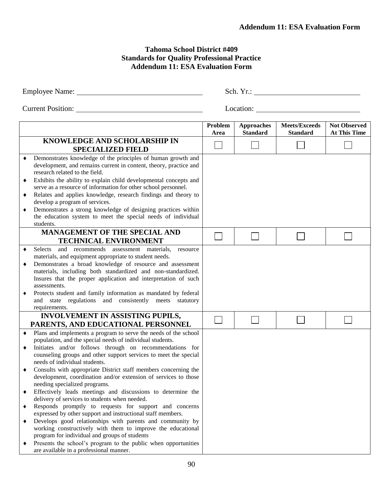#### **Tahoma School District #409 Standards for Quality Professional Practice Addendum 11: ESA Evaluation Form**

|   |                                                                                                                                                                                                             |                 |                                      | Sch. Yr.:                               |                                            |
|---|-------------------------------------------------------------------------------------------------------------------------------------------------------------------------------------------------------------|-----------------|--------------------------------------|-----------------------------------------|--------------------------------------------|
|   | <b>Current Position:</b>                                                                                                                                                                                    |                 | Location:                            |                                         |                                            |
|   |                                                                                                                                                                                                             | Problem<br>Area | <b>Approaches</b><br><b>Standard</b> | <b>Meets/Exceeds</b><br><b>Standard</b> | <b>Not Observed</b><br><b>At This Time</b> |
|   | <b>KNOWLEDGE AND SCHOLARSHIP IN</b><br><b>SPECIALIZED FIELD</b>                                                                                                                                             |                 |                                      |                                         |                                            |
|   | Demonstrates knowledge of the principles of human growth and<br>development, and remains current in content, theory, practice and<br>research related to the field.                                         |                 |                                      |                                         |                                            |
| ٠ | Exhibits the ability to explain child developmental concepts and<br>serve as a resource of information for other school personnel.                                                                          |                 |                                      |                                         |                                            |
|   | Relates and applies knowledge, research findings and theory to<br>develop a program of services.<br>Demonstrates a strong knowledge of designing practices within                                           |                 |                                      |                                         |                                            |
|   | the education system to meet the special needs of individual<br>students.                                                                                                                                   |                 |                                      |                                         |                                            |
|   | MANAGEMENT OF THE SPECIAL AND<br><b>TECHNICAL ENVIRONMENT</b>                                                                                                                                               |                 |                                      |                                         |                                            |
|   | Selects and recommends assessment materials,<br>resource<br>materials, and equipment appropriate to student needs.                                                                                          |                 |                                      |                                         |                                            |
| ٠ | Demonstrates a broad knowledge of resource and assessment<br>materials, including both standardized and non-standardized.<br>Insures that the proper application and interpretation of such<br>assessments. |                 |                                      |                                         |                                            |
|   | Protects student and family information as mandated by federal                                                                                                                                              |                 |                                      |                                         |                                            |

 $\Box$ 

 $\Box$ 

 $\Box$ 

 $\Box$ 

|                                               |  | • Effectively leads meetings and discussions to determine the |  |  |
|-----------------------------------------------|--|---------------------------------------------------------------|--|--|
| delivery of services to students when needed. |  |                                                               |  |  |
|                                               |  |                                                               |  |  |

 Consults with appropriate District staff members concerning the development, coordination and/or extension of services to those

and state regulations and consistently meets statutory

**INVOLVEMENT IN ASSISTING PUPILS, PARENTS, AND EDUCATIONAL PERSONNEL** Plans and implements a program to serve the needs of the school population, and the special needs of individual students. Initiates and/or follows through on recommendations for counseling groups and other support services to meet the special

requirements.

needs of individual students.

needing specialized programs.

- Responds promptly to requests for support and concerns expressed by other support and instructional staff members.
- Develops good relationships with parents and community by working constructively with them to improve the educational program for individual and groups of students
- Presents the school's program to the public when opportunities are available in a professional manner.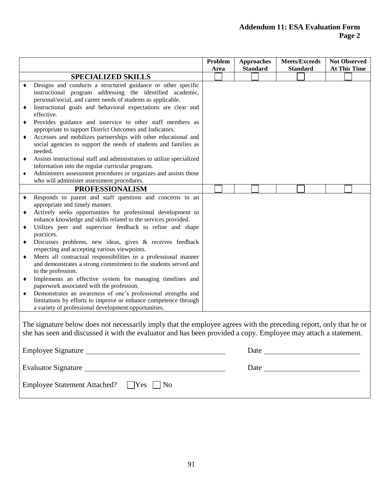#### **Addendum 11: ESA Evaluation Form Page 2**

|                            |                                                                                                                                                                                                                                                                                                                                                                                                                                                                                                                                                                                                                                                                                                                                                                                                                                                                                        | Problem<br>Area | <b>Approaches</b><br><b>Standard</b> | <b>Meets/Exceeds</b><br><b>Standard</b> | <b>Not Observed</b><br><b>At This Time</b> |  |
|----------------------------|----------------------------------------------------------------------------------------------------------------------------------------------------------------------------------------------------------------------------------------------------------------------------------------------------------------------------------------------------------------------------------------------------------------------------------------------------------------------------------------------------------------------------------------------------------------------------------------------------------------------------------------------------------------------------------------------------------------------------------------------------------------------------------------------------------------------------------------------------------------------------------------|-----------------|--------------------------------------|-----------------------------------------|--------------------------------------------|--|
|                            | <b>SPECIALIZED SKILLS</b>                                                                                                                                                                                                                                                                                                                                                                                                                                                                                                                                                                                                                                                                                                                                                                                                                                                              |                 |                                      |                                         |                                            |  |
|                            | Designs and conducts a structured guidance or other specific<br>instructional program addressing the identified academic,<br>personal/social, and career needs of students as applicable.                                                                                                                                                                                                                                                                                                                                                                                                                                                                                                                                                                                                                                                                                              |                 |                                      |                                         |                                            |  |
| ٠                          | Instructional goals and behavioral expectations are clear and<br>effective.                                                                                                                                                                                                                                                                                                                                                                                                                                                                                                                                                                                                                                                                                                                                                                                                            |                 |                                      |                                         |                                            |  |
| ٠                          | Provides guidance and inservice to other staff members as<br>appropriate to support District Outcomes and Indicators.                                                                                                                                                                                                                                                                                                                                                                                                                                                                                                                                                                                                                                                                                                                                                                  |                 |                                      |                                         |                                            |  |
| ٠                          | Accesses and mobilizes partnerships with other educational and<br>social agencies to support the needs of students and families as<br>needed.                                                                                                                                                                                                                                                                                                                                                                                                                                                                                                                                                                                                                                                                                                                                          |                 |                                      |                                         |                                            |  |
| ٠                          | Assists instructional staff and administrators to utilize specialized<br>information into the regular curricular program.                                                                                                                                                                                                                                                                                                                                                                                                                                                                                                                                                                                                                                                                                                                                                              |                 |                                      |                                         |                                            |  |
|                            | Administers assessment procedures or organizes and assists those<br>who will administer assessment procedures.                                                                                                                                                                                                                                                                                                                                                                                                                                                                                                                                                                                                                                                                                                                                                                         |                 |                                      |                                         |                                            |  |
|                            | <b>PROFESSIONALISM</b>                                                                                                                                                                                                                                                                                                                                                                                                                                                                                                                                                                                                                                                                                                                                                                                                                                                                 |                 |                                      |                                         |                                            |  |
| ٠<br>٠<br>٠<br>٠<br>٠<br>٠ | Responds to parent and staff questions and concerns in an<br>appropriate and timely manner.<br>Actively seeks opportunities for professional development to<br>enhance knowledge and skills related to the services provided.<br>Utilizes peer and supervisor feedback to refine and shape<br>practices.<br>Discusses problems, new ideas, gives & receives feedback<br>respecting and accepting various viewpoints.<br>Meets all contractual responsibilities in a professional manner<br>and demonstrates a strong commitment to the students served and<br>to the profession.<br>Implements an effective system for managing timelines and<br>paperwork associated with the profession.<br>Demonstrates an awareness of one's professional strengths and<br>limitations by efforts to improve or enhance competence through<br>a variety of professional development opportunities. |                 |                                      |                                         |                                            |  |
|                            | The signature below does not necessarily imply that the employee agrees with the preceding report, only that he or<br>she has seen and discussed it with the evaluator and has been provided a copy. Employee may attach a statement.                                                                                                                                                                                                                                                                                                                                                                                                                                                                                                                                                                                                                                                  |                 |                                      |                                         |                                            |  |
|                            | Employee Signature                                                                                                                                                                                                                                                                                                                                                                                                                                                                                                                                                                                                                                                                                                                                                                                                                                                                     |                 | Date                                 |                                         |                                            |  |
|                            | <b>Evaluator Signature</b>                                                                                                                                                                                                                                                                                                                                                                                                                                                                                                                                                                                                                                                                                                                                                                                                                                                             |                 | Date                                 |                                         |                                            |  |

| Employee Statement Attached? ■ Yes ■ No |  |
|-----------------------------------------|--|
|                                         |  |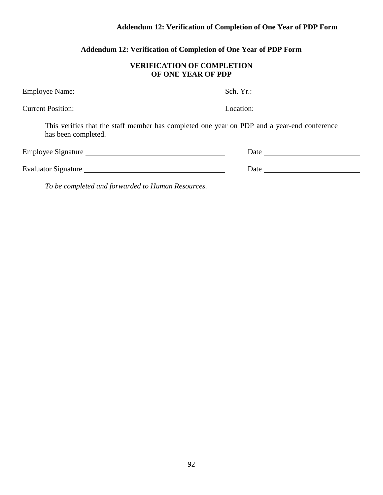# **Addendum 12: Verification of Completion of One Year of PDP Form**

# **Addendum 12: Verification of Completion of One Year of PDP Form**

### **VERIFICATION OF COMPLETION OF ONE YEAR OF PDP**

|                                                   | Location:                                                                                   |
|---------------------------------------------------|---------------------------------------------------------------------------------------------|
| has been completed.                               | This verifies that the staff member has completed one year on PDP and a year-end conference |
|                                                   |                                                                                             |
|                                                   |                                                                                             |
| To be completed and forwarded to Human Resources. |                                                                                             |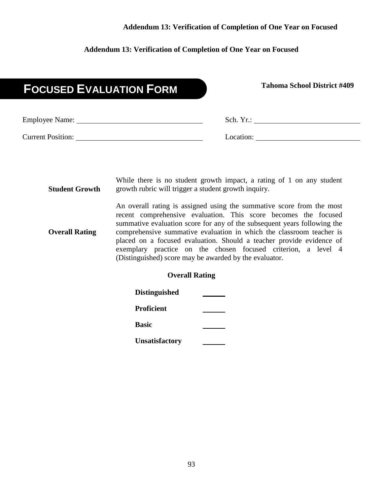#### **Addendum 13: Verification of Completion of One Year on Focused**

#### **Addendum 13: Verification of Completion of One Year on Focused**

# **Tahoma School District #409 FOCUSED EVALUATION FORM**

| <b>Employee Name:</b>    | Sch. Yr.: |
|--------------------------|-----------|
| <b>Current Position:</b> | Location: |

**Student Growth** While there is no student growth impact, a rating of 1 on any student growth rubric will trigger a student growth inquiry. An overall rating is assigned using the summative score from the most recent comprehensive evaluation. This score becomes the focused

**Overall Rating** summative evaluation score for any of the subsequent years following the comprehensive summative evaluation in which the classroom teacher is placed on a focused evaluation. Should a teacher provide evidence of exemplary practice on the chosen focused criterion, a level 4 (Distinguished) score may be awarded by the evaluator.

#### **Overall Rating**

| <b>Distinguished</b>  |  |
|-----------------------|--|
| Proficient            |  |
| <b>Basic</b>          |  |
| <b>Unsatisfactory</b> |  |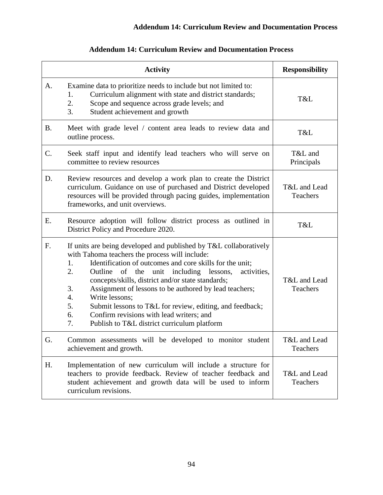|           | <b>Activity</b>                                                                                                                                                                                                                                                                                                                                                                                                                                                                                                                                                            | <b>Responsibility</b>    |
|-----------|----------------------------------------------------------------------------------------------------------------------------------------------------------------------------------------------------------------------------------------------------------------------------------------------------------------------------------------------------------------------------------------------------------------------------------------------------------------------------------------------------------------------------------------------------------------------------|--------------------------|
| A.        | Examine data to prioritize needs to include but not limited to:<br>Curriculum alignment with state and district standards;<br>1.<br>2.<br>Scope and sequence across grade levels; and<br>3.<br>Student achievement and growth                                                                                                                                                                                                                                                                                                                                              | T&L                      |
| <b>B.</b> | Meet with grade level / content area leads to review data and<br>outline process.                                                                                                                                                                                                                                                                                                                                                                                                                                                                                          | T&L                      |
| C.        | Seek staff input and identify lead teachers who will serve on<br>committee to review resources                                                                                                                                                                                                                                                                                                                                                                                                                                                                             | T&L and<br>Principals    |
| D.        | Review resources and develop a work plan to create the District<br>curriculum. Guidance on use of purchased and District developed<br>resources will be provided through pacing guides, implementation<br>frameworks, and unit overviews.                                                                                                                                                                                                                                                                                                                                  | T&L and Lead<br>Teachers |
| Ε.        | Resource adoption will follow district process as outlined in<br>District Policy and Procedure 2020.                                                                                                                                                                                                                                                                                                                                                                                                                                                                       | T&L                      |
| F.        | If units are being developed and published by T&L collaboratively<br>with Tahoma teachers the process will include:<br>Identification of outcomes and core skills for the unit;<br>1.<br>2.<br>Outline of the unit including lessons,<br>activities,<br>concepts/skills, district and/or state standards;<br>Assignment of lessons to be authored by lead teachers;<br>3.<br>Write lessons;<br>4.<br>5.<br>Submit lessons to T&L for review, editing, and feedback;<br>6.<br>Confirm revisions with lead writers; and<br>7.<br>Publish to T&L district curriculum platform | T&L and Lead<br>Teachers |
| G.        | Common assessments will be developed to monitor student<br>achievement and growth.                                                                                                                                                                                                                                                                                                                                                                                                                                                                                         | T&L and Lead<br>Teachers |
| H.        | Implementation of new curriculum will include a structure for<br>teachers to provide feedback. Review of teacher feedback and<br>student achievement and growth data will be used to inform<br>curriculum revisions.                                                                                                                                                                                                                                                                                                                                                       | T&L and Lead<br>Teachers |

# **Addendum 14: Curriculum Review and Documentation Process**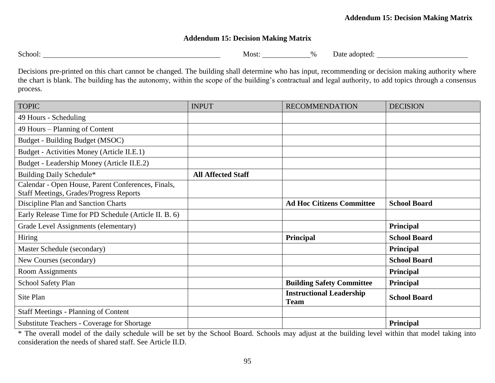### **Addendum 15: Decision Making Matrix**

| School: |  |
|---------|--|
|         |  |
|         |  |

Most: 1998 Most: 2008 Most: 2008 Most: 2008 Most: 2008 Most: 2008 Most: 2008 Most: 2008 Most: 2008 Most: 2008 Most: 2008 Most: 2008 Most: 2008 Most: 2008 Most: 2008 Most: 2008 Most: 2008 Most: 2008 Most: 2008 Most: 2008 Mo

Decisions pre-printed on this chart cannot be changed. The building shall determine who has input, recommending or decision making authority where the chart is blank. The building has the autonomy, within the scope of the building's contractual and legal authority, to add topics through a consensus process.

| <b>TOPIC</b>                                                                                         | <b>INPUT</b>              | <b>RECOMMENDATION</b>                          | <b>DECISION</b>     |
|------------------------------------------------------------------------------------------------------|---------------------------|------------------------------------------------|---------------------|
| 49 Hours - Scheduling                                                                                |                           |                                                |                     |
| 49 Hours – Planning of Content                                                                       |                           |                                                |                     |
| Budget - Building Budget (MSOC)                                                                      |                           |                                                |                     |
| Budget - Activities Money (Article II.E.1)                                                           |                           |                                                |                     |
| Budget - Leadership Money (Article II.E.2)                                                           |                           |                                                |                     |
| Building Daily Schedule*                                                                             | <b>All Affected Staff</b> |                                                |                     |
| Calendar - Open House, Parent Conferences, Finals,<br><b>Staff Meetings, Grades/Progress Reports</b> |                           |                                                |                     |
| Discipline Plan and Sanction Charts                                                                  |                           | <b>Ad Hoc Citizens Committee</b>               | <b>School Board</b> |
| Early Release Time for PD Schedule (Article II. B. 6)                                                |                           |                                                |                     |
| Grade Level Assignments (elementary)                                                                 |                           |                                                | Principal           |
| Hiring                                                                                               |                           | Principal                                      | <b>School Board</b> |
| Master Schedule (secondary)                                                                          |                           |                                                | Principal           |
| New Courses (secondary)                                                                              |                           |                                                | <b>School Board</b> |
| <b>Room Assignments</b>                                                                              |                           |                                                | Principal           |
| School Safety Plan                                                                                   |                           | <b>Building Safety Committee</b>               | Principal           |
| Site Plan                                                                                            |                           | <b>Instructional Leadership</b><br><b>Team</b> | <b>School Board</b> |
| <b>Staff Meetings - Planning of Content</b>                                                          |                           |                                                |                     |
| <b>Substitute Teachers - Coverage for Shortage</b>                                                   |                           |                                                | Principal           |

\* The overall model of the daily schedule will be set by the School Board. Schools may adjust at the building level within that model taking into consideration the needs of shared staff. See Article II.D.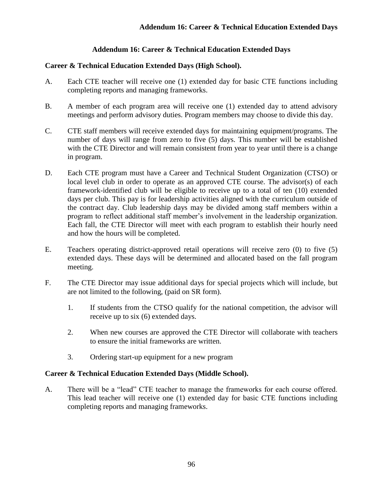#### **Addendum 16: Career & Technical Education Extended Days**

#### **Career & Technical Education Extended Days (High School).**

- A. Each CTE teacher will receive one (1) extended day for basic CTE functions including completing reports and managing frameworks.
- B. A member of each program area will receive one (1) extended day to attend advisory meetings and perform advisory duties. Program members may choose to divide this day.
- C. CTE staff members will receive extended days for maintaining equipment/programs. The number of days will range from zero to five (5) days. This number will be established with the CTE Director and will remain consistent from year to year until there is a change in program.
- D. Each CTE program must have a Career and Technical Student Organization (CTSO) or local level club in order to operate as an approved CTE course. The advisor(s) of each framework-identified club will be eligible to receive up to a total of ten (10) extended days per club. This pay is for leadership activities aligned with the curriculum outside of the contract day. Club leadership days may be divided among staff members within a program to reflect additional staff member's involvement in the leadership organization. Each fall, the CTE Director will meet with each program to establish their hourly need and how the hours will be completed.
- E. Teachers operating district-approved retail operations will receive zero (0) to five (5) extended days. These days will be determined and allocated based on the fall program meeting.
- F. The CTE Director may issue additional days for special projects which will include, but are not limited to the following, (paid on SR form).
	- 1. If students from the CTSO qualify for the national competition, the advisor will receive up to six (6) extended days.
	- 2. When new courses are approved the CTE Director will collaborate with teachers to ensure the initial frameworks are written.
	- 3. Ordering start-up equipment for a new program

#### **Career & Technical Education Extended Days (Middle School).**

A. There will be a "lead" CTE teacher to manage the frameworks for each course offered. This lead teacher will receive one (1) extended day for basic CTE functions including completing reports and managing frameworks.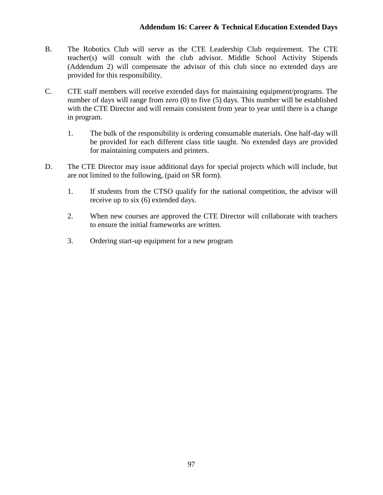- B. The Robotics Club will serve as the CTE Leadership Club requirement. The CTE teacher(s) will consult with the club advisor. Middle School Activity Stipends (Addendum 2) will compensate the advisor of this club since no extended days are provided for this responsibility.
- C. CTE staff members will receive extended days for maintaining equipment/programs. The number of days will range from zero (0) to five (5) days. This number will be established with the CTE Director and will remain consistent from year to year until there is a change in program.
	- 1. The bulk of the responsibility is ordering consumable materials. One half-day will be provided for each different class title taught. No extended days are provided for maintaining computers and printers.
- D. The CTE Director may issue additional days for special projects which will include, but are not limited to the following, (paid on SR form).
	- 1. If students from the CTSO qualify for the national competition, the advisor will receive up to six (6) extended days.
	- 2. When new courses are approved the CTE Director will collaborate with teachers to ensure the initial frameworks are written.
	- 3. Ordering start-up equipment for a new program